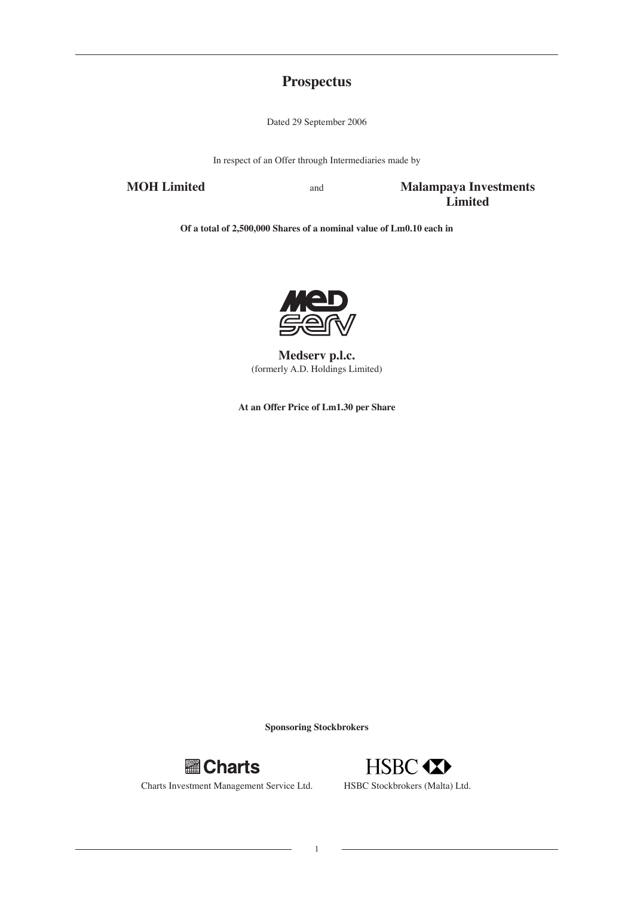# **Prospectus**

Dated 29 September 2006

In respect of an Offer through Intermediaries made by

**MOH Limited** and **Malampaya Investments Limited**

**Of a total of 2,500,000 Shares of a nominal value of Lm0.10 each in**



**Medserv p.l.c.** (formerly A.D. Holdings Limited)

**At an Offer Price of Lm1.30 per Share**

**Sponsoring Stockbrokers**



Charts Investment Management Service Ltd. HSBC Stockbrokers (Malta) Ltd.



1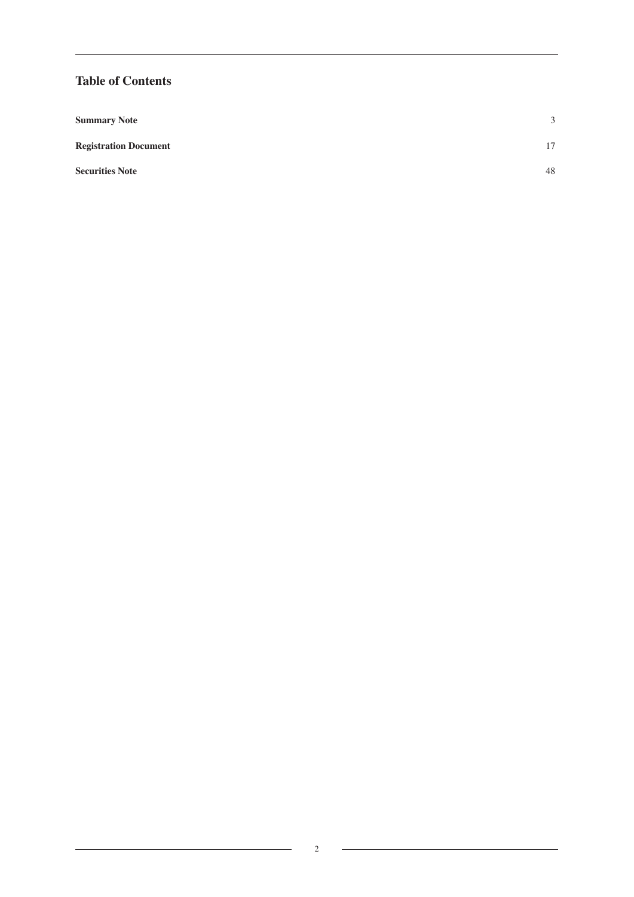# **Table of Contents**

| <b>Summary Note</b>          | 3  |
|------------------------------|----|
| <b>Registration Document</b> | 17 |
| <b>Securities Note</b>       | 48 |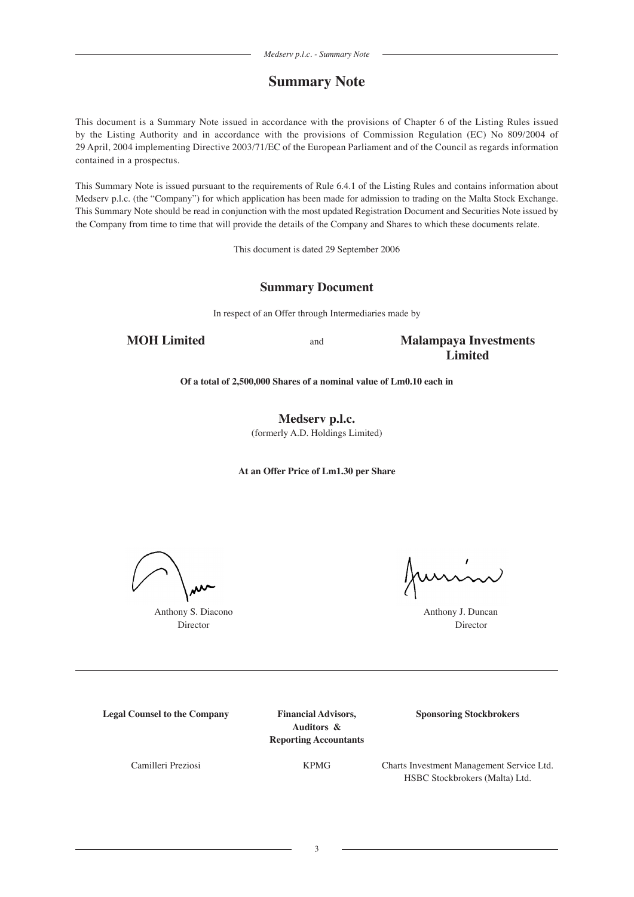# **Summary Note**

This document is a Summary Note issued in accordance with the provisions of Chapter 6 of the Listing Rules issued by the Listing Authority and in accordance with the provisions of Commission Regulation (EC) No 809/2004 of 29 April, 2004 implementing Directive 2003/71/EC of the European Parliament and of the Council as regards information contained in a prospectus.

This Summary Note is issued pursuant to the requirements of Rule 6.4.1 of the Listing Rules and contains information about Medserv p.l.c. (the "Company") for which application has been made for admission to trading on the Malta Stock Exchange. This Summary Note should be read in conjunction with the most updated Registration Document and Securities Note issued by the Company from time to time that will provide the details of the Company and Shares to which these documents relate.

This document is dated 29 September 2006

# **Summary Document**

In respect of an Offer through Intermediaries made by

**MOH Limited** and **Malampaya Investments Limited**

**Of a total of 2,500,000 Shares of a nominal value of Lm0.10 each in**

**Medserv p.l.c.** (formerly A.D. Holdings Limited)

**At an Offer Price of Lm1.30 per Share**

Anthony S. Diacono **Anthony J. Duncan** 

unin

Director Director

**Legal Counsel to the Company Financial Advisors, Sponsoring Stockbrokers**

**Auditors & Reporting Accountants**

Camilleri Preziosi KPMG Charts Investment Management Service Ltd. HSBC Stockbrokers (Malta) Ltd.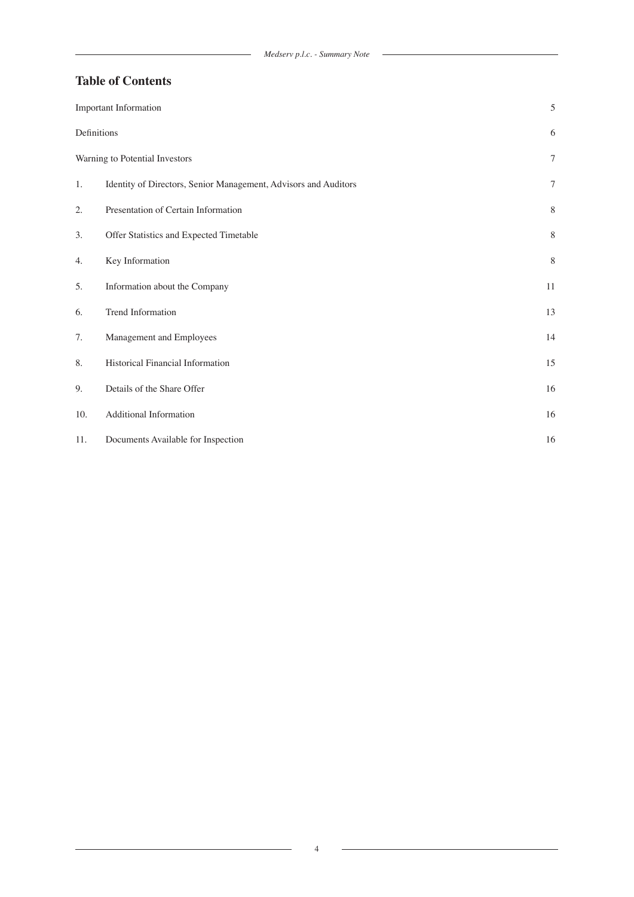$\overline{\phantom{a}}$ 

# **Table of Contents**

|             | <b>Important Information</b>                                    | 5              |
|-------------|-----------------------------------------------------------------|----------------|
| Definitions |                                                                 | 6              |
|             | Warning to Potential Investors                                  | $\overline{7}$ |
| 1.          | Identity of Directors, Senior Management, Advisors and Auditors | $\tau$         |
| 2.          | Presentation of Certain Information                             | $\,8\,$        |
| 3.          | Offer Statistics and Expected Timetable                         | 8              |
| 4.          | Key Information                                                 | $\,8\,$        |
| 5.          | Information about the Company                                   | 11             |
| 6.          | Trend Information                                               | 13             |
| 7.          | Management and Employees                                        | 14             |
| 8.          | Historical Financial Information                                | 15             |
| 9.          | Details of the Share Offer                                      | 16             |
| 10.         | Additional Information                                          | 16             |
| 11.         | Documents Available for Inspection                              | 16             |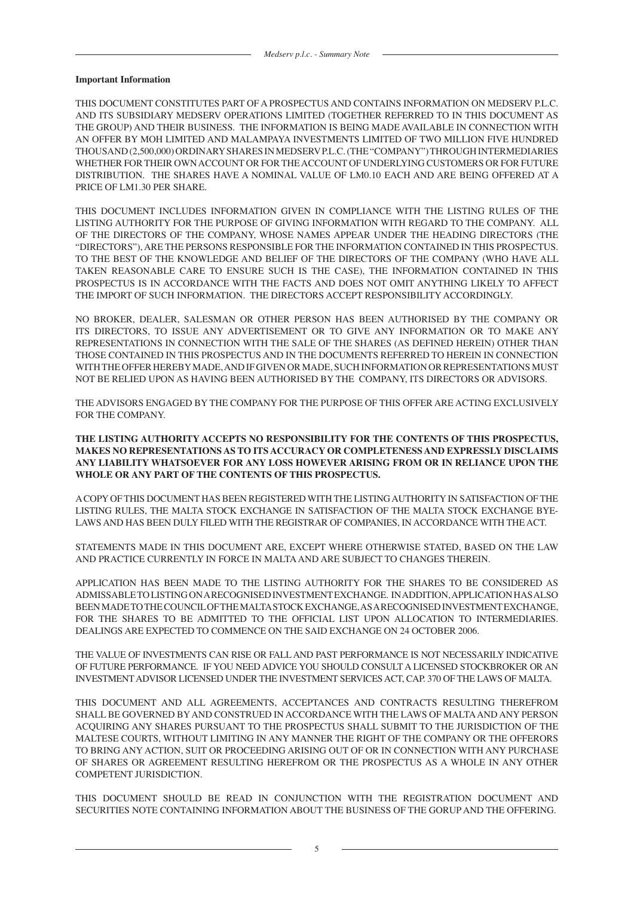#### **Important Information**

THIS DOCUMENT CONSTITUTES PART OF A PROSPECTUS AND CONTAINS INFORMATION ON MEDSERV P.L.C. AND ITS SUBSIDIARY MEDSERV OPERATIONS LIMITED (TOGETHER REFERRED TO IN THIS DOCUMENT AS THE GROUP) AND THEIR BUSINESS. THE INFORMATION IS BEING MADE AVAILABLE IN CONNECTION WITH AN OFFER BY MOH LIMITED AND MALAMPAYA INVESTMENTS LIMITED OF TWO MILLION FIVE HUNDRED THOUSAND (2,500,000) ORDINARY SHARES IN MEDSERV P.L.C. (THE "COMPANY") THROUGH INTERMEDIARIES WHETHER FOR THEIR OWN ACCOUNT OR FOR THE ACCOUNT OF UNDERLYING CUSTOMERS OR FOR FUTURE DISTRIBUTION. THE SHARES HAVE A NOMINAL VALUE OF LM0.10 EACH AND ARE BEING OFFERED AT A PRICE OF LM1.30 PER SHARE.

THIS DOCUMENT INCLUDES INFORMATION GIVEN IN COMPLIANCE WITH THE LISTING RULES OF THE LISTING AUTHORITY FOR THE PURPOSE OF GIVING INFORMATION WITH REGARD TO THE COMPANY. ALL OF THE DIRECTORS OF THE COMPANY, WHOSE NAMES APPEAR UNDER THE HEADING DIRECTORS (THE "DIRECTORS"), ARE THE PERSONS RESPONSIBLE FOR THE INFORMATION CONTAINED IN THIS PROSPECTUS. TO THE BEST OF THE KNOWLEDGE AND BELIEF OF THE DIRECTORS OF THE COMPANY (WHO HAVE ALL TAKEN REASONABLE CARE TO ENSURE SUCH IS THE CASE), THE INFORMATION CONTAINED IN THIS PROSPECTUS IS IN ACCORDANCE WITH THE FACTS AND DOES NOT OMIT ANYTHING LIKELY TO AFFECT THE IMPORT OF SUCH INFORMATION. THE DIRECTORS ACCEPT RESPONSIBILITY ACCORDINGLY.

NO BROKER, DEALER, SALESMAN OR OTHER PERSON HAS BEEN AUTHORISED BY THE COMPANY OR ITS DIRECTORS, TO ISSUE ANY ADVERTISEMENT OR TO GIVE ANY INFORMATION OR TO MAKE ANY REPRESENTATIONS IN CONNECTION WITH THE SALE OF THE SHARES (AS DEFINED HEREIN) OTHER THAN THOSE CONTAINED IN THIS PROSPECTUS AND IN THE DOCUMENTS REFERRED TO HEREIN IN CONNECTION WITH THE OFFER HEREBY MADE, AND IF GIVEN OR MADE, SUCH INFORMATION OR REPRESENTATIONS MUST NOT BE RELIED UPON AS HAVING BEEN AUTHORISED BY THE COMPANY, ITS DIRECTORS OR ADVISORS.

THE ADVISORS ENGAGED BY THE COMPANY FOR THE PURPOSE OF THIS OFFER ARE ACTING EXCLUSIVELY FOR THE COMPANY.

# **THE LISTING AUTHORITY ACCEPTS NO RESPONSIBILITY FOR THE CONTENTS OF THIS PROSPECTUS, MAKES NO REPRESENTATIONS AS TO ITS ACCURACY OR COMPLETENESS AND EXPRESSLY DISCLAIMS ANY LIABILITY WHATSOEVER FOR ANY LOSS HOWEVER ARISING FROM OR IN RELIANCE UPON THE WHOLE OR ANY PART OF THE CONTENTS OF THIS PROSPECTUS.**

A COPY OF THIS DOCUMENT HAS BEEN REGISTERED WITH THE LISTING AUTHORITY IN SATISFACTION OF THE LISTING RULES, THE MALTA STOCK EXCHANGE IN SATISFACTION OF THE MALTA STOCK EXCHANGE BYE-LAWS AND HAS BEEN DULY FILED WITH THE REGISTRAR OF COMPANIES, IN ACCORDANCE WITH THE ACT.

STATEMENTS MADE IN THIS DOCUMENT ARE, EXCEPT WHERE OTHERWISE STATED, BASED ON THE LAW AND PRACTICE CURRENTLY IN FORCE IN MALTA AND ARE SUBJECT TO CHANGES THEREIN.

APPLICATION HAS BEEN MADE TO THE LISTING AUTHORITY FOR THE SHARES TO BE CONSIDERED AS ADMISSABLE TO LISTING ON A RECOGNISED INVESTMENT EXCHANGE. IN ADDITION, APPLICATION HAS ALSO BEEN MADE TO THE COUNCIL OF THE MALTA STOCK EXCHANGE, AS A RECOGNISED INVESTMENT EXCHANGE, FOR THE SHARES TO BE ADMITTED TO THE OFFICIAL LIST UPON ALLOCATION TO INTERMEDIARIES. DEALINGS ARE EXPECTED TO COMMENCE ON THE SAID EXCHANGE ON 24 OCTOBER 2006.

THE VALUE OF INVESTMENTS CAN RISE OR FALL AND PAST PERFORMANCE IS NOT NECESSARILY INDICATIVE OF FUTURE PERFORMANCE. IF YOU NEED ADVICE YOU SHOULD CONSULT A LICENSED STOCKBROKER OR AN INVESTMENT ADVISOR LICENSED UNDER THE INVESTMENT SERVICES ACT, CAP. 370 OF THE LAWS OF MALTA.

THIS DOCUMENT AND ALL AGREEMENTS, ACCEPTANCES AND CONTRACTS RESULTING THEREFROM SHALL BE GOVERNED BY AND CONSTRUED IN ACCORDANCE WITH THE LAWS OF MALTA AND ANY PERSON ACQUIRING ANY SHARES PURSUANT TO THE PROSPECTUS SHALL SUBMIT TO THE JURISDICTION OF THE MALTESE COURTS, WITHOUT LIMITING IN ANY MANNER THE RIGHT OF THE COMPANY OR THE OFFERORS TO BRING ANY ACTION, SUIT OR PROCEEDING ARISING OUT OF OR IN CONNECTION WITH ANY PURCHASE OF SHARES OR AGREEMENT RESULTING HEREFROM OR THE PROSPECTUS AS A WHOLE IN ANY OTHER COMPETENT JURISDICTION.

THIS DOCUMENT SHOULD BE READ IN CONJUNCTION WITH THE REGISTRATION DOCUMENT AND SECURITIES NOTE CONTAINING INFORMATION ABOUT THE BUSINESS OF THE GORUP AND THE OFFERING.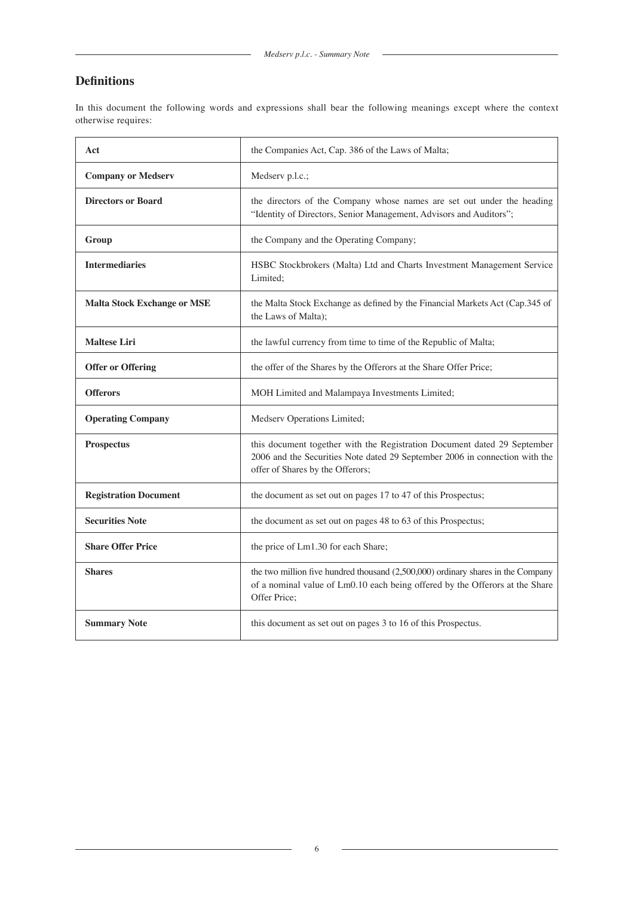# **Definitions**

In this document the following words and expressions shall bear the following meanings except where the context otherwise requires:

| Act                                | the Companies Act, Cap. 386 of the Laws of Malta;                                                                                                                                           |  |
|------------------------------------|---------------------------------------------------------------------------------------------------------------------------------------------------------------------------------------------|--|
| <b>Company or Medserv</b>          | Medserv p.l.c.;                                                                                                                                                                             |  |
| <b>Directors or Board</b>          | the directors of the Company whose names are set out under the heading<br>"Identity of Directors, Senior Management, Advisors and Auditors";                                                |  |
| Group                              | the Company and the Operating Company;                                                                                                                                                      |  |
| <b>Intermediaries</b>              | HSBC Stockbrokers (Malta) Ltd and Charts Investment Management Service<br>Limited;                                                                                                          |  |
| <b>Malta Stock Exchange or MSE</b> | the Malta Stock Exchange as defined by the Financial Markets Act (Cap.345 of<br>the Laws of Malta);                                                                                         |  |
| <b>Maltese Liri</b>                | the lawful currency from time to time of the Republic of Malta;                                                                                                                             |  |
| <b>Offer or Offering</b>           | the offer of the Shares by the Offerors at the Share Offer Price;                                                                                                                           |  |
| <b>Offerors</b>                    | MOH Limited and Malampaya Investments Limited;                                                                                                                                              |  |
| <b>Operating Company</b>           | Medserv Operations Limited;                                                                                                                                                                 |  |
| <b>Prospectus</b>                  | this document together with the Registration Document dated 29 September<br>2006 and the Securities Note dated 29 September 2006 in connection with the<br>offer of Shares by the Offerors; |  |
| <b>Registration Document</b>       | the document as set out on pages 17 to 47 of this Prospectus;                                                                                                                               |  |
| <b>Securities Note</b>             | the document as set out on pages 48 to 63 of this Prospectus;                                                                                                                               |  |
| <b>Share Offer Price</b>           | the price of Lm1.30 for each Share;                                                                                                                                                         |  |
| <b>Shares</b>                      | the two million five hundred thousand (2,500,000) ordinary shares in the Company<br>of a nominal value of Lm0.10 each being offered by the Offerors at the Share<br>Offer Price;            |  |
| <b>Summary Note</b>                | this document as set out on pages 3 to 16 of this Prospectus.                                                                                                                               |  |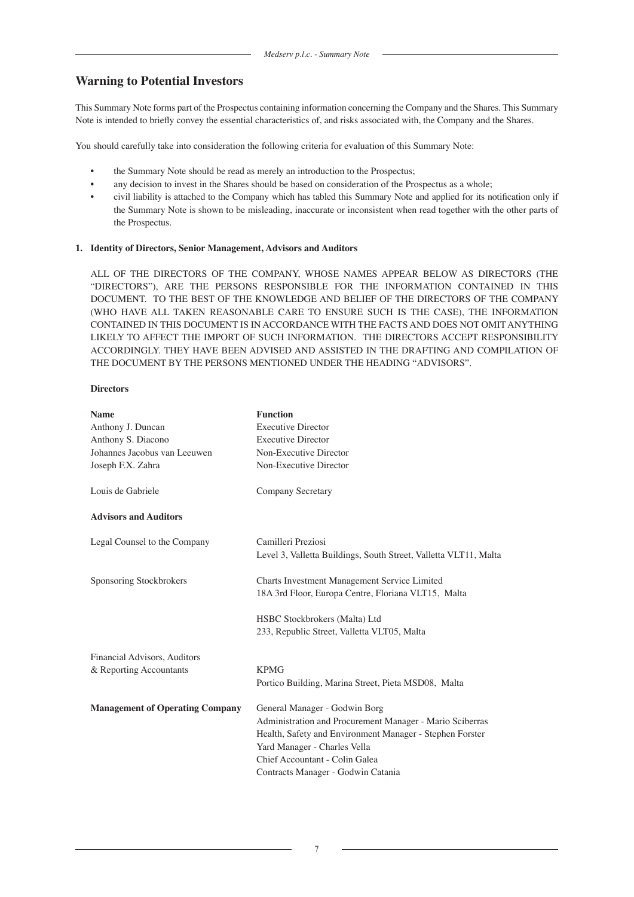# **Warning to Potential Investors**

This Summary Note forms part of the Prospectus containing information concerning the Company and the Shares. This Summary Note is intended to briefly convey the essential characteristics of, and risks associated with, the Company and the Shares.

You should carefully take into consideration the following criteria for evaluation of this Summary Note:

- the Summary Note should be read as merely an introduction to the Prospectus;
- any decision to invest in the Shares should be based on consideration of the Prospectus as a whole;
- civil liability is attached to the Company which has tabled this Summary Note and applied for its notification only if the Summary Note is shown to be misleading, inaccurate or inconsistent when read together with the other parts of the Prospectus.

### **1. Identity of Directors, Senior Management, Advisors and Auditors**

ALL OF THE DIRECTORS OF THE COMPANY, WHOSE NAMES APPEAR BELOW AS DIRECTORS (THE "DIRECTORS"), ARE THE PERSONS RESPONSIBLE FOR THE INFORMATION CONTAINED IN THIS DOCUMENT. TO THE BEST OF THE KNOWLEDGE AND BELIEF OF THE DIRECTORS OF THE COMPANY (WHO HAVE ALL TAKEN REASONABLE CARE TO ENSURE SUCH IS THE CASE), THE INFORMATION CONTAINED IN THIS DOCUMENT IS IN ACCORDANCE WITH THE FACTS AND DOES NOT OMIT ANYTHING LIKELY TO AFFECT THE IMPORT OF SUCH INFORMATION. THE DIRECTORS ACCEPT RESPONSIBILITY ACCORDINGLY. THEY HAVE BEEN ADVISED AND ASSISTED IN THE DRAFTING AND COMPILATION OF THE DOCUMENT BY THE PERSONS MENTIONED UNDER THE HEADING "ADVISORS".

### **Directors**

| <b>Name</b>                            | <b>Function</b>                                                                                     |
|----------------------------------------|-----------------------------------------------------------------------------------------------------|
| Anthony J. Duncan                      | <b>Executive Director</b>                                                                           |
| Anthony S. Diacono                     | <b>Executive Director</b>                                                                           |
| Johannes Jacobus van Leeuwen           | Non-Executive Director                                                                              |
| Joseph F.X. Zahra                      | Non-Executive Director                                                                              |
| Louis de Gabriele                      | <b>Company Secretary</b>                                                                            |
| <b>Advisors and Auditors</b>           |                                                                                                     |
| Legal Counsel to the Company           | Camilleri Preziosi<br>Level 3, Valletta Buildings, South Street, Valletta VLT11, Malta              |
| Sponsoring Stockbrokers                | Charts Investment Management Service Limited<br>18A 3rd Floor, Europa Centre, Floriana VLT15, Malta |
|                                        | HSBC Stockbrokers (Malta) Ltd                                                                       |
|                                        | 233, Republic Street, Valletta VLT05, Malta                                                         |
| Financial Advisors, Auditors           |                                                                                                     |
| & Reporting Accountants                | <b>KPMG</b>                                                                                         |
|                                        | Portico Building, Marina Street, Pieta MSD08, Malta                                                 |
| <b>Management of Operating Company</b> | General Manager - Godwin Borg                                                                       |
|                                        | Administration and Procurement Manager - Mario Sciberras                                            |
|                                        | Health, Safety and Environment Manager - Stephen Forster                                            |
|                                        | Yard Manager - Charles Vella                                                                        |
|                                        | Chief Accountant - Colin Galea                                                                      |
|                                        | Contracts Manager - Godwin Catania                                                                  |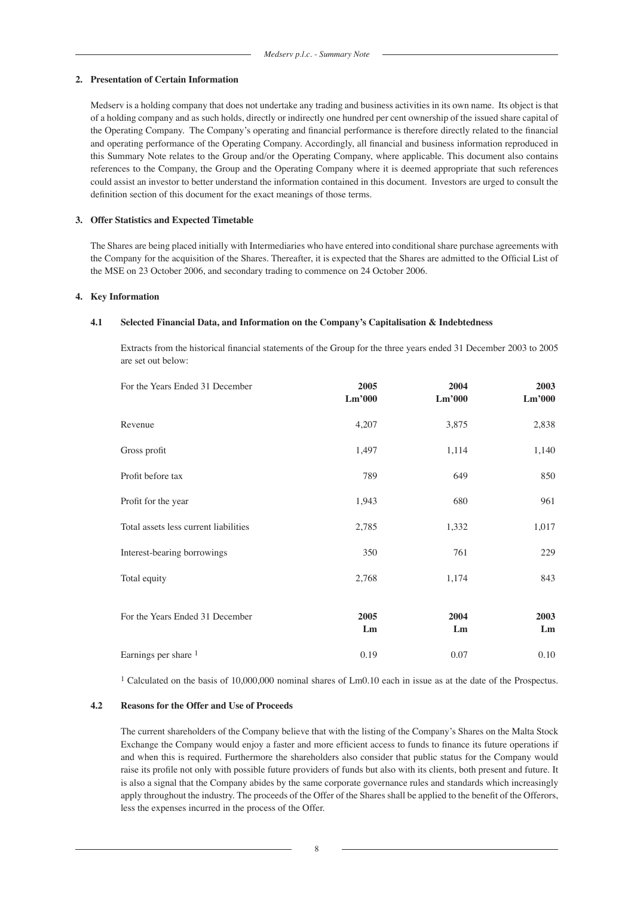# **2. Presentation of Certain Information**

Medserv is a holding company that does not undertake any trading and business activities in its own name. Its object is that of a holding company and as such holds, directly or indirectly one hundred per cent ownership of the issued share capital of the Operating Company. The Company's operating and financial performance is therefore directly related to the financial and operating performance of the Operating Company. Accordingly, all financial and business information reproduced in this Summary Note relates to the Group and/or the Operating Company, where applicable. This document also contains references to the Company, the Group and the Operating Company where it is deemed appropriate that such references could assist an investor to better understand the information contained in this document. Investors are urged to consult the definition section of this document for the exact meanings of those terms.

# **3. Offer Statistics and Expected Timetable**

The Shares are being placed initially with Intermediaries who have entered into conditional share purchase agreements with the Company for the acquisition of the Shares. Thereafter, it is expected that the Shares are admitted to the Official List of the MSE on 23 October 2006, and secondary trading to commence on 24 October 2006.

# **4. Key Information**

# **4.1 Selected Financial Data, and Information on the Company's Capitalisation & Indebtedness**

Extracts from the historical financial statements of the Group for the three years ended 31 December 2003 to 2005 are set out below:

| For the Years Ended 31 December       | 2005<br>Lm'000 | 2004<br>Lm'000 | 2003<br>Lm'000 |
|---------------------------------------|----------------|----------------|----------------|
| Revenue                               | 4,207          | 3,875          | 2,838          |
| Gross profit                          | 1,497          | 1,114          | 1,140          |
| Profit before tax                     | 789            | 649            | 850            |
| Profit for the year                   | 1,943          | 680            | 961            |
| Total assets less current liabilities | 2,785          | 1,332          | 1,017          |
| Interest-bearing borrowings           | 350            | 761            | 229            |
| Total equity                          | 2,768          | 1,174          | 843            |
| For the Years Ended 31 December       | 2005<br>Lm     | 2004<br>Lm     | 2003<br>Lm     |
| Earnings per share 1                  | 0.19           | 0.07           | 0.10           |

1 Calculated on the basis of 10,000,000 nominal shares of Lm0.10 each in issue as at the date of the Prospectus.

### **4.2 Reasons for the Offer and Use of Proceeds**

The current shareholders of the Company believe that with the listing of the Company's Shares on the Malta Stock Exchange the Company would enjoy a faster and more efficient access to funds to finance its future operations if and when this is required. Furthermore the shareholders also consider that public status for the Company would raise its profile not only with possible future providers of funds but also with its clients, both present and future. It is also a signal that the Company abides by the same corporate governance rules and standards which increasingly apply throughout the industry. The proceeds of the Offer of the Shares shall be applied to the benefit of the Offerors, less the expenses incurred in the process of the Offer.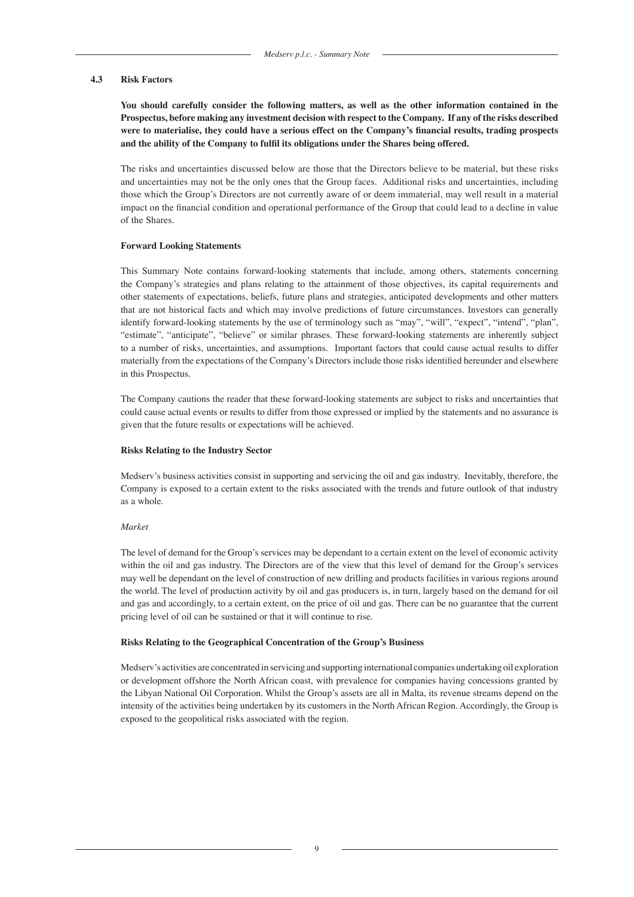#### **4.3 Risk Factors**

**You should carefully consider the following matters, as well as the other information contained in the Prospectus, before making any investment decision with respect to the Company. If any of the risks described were to materialise, they could have a serious effect on the Company's financial results, trading prospects and the ability of the Company to fulfil its obligations under the Shares being offered.**

The risks and uncertainties discussed below are those that the Directors believe to be material, but these risks and uncertainties may not be the only ones that the Group faces. Additional risks and uncertainties, including those which the Group's Directors are not currently aware of or deem immaterial, may well result in a material impact on the financial condition and operational performance of the Group that could lead to a decline in value of the Shares.

#### **Forward Looking Statements**

This Summary Note contains forward-looking statements that include, among others, statements concerning the Company's strategies and plans relating to the attainment of those objectives, its capital requirements and other statements of expectations, beliefs, future plans and strategies, anticipated developments and other matters that are not historical facts and which may involve predictions of future circumstances. Investors can generally identify forward-looking statements by the use of terminology such as "may", "will", "expect", "intend", "plan", "estimate", "anticipate", "believe" or similar phrases. These forward-looking statements are inherently subject to a number of risks, uncertainties, and assumptions. Important factors that could cause actual results to differ materially from the expectations of the Company's Directors include those risks identified hereunder and elsewhere in this Prospectus.

The Company cautions the reader that these forward-looking statements are subject to risks and uncertainties that could cause actual events or results to differ from those expressed or implied by the statements and no assurance is given that the future results or expectations will be achieved.

#### **Risks Relating to the Industry Sector**

Medserv's business activities consist in supporting and servicing the oil and gas industry. Inevitably, therefore, the Company is exposed to a certain extent to the risks associated with the trends and future outlook of that industry as a whole.

#### *Market*

The level of demand for the Group's services may be dependant to a certain extent on the level of economic activity within the oil and gas industry. The Directors are of the view that this level of demand for the Group's services may well be dependant on the level of construction of new drilling and products facilities in various regions around the world. The level of production activity by oil and gas producers is, in turn, largely based on the demand for oil and gas and accordingly, to a certain extent, on the price of oil and gas. There can be no guarantee that the current pricing level of oil can be sustained or that it will continue to rise.

#### **Risks Relating to the Geographical Concentration of the Group's Business**

Medserv's activities are concentrated in servicing and supporting international companies undertaking oil exploration or development offshore the North African coast, with prevalence for companies having concessions granted by the Libyan National Oil Corporation. Whilst the Group's assets are all in Malta, its revenue streams depend on the intensity of the activities being undertaken by its customers in the North African Region. Accordingly, the Group is exposed to the geopolitical risks associated with the region.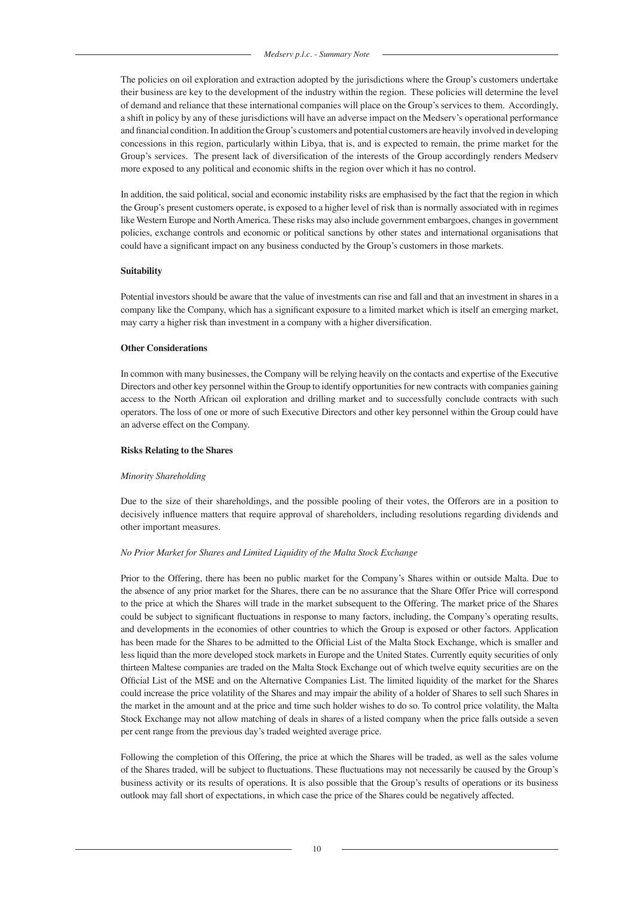The policies on oil exploration and extraction adopted by the jurisdictions where the Group's customers undertake their business are key to the development of the industry within the region. These policies will determine the level of demand and reliance that these international companies will place on the Group's services to them. Accordingly, a shift in policy by any of these jurisdictions will have an adverse impact on the Medserv's operational performance and financial condition. In addition the Group's customers and potential customers are heavily involved in developing concessions in this region, particularly within Libya, that is, and is expected to remain, the prime market for the Group's services. The present lack of diversification of the interests of the Group accordingly renders Medserv more exposed to any political and economic shifts in the region over which it has no control.

In addition, the said political, social and economic instability risks are emphasised by the fact that the region in which the Group's present customers operate, is exposed to a higher level of risk than is normally associated with in regimes like Western Europe and North America. These risks may also include government embargoes, changes in government policies, exchange controls and economic or political sanctions by other states and international organisations that could have a significant impact on any business conducted by the Group's customers in those markets.

#### **Suitability**

Potential investors should be aware that the value of investments can rise and fall and that an investment in shares in a company like the Company, which has a significant exposure to a limited market which is itself an emerging market, may carry a higher risk than investment in a company with a higher diversification.

#### **Other Considerations**

In common with many businesses, the Company will be relying heavily on the contacts and expertise of the Executive Directors and other key personnel within the Group to identify opportunities for new contracts with companies gaining access to the North African oil exploration and drilling market and to successfully conclude contracts with such operators. The loss of one or more of such Executive Directors and other key personnel within the Group could have an adverse effect on the Company.

#### **Risks Relating to the Shares**

#### *Minority Shareholding*

Due to the size of their shareholdings, and the possible pooling of their votes, the Offerors are in a position to decisively influence matters that require approval of shareholders, including resolutions regarding dividends and other important measures.

### *No Prior Market for Shares and Limited Liquidity of the Malta Stock Exchange*

Prior to the Offering, there has been no public market for the Company's Shares within or outside Malta. Due to the absence of any prior market for the Shares, there can be no assurance that the Share Offer Price will correspond to the price at which the Shares will trade in the market subsequent to the Offering. The market price of the Shares could be subject to significant fluctuations in response to many factors, including, the Company's operating results, and developments in the economies of other countries to which the Group is exposed or other factors. Application has been made for the Shares to be admitted to the Official List of the Malta Stock Exchange, which is smaller and less liquid than the more developed stock markets in Europe and the United States. Currently equity securities of only thirteen Maltese companies are traded on the Malta Stock Exchange out of which twelve equity securities are on the Official List of the MSE and on the Alternative Companies List. The limited liquidity of the market for the Shares could increase the price volatility of the Shares and may impair the ability of a holder of Shares to sell such Shares in the market in the amount and at the price and time such holder wishes to do so. To control price volatility, the Malta Stock Exchange may not allow matching of deals in shares of a listed company when the price falls outside a seven per cent range from the previous day's traded weighted average price.

Following the completion of this Offering, the price at which the Shares will be traded, as well as the sales volume of the Shares traded, will be subject to fluctuations. These fluctuations may not necessarily be caused by the Group's business activity or its results of operations. It is also possible that the Group's results of operations or its business outlook may fall short of expectations, in which case the price of the Shares could be negatively affected.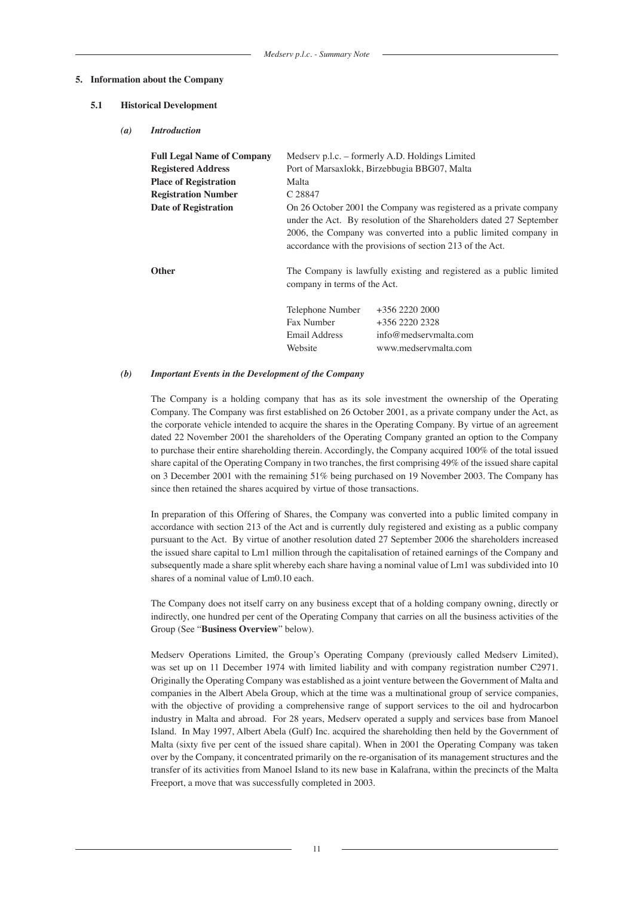#### **5. Information about the Company**

#### **5.1 Historical Development**

#### *(a) Introduction*

| <b>Full Legal Name of Company</b><br><b>Registered Address</b><br><b>Place of Registration</b><br><b>Registration Number</b><br><b>Date of Registration</b> | Medserv p.l.c. - formerly A.D. Holdings Limited<br>Port of Marsaxlokk, Birzebbugia BBG07, Malta<br>Malta<br>C 28847<br>On 26 October 2001 the Company was registered as a private company<br>under the Act. By resolution of the Shareholders dated 27 September<br>2006, the Company was converted into a public limited company in<br>accordance with the provisions of section 213 of the Act. |                                                                                       |  |
|-------------------------------------------------------------------------------------------------------------------------------------------------------------|---------------------------------------------------------------------------------------------------------------------------------------------------------------------------------------------------------------------------------------------------------------------------------------------------------------------------------------------------------------------------------------------------|---------------------------------------------------------------------------------------|--|
| <b>Other</b>                                                                                                                                                | The Company is lawfully existing and registered as a public limited<br>company in terms of the Act.                                                                                                                                                                                                                                                                                               |                                                                                       |  |
|                                                                                                                                                             | Telephone Number<br>Fax Number<br>Email Address<br>Website                                                                                                                                                                                                                                                                                                                                        | $+356$ 2220 2000<br>$+356$ 2220 2328<br>info@medservmalta.com<br>www.medservmalta.com |  |

#### *(b) Important Events in the Development of the Company*

The Company is a holding company that has as its sole investment the ownership of the Operating Company. The Company was first established on 26 October 2001, as a private company under the Act, as the corporate vehicle intended to acquire the shares in the Operating Company. By virtue of an agreement dated 22 November 2001 the shareholders of the Operating Company granted an option to the Company to purchase their entire shareholding therein. Accordingly, the Company acquired 100% of the total issued share capital of the Operating Company in two tranches, the first comprising 49% of the issued share capital on 3 December 2001 with the remaining 51% being purchased on 19 November 2003. The Company has since then retained the shares acquired by virtue of those transactions.

In preparation of this Offering of Shares, the Company was converted into a public limited company in accordance with section 213 of the Act and is currently duly registered and existing as a public company pursuant to the Act. By virtue of another resolution dated 27 September 2006 the shareholders increased the issued share capital to Lm1 million through the capitalisation of retained earnings of the Company and subsequently made a share split whereby each share having a nominal value of Lm1 was subdivided into 10 shares of a nominal value of Lm0.10 each.

The Company does not itself carry on any business except that of a holding company owning, directly or indirectly, one hundred per cent of the Operating Company that carries on all the business activities of the Group (See "**Business Overview**" below).

Medserv Operations Limited, the Group's Operating Company (previously called Medserv Limited), was set up on 11 December 1974 with limited liability and with company registration number C2971. Originally the Operating Company was established as a joint venture between the Government of Malta and companies in the Albert Abela Group, which at the time was a multinational group of service companies, with the objective of providing a comprehensive range of support services to the oil and hydrocarbon industry in Malta and abroad. For 28 years, Medserv operated a supply and services base from Manoel Island. In May 1997, Albert Abela (Gulf) Inc. acquired the shareholding then held by the Government of Malta (sixty five per cent of the issued share capital). When in 2001 the Operating Company was taken over by the Company, it concentrated primarily on the re-organisation of its management structures and the transfer of its activities from Manoel Island to its new base in Kalafrana, within the precincts of the Malta Freeport, a move that was successfully completed in 2003.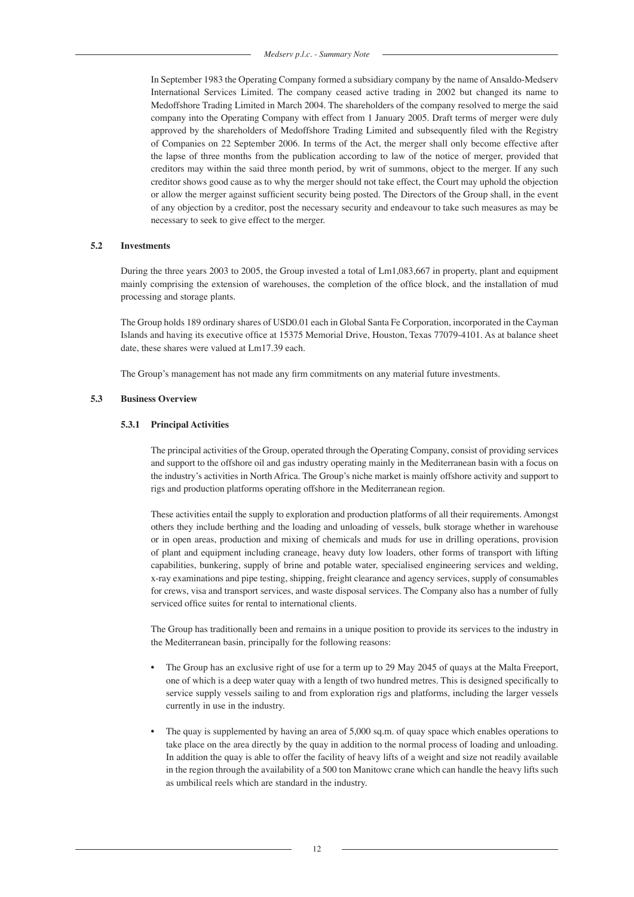In September 1983 the Operating Company formed a subsidiary company by the name of Ansaldo-Medserv International Services Limited. The company ceased active trading in 2002 but changed its name to Medoffshore Trading Limited in March 2004. The shareholders of the company resolved to merge the said company into the Operating Company with effect from 1 January 2005. Draft terms of merger were duly approved by the shareholders of Medoffshore Trading Limited and subsequently filed with the Registry of Companies on 22 September 2006. In terms of the Act, the merger shall only become effective after the lapse of three months from the publication according to law of the notice of merger, provided that creditors may within the said three month period, by writ of summons, object to the merger. If any such creditor shows good cause as to why the merger should not take effect, the Court may uphold the objection or allow the merger against sufficient security being posted. The Directors of the Group shall, in the event of any objection by a creditor, post the necessary security and endeavour to take such measures as may be necessary to seek to give effect to the merger.

#### **5.2 Investments**

During the three years 2003 to 2005, the Group invested a total of Lm1,083,667 in property, plant and equipment mainly comprising the extension of warehouses, the completion of the office block, and the installation of mud processing and storage plants.

The Group holds 189 ordinary shares of USD0.01 each in Global Santa Fe Corporation, incorporated in the Cayman Islands and having its executive office at 15375 Memorial Drive, Houston, Texas 77079-4101. As at balance sheet date, these shares were valued at Lm17.39 each.

The Group's management has not made any firm commitments on any material future investments.

#### **5.3 Business Overview**

#### **5.3.1 Principal Activities**

The principal activities of the Group, operated through the Operating Company, consist of providing services and support to the offshore oil and gas industry operating mainly in the Mediterranean basin with a focus on the industry's activities in North Africa. The Group's niche market is mainly offshore activity and support to rigs and production platforms operating offshore in the Mediterranean region.

These activities entail the supply to exploration and production platforms of all their requirements. Amongst others they include berthing and the loading and unloading of vessels, bulk storage whether in warehouse or in open areas, production and mixing of chemicals and muds for use in drilling operations, provision of plant and equipment including craneage, heavy duty low loaders, other forms of transport with lifting capabilities, bunkering, supply of brine and potable water, specialised engineering services and welding, x-ray examinations and pipe testing, shipping, freight clearance and agency services, supply of consumables for crews, visa and transport services, and waste disposal services. The Company also has a number of fully serviced office suites for rental to international clients.

The Group has traditionally been and remains in a unique position to provide its services to the industry in the Mediterranean basin, principally for the following reasons:

- The Group has an exclusive right of use for a term up to 29 May 2045 of quays at the Malta Freeport, one of which is a deep water quay with a length of two hundred metres. This is designed specifically to service supply vessels sailing to and from exploration rigs and platforms, including the larger vessels currently in use in the industry.
- The quay is supplemented by having an area of 5,000 sq.m. of quay space which enables operations to take place on the area directly by the quay in addition to the normal process of loading and unloading. In addition the quay is able to offer the facility of heavy lifts of a weight and size not readily available in the region through the availability of a 500 ton Manitowc crane which can handle the heavy lifts such as umbilical reels which are standard in the industry.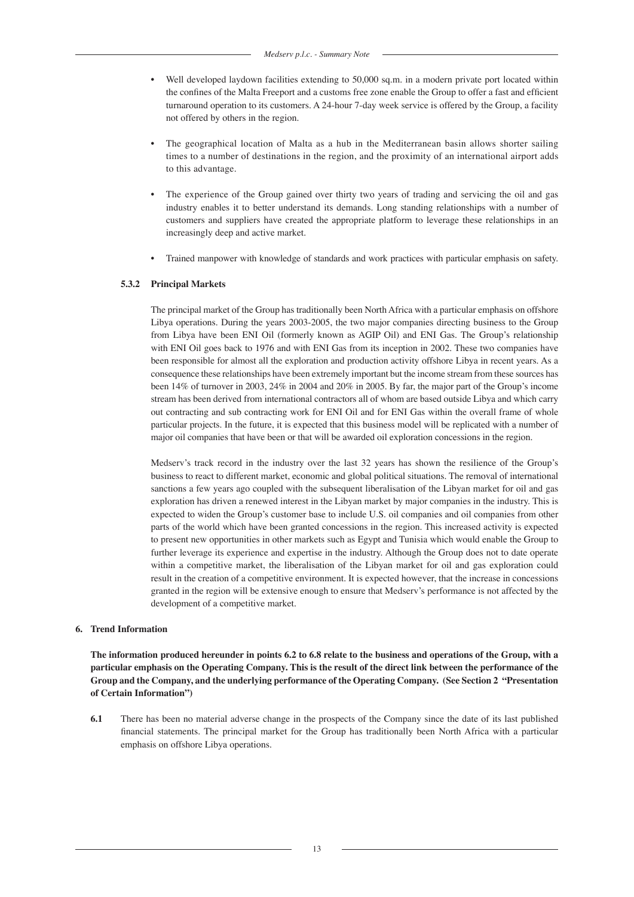- Well developed laydown facilities extending to 50,000 sq.m. in a modern private port located within the confines of the Malta Freeport and a customs free zone enable the Group to offer a fast and efficient turnaround operation to its customers. A 24-hour 7-day week service is offered by the Group, a facility not offered by others in the region.
- The geographical location of Malta as a hub in the Mediterranean basin allows shorter sailing times to a number of destinations in the region, and the proximity of an international airport adds to this advantage.
- The experience of the Group gained over thirty two years of trading and servicing the oil and gas industry enables it to better understand its demands. Long standing relationships with a number of customers and suppliers have created the appropriate platform to leverage these relationships in an increasingly deep and active market.
- Trained manpower with knowledge of standards and work practices with particular emphasis on safety.

### **5.3.2 Principal Markets**

The principal market of the Group has traditionally been North Africa with a particular emphasis on offshore Libya operations. During the years 2003-2005, the two major companies directing business to the Group from Libya have been ENI Oil (formerly known as AGIP Oil) and ENI Gas. The Group's relationship with ENI Oil goes back to 1976 and with ENI Gas from its inception in 2002. These two companies have been responsible for almost all the exploration and production activity offshore Libya in recent years. As a consequence these relationships have been extremely important but the income stream from these sources has been 14% of turnover in 2003, 24% in 2004 and 20% in 2005. By far, the major part of the Group's income stream has been derived from international contractors all of whom are based outside Libya and which carry out contracting and sub contracting work for ENI Oil and for ENI Gas within the overall frame of whole particular projects. In the future, it is expected that this business model will be replicated with a number of major oil companies that have been or that will be awarded oil exploration concessions in the region.

Medserv's track record in the industry over the last 32 years has shown the resilience of the Group's business to react to different market, economic and global political situations. The removal of international sanctions a few years ago coupled with the subsequent liberalisation of the Libyan market for oil and gas exploration has driven a renewed interest in the Libyan market by major companies in the industry. This is expected to widen the Group's customer base to include U.S. oil companies and oil companies from other parts of the world which have been granted concessions in the region. This increased activity is expected to present new opportunities in other markets such as Egypt and Tunisia which would enable the Group to further leverage its experience and expertise in the industry. Although the Group does not to date operate within a competitive market, the liberalisation of the Libyan market for oil and gas exploration could result in the creation of a competitive environment. It is expected however, that the increase in concessions granted in the region will be extensive enough to ensure that Medserv's performance is not affected by the development of a competitive market.

### **6. Trend Information**

**The information produced hereunder in points 6.2 to 6.8 relate to the business and operations of the Group, with a particular emphasis on the Operating Company. This is the result of the direct link between the performance of the Group and the Company, and the underlying performance of the Operating Company. (See Section 2 "Presentation of Certain Information")**

**6.1** There has been no material adverse change in the prospects of the Company since the date of its last published financial statements. The principal market for the Group has traditionally been North Africa with a particular emphasis on offshore Libya operations.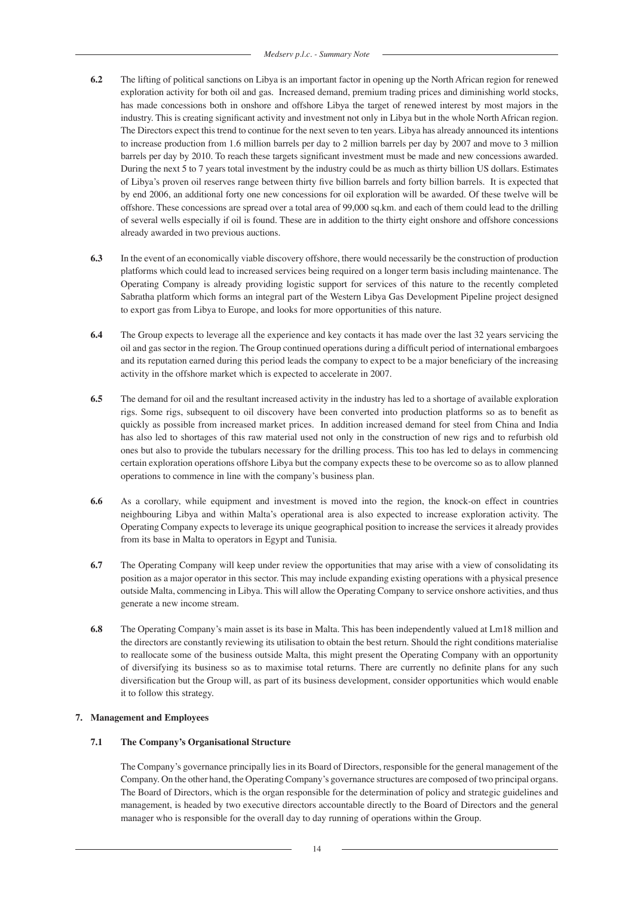- **6.2** The lifting of political sanctions on Libya is an important factor in opening up the North African region for renewed exploration activity for both oil and gas. Increased demand, premium trading prices and diminishing world stocks, has made concessions both in onshore and offshore Libya the target of renewed interest by most majors in the industry. This is creating significant activity and investment not only in Libya but in the whole North African region. The Directors expect this trend to continue for the next seven to ten years. Libya has already announced its intentions to increase production from 1.6 million barrels per day to 2 million barrels per day by 2007 and move to 3 million barrels per day by 2010. To reach these targets significant investment must be made and new concessions awarded. During the next 5 to 7 years total investment by the industry could be as much as thirty billion US dollars. Estimates of Libya's proven oil reserves range between thirty five billion barrels and forty billion barrels. It is expected that by end 2006, an additional forty one new concessions for oil exploration will be awarded. Of these twelve will be offshore. These concessions are spread over a total area of 99,000 sq.km. and each of them could lead to the drilling of several wells especially if oil is found. These are in addition to the thirty eight onshore and offshore concessions already awarded in two previous auctions.
- **6.3** In the event of an economically viable discovery offshore, there would necessarily be the construction of production platforms which could lead to increased services being required on a longer term basis including maintenance. The Operating Company is already providing logistic support for services of this nature to the recently completed Sabratha platform which forms an integral part of the Western Libya Gas Development Pipeline project designed to export gas from Libya to Europe, and looks for more opportunities of this nature.
- **6.4** The Group expects to leverage all the experience and key contacts it has made over the last 32 years servicing the oil and gas sector in the region. The Group continued operations during a difficult period of international embargoes and its reputation earned during this period leads the company to expect to be a major beneficiary of the increasing activity in the offshore market which is expected to accelerate in 2007.
- **6.5** The demand for oil and the resultant increased activity in the industry has led to a shortage of available exploration rigs. Some rigs, subsequent to oil discovery have been converted into production platforms so as to benefit as quickly as possible from increased market prices. In addition increased demand for steel from China and India has also led to shortages of this raw material used not only in the construction of new rigs and to refurbish old ones but also to provide the tubulars necessary for the drilling process. This too has led to delays in commencing certain exploration operations offshore Libya but the company expects these to be overcome so as to allow planned operations to commence in line with the company's business plan.
- **6.6** As a corollary, while equipment and investment is moved into the region, the knock-on effect in countries neighbouring Libya and within Malta's operational area is also expected to increase exploration activity. The Operating Company expects to leverage its unique geographical position to increase the services it already provides from its base in Malta to operators in Egypt and Tunisia.
- **6.7** The Operating Company will keep under review the opportunities that may arise with a view of consolidating its position as a major operator in this sector. This may include expanding existing operations with a physical presence outside Malta, commencing in Libya. This will allow the Operating Company to service onshore activities, and thus generate a new income stream.
- **6.8** The Operating Company's main asset is its base in Malta. This has been independently valued at Lm18 million and the directors are constantly reviewing its utilisation to obtain the best return. Should the right conditions materialise to reallocate some of the business outside Malta, this might present the Operating Company with an opportunity of diversifying its business so as to maximise total returns. There are currently no definite plans for any such diversification but the Group will, as part of its business development, consider opportunities which would enable it to follow this strategy.

# **7. Management and Employees**

### **7.1 The Company's Organisational Structure**

The Company's governance principally lies in its Board of Directors, responsible for the general management of the Company. On the other hand, the Operating Company's governance structures are composed of two principal organs. The Board of Directors, which is the organ responsible for the determination of policy and strategic guidelines and management, is headed by two executive directors accountable directly to the Board of Directors and the general manager who is responsible for the overall day to day running of operations within the Group.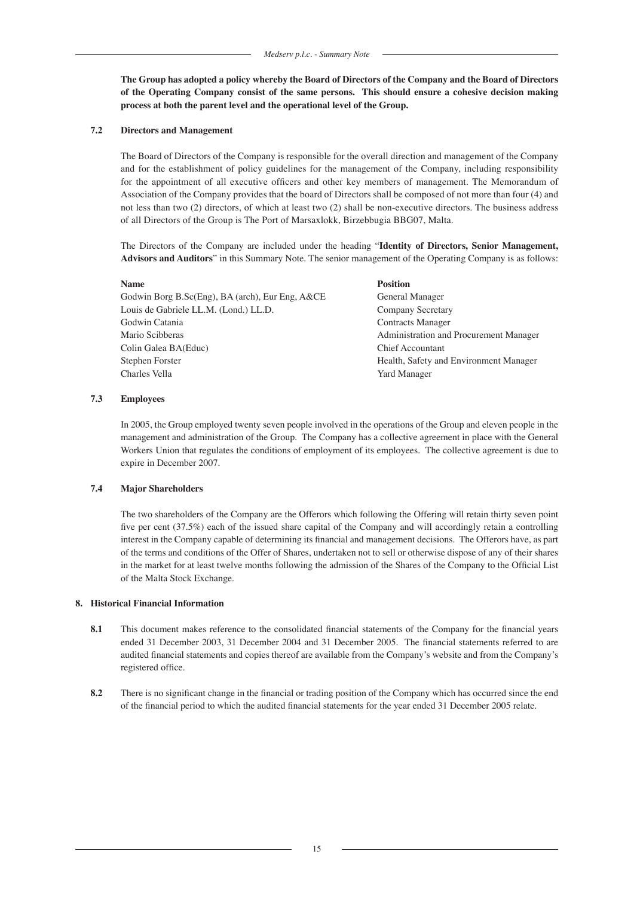**The Group has adopted a policy whereby the Board of Directors of the Company and the Board of Directors of the Operating Company consist of the same persons. This should ensure a cohesive decision making process at both the parent level and the operational level of the Group.**

#### **7.2 Directors and Management**

The Board of Directors of the Company is responsible for the overall direction and management of the Company and for the establishment of policy guidelines for the management of the Company, including responsibility for the appointment of all executive officers and other key members of management. The Memorandum of Association of the Company provides that the board of Directors shall be composed of not more than four (4) and not less than two (2) directors, of which at least two (2) shall be non-executive directors. The business address of all Directors of the Group is The Port of Marsaxlokk, Birzebbugia BBG07, Malta.

The Directors of the Company are included under the heading "**Identity of Directors, Senior Management, Advisors and Auditors**" in this Summary Note. The senior management of the Operating Company is as follows:

#### **Name Position**

Godwin Borg B.Sc(Eng), BA (arch), Eur Eng, A&CE General Manager Louis de Gabriele LL.M. (Lond.) LL.D. Company Secretary Godwin Catania **Contracts Manager** Contracts Manager Mario Scibberas **Administration and Procurement Manager** Administration and Procurement Manager Colin Galea BA(Educ) Chief Accountant Stephen Forster Health, Safety and Environment Manager Charles Vella Yard Manager

# **7.3 Employees**

In 2005, the Group employed twenty seven people involved in the operations of the Group and eleven people in the management and administration of the Group. The Company has a collective agreement in place with the General Workers Union that regulates the conditions of employment of its employees. The collective agreement is due to expire in December 2007.

#### **7.4 Major Shareholders**

The two shareholders of the Company are the Offerors which following the Offering will retain thirty seven point five per cent (37.5%) each of the issued share capital of the Company and will accordingly retain a controlling interest in the Company capable of determining its financial and management decisions. The Offerors have, as part of the terms and conditions of the Offer of Shares, undertaken not to sell or otherwise dispose of any of their shares in the market for at least twelve months following the admission of the Shares of the Company to the Official List of the Malta Stock Exchange.

### **8. Historical Financial Information**

- **8.1** This document makes reference to the consolidated financial statements of the Company for the financial years ended 31 December 2003, 31 December 2004 and 31 December 2005. The financial statements referred to are audited financial statements and copies thereof are available from the Company's website and from the Company's registered office.
- **8.2** There is no significant change in the financial or trading position of the Company which has occurred since the end of the financial period to which the audited financial statements for the year ended 31 December 2005 relate.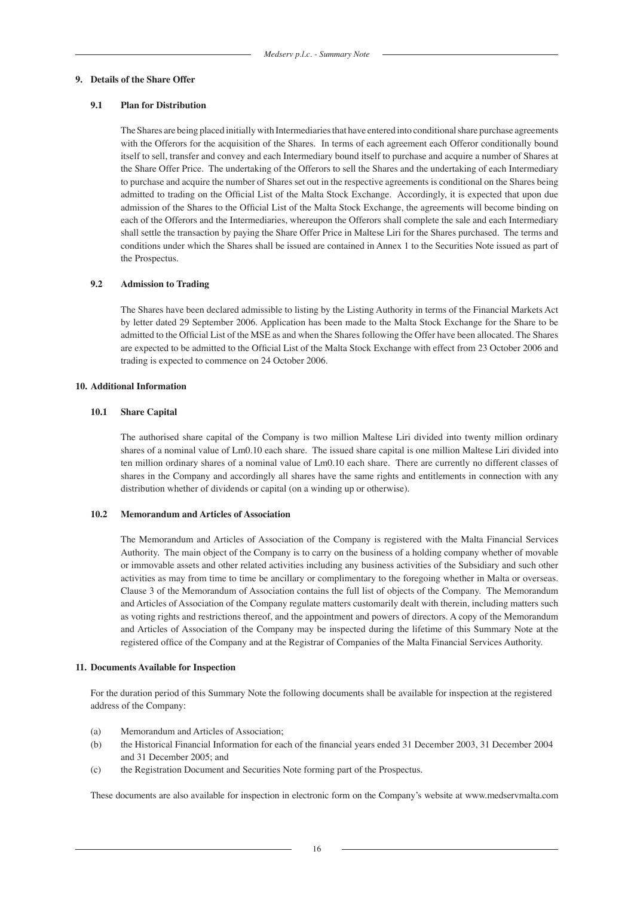#### **9. Details of the Share Offer**

### **9.1 Plan for Distribution**

The Shares are being placed initially with Intermediaries that have entered into conditional share purchase agreements with the Offerors for the acquisition of the Shares. In terms of each agreement each Offeror conditionally bound itself to sell, transfer and convey and each Intermediary bound itself to purchase and acquire a number of Shares at the Share Offer Price. The undertaking of the Offerors to sell the Shares and the undertaking of each Intermediary to purchase and acquire the number of Shares set out in the respective agreements is conditional on the Shares being admitted to trading on the Official List of the Malta Stock Exchange. Accordingly, it is expected that upon due admission of the Shares to the Official List of the Malta Stock Exchange, the agreements will become binding on each of the Offerors and the Intermediaries, whereupon the Offerors shall complete the sale and each Intermediary shall settle the transaction by paying the Share Offer Price in Maltese Liri for the Shares purchased. The terms and conditions under which the Shares shall be issued are contained in Annex 1 to the Securities Note issued as part of the Prospectus.

#### **9.2 Admission to Trading**

The Shares have been declared admissible to listing by the Listing Authority in terms of the Financial Markets Act by letter dated 29 September 2006. Application has been made to the Malta Stock Exchange for the Share to be admitted to the Official List of the MSE as and when the Shares following the Offer have been allocated. The Shares are expected to be admitted to the Official List of the Malta Stock Exchange with effect from 23 October 2006 and trading is expected to commence on 24 October 2006.

#### **10. Additional Information**

#### **10.1 Share Capital**

The authorised share capital of the Company is two million Maltese Liri divided into twenty million ordinary shares of a nominal value of Lm0.10 each share. The issued share capital is one million Maltese Liri divided into ten million ordinary shares of a nominal value of Lm0.10 each share. There are currently no different classes of shares in the Company and accordingly all shares have the same rights and entitlements in connection with any distribution whether of dividends or capital (on a winding up or otherwise).

#### **10.2 Memorandum and Articles of Association**

The Memorandum and Articles of Association of the Company is registered with the Malta Financial Services Authority. The main object of the Company is to carry on the business of a holding company whether of movable or immovable assets and other related activities including any business activities of the Subsidiary and such other activities as may from time to time be ancillary or complimentary to the foregoing whether in Malta or overseas. Clause 3 of the Memorandum of Association contains the full list of objects of the Company. The Memorandum and Articles of Association of the Company regulate matters customarily dealt with therein, including matters such as voting rights and restrictions thereof, and the appointment and powers of directors. A copy of the Memorandum and Articles of Association of the Company may be inspected during the lifetime of this Summary Note at the registered office of the Company and at the Registrar of Companies of the Malta Financial Services Authority.

#### **11. Documents Available for Inspection**

For the duration period of this Summary Note the following documents shall be available for inspection at the registered address of the Company:

- (a) Memorandum and Articles of Association;
- (b) the Historical Financial Information for each of the financial years ended 31 December 2003, 31 December 2004 and 31 December 2005; and
- (c) the Registration Document and Securities Note forming part of the Prospectus.

These documents are also available for inspection in electronic form on the Company's website at www.medservmalta.com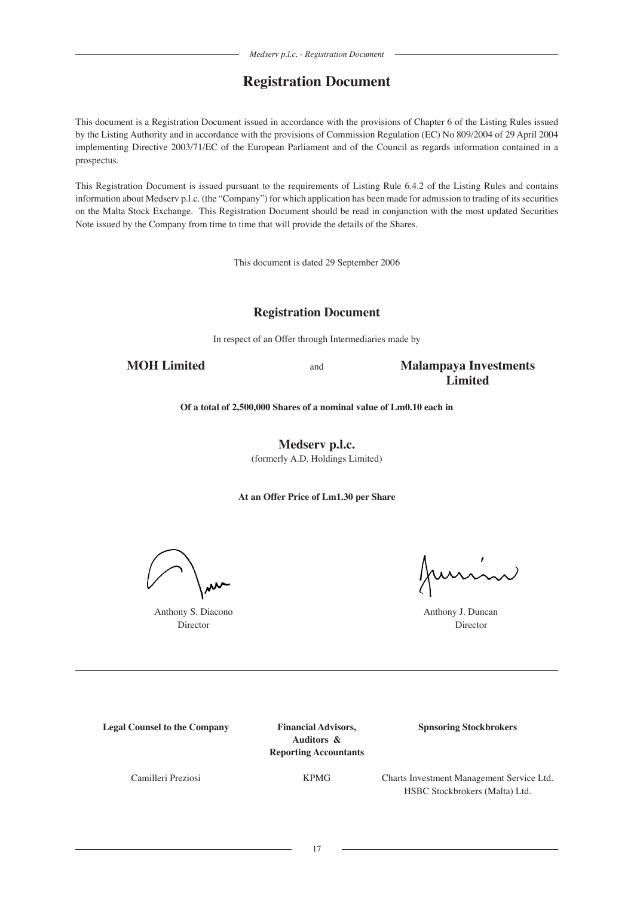# **Registration Document**

This document is a Registration Document issued in accordance with the provisions of Chapter 6 of the Listing Rules issued by the Listing Authority and in accordance with the provisions of Commission Regulation (EC) No 809/2004 of 29 April 2004 implementing Directive 2003/71/EC of the European Parliament and of the Council as regards information contained in a prospectus.

This Registration Document is issued pursuant to the requirements of Listing Rule 6.4.2 of the Listing Rules and contains information about Medserv p.l.c. (the "Company") for which application has been made for admission to trading of its securities on the Malta Stock Exchange. This Registration Document should be read in conjunction with the most updated Securities Note issued by the Company from time to time that will provide the details of the Shares.

This document is dated 29 September 2006

# **Registration Document**

In respect of an Offer through Intermediaries made by

**MOH Limited** and **Malampaya Investments Limited**

**Of a total of 2,500,000 Shares of a nominal value of Lm0.10 each in**

**Medserv p.l.c.** (formerly A.D. Holdings Limited)

**At an Offer Price of Lm1.30 per Share**

Anthony S. Diacono **Anthony J. Duncan** 

unin

Director Director

**Legal Counsel to the Company Financial Advisors, Spnsoring Stockbrokers** 

**Auditors & Reporting Accountants**

Camilleri Preziosi KPMG Charts Investment Management Service Ltd. HSBC Stockbrokers (Malta) Ltd.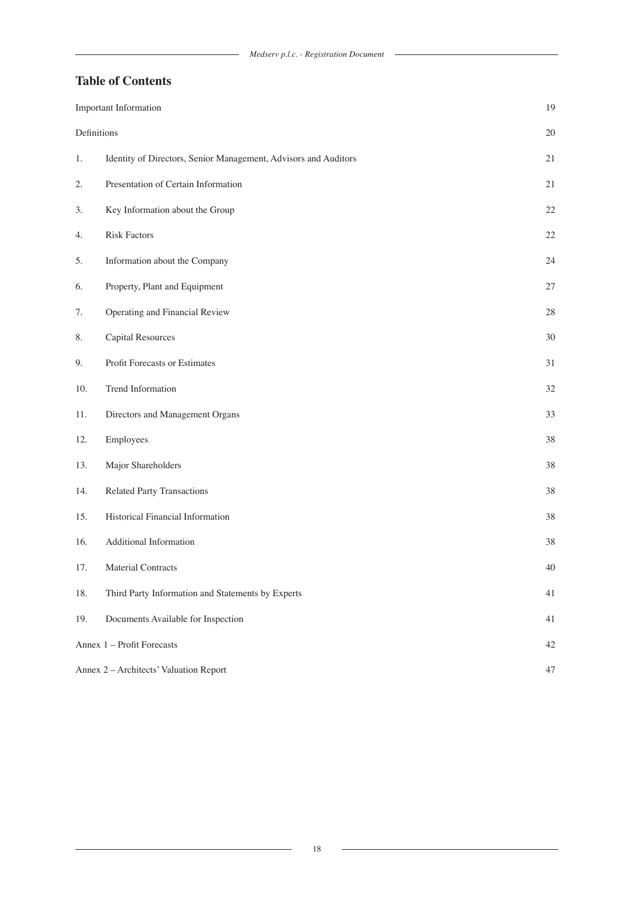# **Table of Contents**

|             | <b>Important Information</b>                                    | 19     |
|-------------|-----------------------------------------------------------------|--------|
| Definitions |                                                                 | $20\,$ |
| 1.          | Identity of Directors, Senior Management, Advisors and Auditors | $21\,$ |
| 2.          | Presentation of Certain Information                             | $21\,$ |
| 3.          | Key Information about the Group                                 | $22\,$ |
| 4.          | <b>Risk Factors</b>                                             | $22\,$ |
| 5.          | Information about the Company                                   | 24     |
| 6.          | Property, Plant and Equipment                                   | 27     |
| 7.          | Operating and Financial Review                                  | $28\,$ |
| 8.          | <b>Capital Resources</b>                                        | 30     |
| 9.          | Profit Forecasts or Estimates                                   | 31     |
| 10.         | Trend Information                                               | $32\,$ |
| 11.         | Directors and Management Organs                                 | 33     |
| 12.         | Employees                                                       | 38     |
| 13.         | Major Shareholders                                              | 38     |
| 14.         | <b>Related Party Transactions</b>                               | 38     |
| 15.         | Historical Financial Information                                | 38     |
| 16.         | Additional Information                                          | 38     |
| 17.         | <b>Material Contracts</b>                                       | 40     |
| 18.         | Third Party Information and Statements by Experts               | 41     |
| 19.         | Documents Available for Inspection                              | 41     |
|             | Annex 1 - Profit Forecasts                                      | $42\,$ |
|             | Annex 2 - Architects' Valuation Report                          | 47     |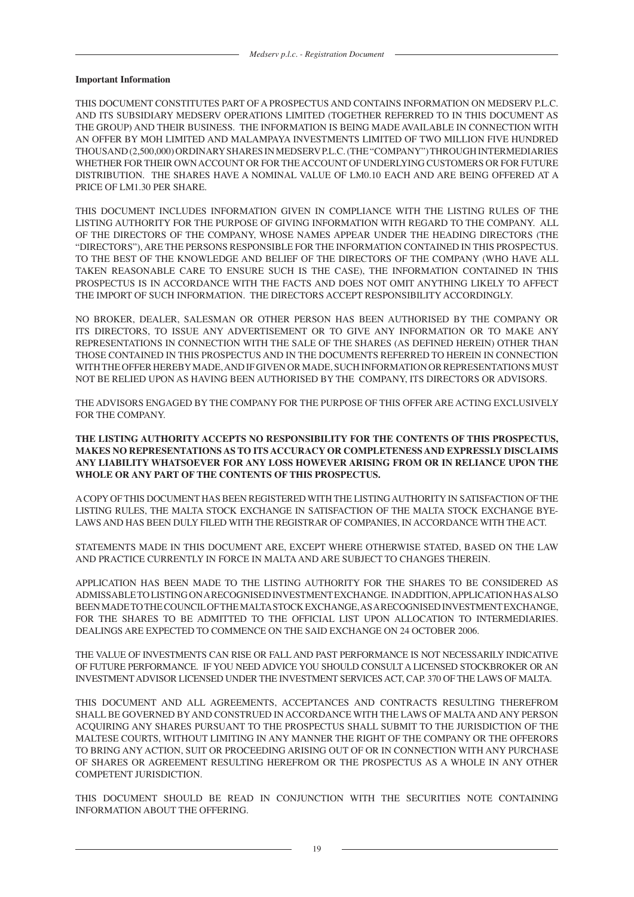#### **Important Information**

THIS DOCUMENT CONSTITUTES PART OF A PROSPECTUS AND CONTAINS INFORMATION ON MEDSERV P.L.C. AND ITS SUBSIDIARY MEDSERV OPERATIONS LIMITED (TOGETHER REFERRED TO IN THIS DOCUMENT AS THE GROUP) AND THEIR BUSINESS. THE INFORMATION IS BEING MADE AVAILABLE IN CONNECTION WITH AN OFFER BY MOH LIMITED AND MALAMPAYA INVESTMENTS LIMITED OF TWO MILLION FIVE HUNDRED THOUSAND (2,500,000) ORDINARY SHARES IN MEDSERV P.L.C. (THE "COMPANY") THROUGH INTERMEDIARIES WHETHER FOR THEIR OWN ACCOUNT OR FOR THE ACCOUNT OF UNDERLYING CUSTOMERS OR FOR FUTURE DISTRIBUTION. THE SHARES HAVE A NOMINAL VALUE OF LM0.10 EACH AND ARE BEING OFFERED AT A PRICE OF LM1.30 PER SHARE.

THIS DOCUMENT INCLUDES INFORMATION GIVEN IN COMPLIANCE WITH THE LISTING RULES OF THE LISTING AUTHORITY FOR THE PURPOSE OF GIVING INFORMATION WITH REGARD TO THE COMPANY. ALL OF THE DIRECTORS OF THE COMPANY, WHOSE NAMES APPEAR UNDER THE HEADING DIRECTORS (THE "DIRECTORS"), ARE THE PERSONS RESPONSIBLE FOR THE INFORMATION CONTAINED IN THIS PROSPECTUS. TO THE BEST OF THE KNOWLEDGE AND BELIEF OF THE DIRECTORS OF THE COMPANY (WHO HAVE ALL TAKEN REASONABLE CARE TO ENSURE SUCH IS THE CASE), THE INFORMATION CONTAINED IN THIS PROSPECTUS IS IN ACCORDANCE WITH THE FACTS AND DOES NOT OMIT ANYTHING LIKELY TO AFFECT THE IMPORT OF SUCH INFORMATION. THE DIRECTORS ACCEPT RESPONSIBILITY ACCORDINGLY.

NO BROKER, DEALER, SALESMAN OR OTHER PERSON HAS BEEN AUTHORISED BY THE COMPANY OR ITS DIRECTORS, TO ISSUE ANY ADVERTISEMENT OR TO GIVE ANY INFORMATION OR TO MAKE ANY REPRESENTATIONS IN CONNECTION WITH THE SALE OF THE SHARES (AS DEFINED HEREIN) OTHER THAN THOSE CONTAINED IN THIS PROSPECTUS AND IN THE DOCUMENTS REFERRED TO HEREIN IN CONNECTION WITH THE OFFER HEREBY MADE, AND IF GIVEN OR MADE, SUCH INFORMATION OR REPRESENTATIONS MUST NOT BE RELIED UPON AS HAVING BEEN AUTHORISED BY THE COMPANY, ITS DIRECTORS OR ADVISORS.

THE ADVISORS ENGAGED BY THE COMPANY FOR THE PURPOSE OF THIS OFFER ARE ACTING EXCLUSIVELY FOR THE COMPANY.

# **THE LISTING AUTHORITY ACCEPTS NO RESPONSIBILITY FOR THE CONTENTS OF THIS PROSPECTUS, MAKES NO REPRESENTATIONS AS TO ITS ACCURACY OR COMPLETENESS AND EXPRESSLY DISCLAIMS ANY LIABILITY WHATSOEVER FOR ANY LOSS HOWEVER ARISING FROM OR IN RELIANCE UPON THE WHOLE OR ANY PART OF THE CONTENTS OF THIS PROSPECTUS.**

A COPY OF THIS DOCUMENT HAS BEEN REGISTERED WITH THE LISTING AUTHORITY IN SATISFACTION OF THE LISTING RULES, THE MALTA STOCK EXCHANGE IN SATISFACTION OF THE MALTA STOCK EXCHANGE BYE-LAWS AND HAS BEEN DULY FILED WITH THE REGISTRAR OF COMPANIES, IN ACCORDANCE WITH THE ACT.

STATEMENTS MADE IN THIS DOCUMENT ARE, EXCEPT WHERE OTHERWISE STATED, BASED ON THE LAW AND PRACTICE CURRENTLY IN FORCE IN MALTA AND ARE SUBJECT TO CHANGES THEREIN.

APPLICATION HAS BEEN MADE TO THE LISTING AUTHORITY FOR THE SHARES TO BE CONSIDERED AS ADMISSABLE TO LISTING ON A RECOGNISED INVESTMENT EXCHANGE. IN ADDITION, APPLICATION HAS ALSO BEEN MADE TO THE COUNCIL OF THE MALTA STOCK EXCHANGE, AS A RECOGNISED INVESTMENT EXCHANGE, FOR THE SHARES TO BE ADMITTED TO THE OFFICIAL LIST UPON ALLOCATION TO INTERMEDIARIES. DEALINGS ARE EXPECTED TO COMMENCE ON THE SAID EXCHANGE ON 24 OCTOBER 2006.

THE VALUE OF INVESTMENTS CAN RISE OR FALL AND PAST PERFORMANCE IS NOT NECESSARILY INDICATIVE OF FUTURE PERFORMANCE. IF YOU NEED ADVICE YOU SHOULD CONSULT A LICENSED STOCKBROKER OR AN INVESTMENT ADVISOR LICENSED UNDER THE INVESTMENT SERVICES ACT, CAP. 370 OF THE LAWS OF MALTA.

THIS DOCUMENT AND ALL AGREEMENTS, ACCEPTANCES AND CONTRACTS RESULTING THEREFROM SHALL BE GOVERNED BY AND CONSTRUED IN ACCORDANCE WITH THE LAWS OF MALTA AND ANY PERSON ACQUIRING ANY SHARES PURSUANT TO THE PROSPECTUS SHALL SUBMIT TO THE JURISDICTION OF THE MALTESE COURTS, WITHOUT LIMITING IN ANY MANNER THE RIGHT OF THE COMPANY OR THE OFFERORS TO BRING ANY ACTION, SUIT OR PROCEEDING ARISING OUT OF OR IN CONNECTION WITH ANY PURCHASE OF SHARES OR AGREEMENT RESULTING HEREFROM OR THE PROSPECTUS AS A WHOLE IN ANY OTHER COMPETENT JURISDICTION.

THIS DOCUMENT SHOULD BE READ IN CONJUNCTION WITH THE SECURITIES NOTE CONTAINING INFORMATION ABOUT THE OFFERING.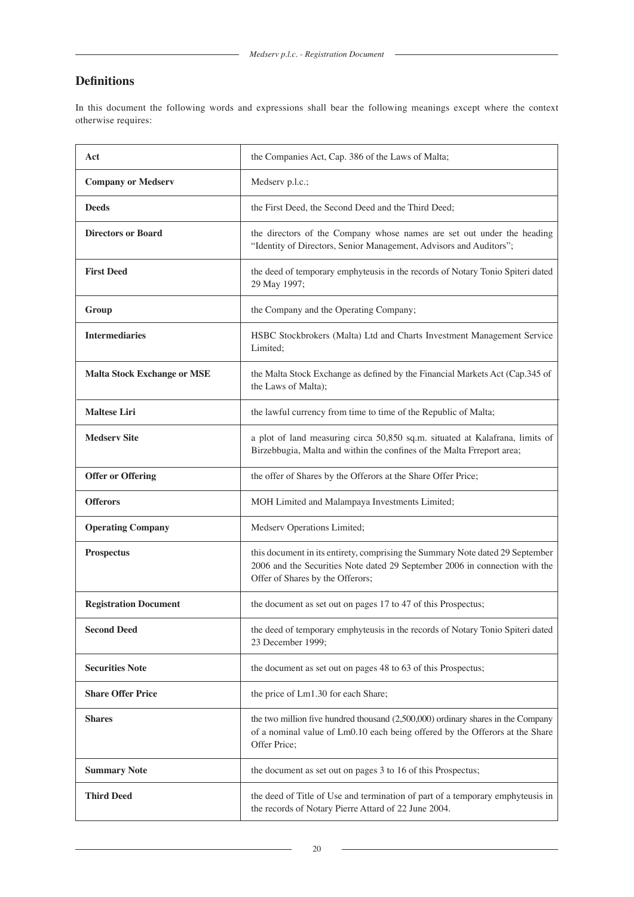# **Definitions**

In this document the following words and expressions shall bear the following meanings except where the context otherwise requires:

| Act                                | the Companies Act, Cap. 386 of the Laws of Malta;                                                                                                                                                |  |
|------------------------------------|--------------------------------------------------------------------------------------------------------------------------------------------------------------------------------------------------|--|
| <b>Company or Medserv</b>          | Medserv p.l.c.;                                                                                                                                                                                  |  |
| <b>Deeds</b>                       | the First Deed, the Second Deed and the Third Deed;                                                                                                                                              |  |
| <b>Directors or Board</b>          | the directors of the Company whose names are set out under the heading<br>"Identity of Directors, Senior Management, Advisors and Auditors";                                                     |  |
| <b>First Deed</b>                  | the deed of temporary emphyteusis in the records of Notary Tonio Spiteri dated<br>29 May 1997;                                                                                                   |  |
| Group                              | the Company and the Operating Company;                                                                                                                                                           |  |
| <b>Intermediaries</b>              | HSBC Stockbrokers (Malta) Ltd and Charts Investment Management Service<br>Limited;                                                                                                               |  |
| <b>Malta Stock Exchange or MSE</b> | the Malta Stock Exchange as defined by the Financial Markets Act (Cap.345 of<br>the Laws of Malta);                                                                                              |  |
| <b>Maltese Liri</b>                | the lawful currency from time to time of the Republic of Malta;                                                                                                                                  |  |
| <b>Medserv Site</b>                | a plot of land measuring circa 50,850 sq.m. situated at Kalafrana, limits of<br>Birzebbugia, Malta and within the confines of the Malta Frreport area;                                           |  |
| <b>Offer or Offering</b>           | the offer of Shares by the Offerors at the Share Offer Price;                                                                                                                                    |  |
| <b>Offerors</b>                    | MOH Limited and Malampaya Investments Limited;                                                                                                                                                   |  |
| <b>Operating Company</b>           | Medserv Operations Limited;                                                                                                                                                                      |  |
| <b>Prospectus</b>                  | this document in its entirety, comprising the Summary Note dated 29 September<br>2006 and the Securities Note dated 29 September 2006 in connection with the<br>Offer of Shares by the Offerors; |  |
| <b>Registration Document</b>       | the document as set out on pages 17 to 47 of this Prospectus;                                                                                                                                    |  |
| <b>Second Deed</b>                 | the deed of temporary emphyteusis in the records of Notary Tonio Spiteri dated<br>23 December 1999;                                                                                              |  |
| <b>Securities Note</b>             | the document as set out on pages 48 to 63 of this Prospectus;                                                                                                                                    |  |
| <b>Share Offer Price</b>           | the price of Lm1.30 for each Share;                                                                                                                                                              |  |
| <b>Shares</b>                      | the two million five hundred thousand $(2,500,000)$ ordinary shares in the Company<br>of a nominal value of Lm0.10 each being offered by the Offerors at the Share<br>Offer Price;               |  |
| <b>Summary Note</b>                | the document as set out on pages 3 to 16 of this Prospectus;                                                                                                                                     |  |
| <b>Third Deed</b>                  | the deed of Title of Use and termination of part of a temporary emphyteusis in<br>the records of Notary Pierre Attard of 22 June 2004.                                                           |  |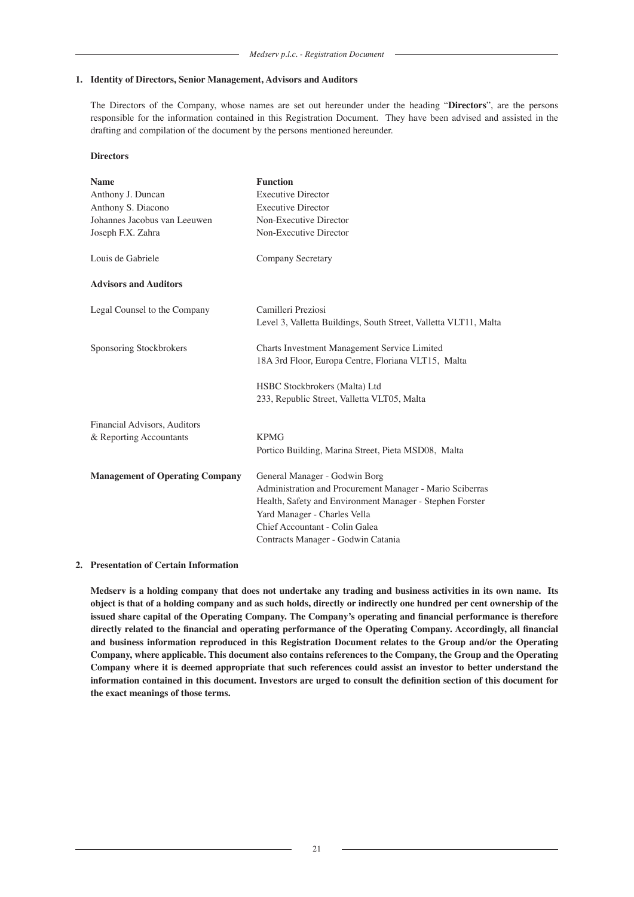#### **1. Identity of Directors, Senior Management, Advisors and Auditors**

The Directors of the Company, whose names are set out hereunder under the heading "**Directors**", are the persons responsible for the information contained in this Registration Document. They have been advised and assisted in the drafting and compilation of the document by the persons mentioned hereunder.

# **Directors**

| <b>Name</b>                            | <b>Function</b>                                                                                     |  |  |
|----------------------------------------|-----------------------------------------------------------------------------------------------------|--|--|
| Anthony J. Duncan                      | <b>Executive Director</b>                                                                           |  |  |
| Anthony S. Diacono                     | <b>Executive Director</b>                                                                           |  |  |
| Johannes Jacobus van Leeuwen           | Non-Executive Director                                                                              |  |  |
| Joseph F.X. Zahra                      | Non-Executive Director                                                                              |  |  |
| Louis de Gabriele                      | <b>Company Secretary</b>                                                                            |  |  |
| <b>Advisors and Auditors</b>           |                                                                                                     |  |  |
| Legal Counsel to the Company           | Camilleri Preziosi<br>Level 3, Valletta Buildings, South Street, Valletta VLT11, Malta              |  |  |
| Sponsoring Stockbrokers                | Charts Investment Management Service Limited<br>18A 3rd Floor, Europa Centre, Floriana VLT15, Malta |  |  |
|                                        | HSBC Stockbrokers (Malta) Ltd                                                                       |  |  |
|                                        | 233, Republic Street, Valletta VLT05, Malta                                                         |  |  |
| Financial Advisors, Auditors           |                                                                                                     |  |  |
| & Reporting Accountants                | <b>KPMG</b>                                                                                         |  |  |
|                                        | Portico Building, Marina Street, Pieta MSD08, Malta                                                 |  |  |
| <b>Management of Operating Company</b> | General Manager - Godwin Borg                                                                       |  |  |
|                                        | Administration and Procurement Manager - Mario Sciberras                                            |  |  |
|                                        | Health, Safety and Environment Manager - Stephen Forster                                            |  |  |
|                                        | Yard Manager - Charles Vella                                                                        |  |  |
|                                        | Chief Accountant - Colin Galea                                                                      |  |  |
|                                        | Contracts Manager - Godwin Catania                                                                  |  |  |

### **2. Presentation of Certain Information**

**Medserv is a holding company that does not undertake any trading and business activities in its own name. Its object is that of a holding company and as such holds, directly or indirectly one hundred per cent ownership of the issued share capital of the Operating Company. The Company's operating and financial performance is therefore directly related to the financial and operating performance of the Operating Company. Accordingly, all financial and business information reproduced in this Registration Document relates to the Group and/or the Operating Company, where applicable. This document also contains references to the Company, the Group and the Operating Company where it is deemed appropriate that such references could assist an investor to better understand the information contained in this document. Investors are urged to consult the definition section of this document for the exact meanings of those terms.**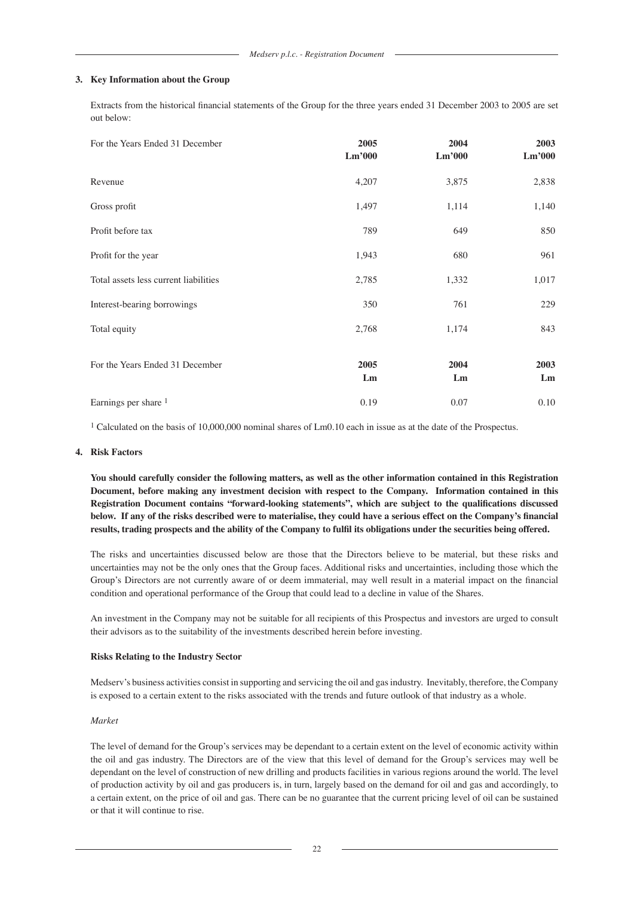#### **3. Key Information about the Group**

Extracts from the historical financial statements of the Group for the three years ended 31 December 2003 to 2005 are set out below:

| For the Years Ended 31 December       | 2005<br>Lm'000 | 2004<br>Lm'000 | 2003<br>Lm'000 |
|---------------------------------------|----------------|----------------|----------------|
| Revenue                               | 4,207          | 3,875          | 2,838          |
| Gross profit                          | 1,497          | 1,114          | 1,140          |
| Profit before tax                     | 789            | 649            | 850            |
| Profit for the year                   | 1,943          | 680            | 961            |
| Total assets less current liabilities | 2,785          | 1,332          | 1,017          |
| Interest-bearing borrowings           | 350            | 761            | 229            |
| Total equity                          | 2,768          | 1,174          | 843            |
| For the Years Ended 31 December       | 2005<br>Lm     | 2004<br>Lm     | 2003<br>Lm     |
| Earnings per share 1                  | 0.19           | 0.07           | 0.10           |

<sup>1</sup> Calculated on the basis of 10,000,000 nominal shares of Lm0.10 each in issue as at the date of the Prospectus.

#### **4. Risk Factors**

**You should carefully consider the following matters, as well as the other information contained in this Registration Document, before making any investment decision with respect to the Company. Information contained in this Registration Document contains "forward-looking statements", which are subject to the qualifications discussed below. If any of the risks described were to materialise, they could have a serious effect on the Company's financial results, trading prospects and the ability of the Company to fulfil its obligations under the securities being offered.**

The risks and uncertainties discussed below are those that the Directors believe to be material, but these risks and uncertainties may not be the only ones that the Group faces. Additional risks and uncertainties, including those which the Group's Directors are not currently aware of or deem immaterial, may well result in a material impact on the financial condition and operational performance of the Group that could lead to a decline in value of the Shares.

An investment in the Company may not be suitable for all recipients of this Prospectus and investors are urged to consult their advisors as to the suitability of the investments described herein before investing.

### **Risks Relating to the Industry Sector**

Medserv's business activities consist in supporting and servicing the oil and gas industry. Inevitably, therefore, the Company is exposed to a certain extent to the risks associated with the trends and future outlook of that industry as a whole.

#### *Market*

The level of demand for the Group's services may be dependant to a certain extent on the level of economic activity within the oil and gas industry. The Directors are of the view that this level of demand for the Group's services may well be dependant on the level of construction of new drilling and products facilities in various regions around the world. The level of production activity by oil and gas producers is, in turn, largely based on the demand for oil and gas and accordingly, to a certain extent, on the price of oil and gas. There can be no guarantee that the current pricing level of oil can be sustained or that it will continue to rise.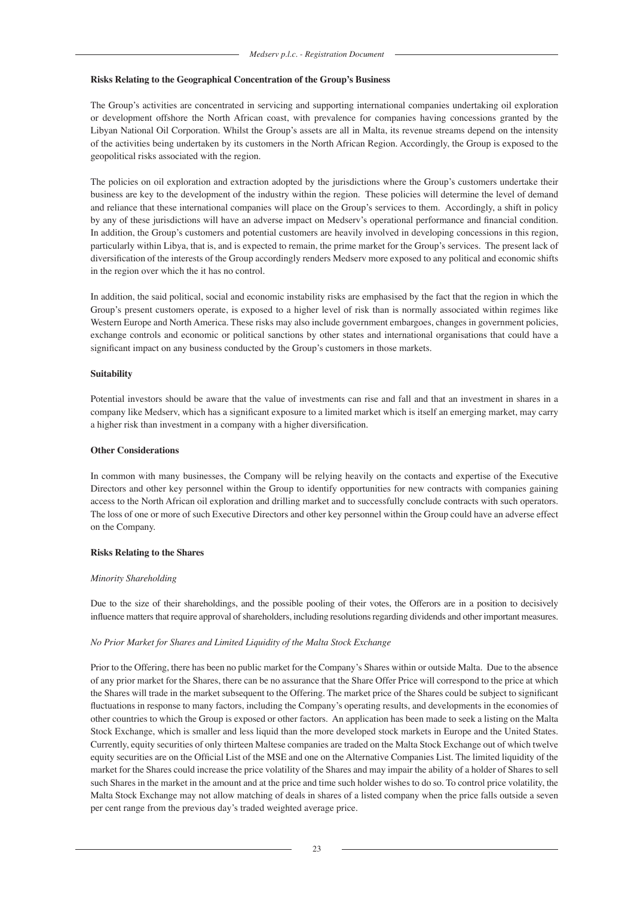#### **Risks Relating to the Geographical Concentration of the Group's Business**

The Group's activities are concentrated in servicing and supporting international companies undertaking oil exploration or development offshore the North African coast, with prevalence for companies having concessions granted by the Libyan National Oil Corporation. Whilst the Group's assets are all in Malta, its revenue streams depend on the intensity of the activities being undertaken by its customers in the North African Region. Accordingly, the Group is exposed to the geopolitical risks associated with the region.

The policies on oil exploration and extraction adopted by the jurisdictions where the Group's customers undertake their business are key to the development of the industry within the region. These policies will determine the level of demand and reliance that these international companies will place on the Group's services to them. Accordingly, a shift in policy by any of these jurisdictions will have an adverse impact on Medserv's operational performance and financial condition. In addition, the Group's customers and potential customers are heavily involved in developing concessions in this region, particularly within Libya, that is, and is expected to remain, the prime market for the Group's services. The present lack of diversification of the interests of the Group accordingly renders Medserv more exposed to any political and economic shifts in the region over which the it has no control.

In addition, the said political, social and economic instability risks are emphasised by the fact that the region in which the Group's present customers operate, is exposed to a higher level of risk than is normally associated within regimes like Western Europe and North America. These risks may also include government embargoes, changes in government policies, exchange controls and economic or political sanctions by other states and international organisations that could have a significant impact on any business conducted by the Group's customers in those markets.

#### **Suitability**

Potential investors should be aware that the value of investments can rise and fall and that an investment in shares in a company like Medserv, which has a significant exposure to a limited market which is itself an emerging market, may carry a higher risk than investment in a company with a higher diversification.

#### **Other Considerations**

In common with many businesses, the Company will be relying heavily on the contacts and expertise of the Executive Directors and other key personnel within the Group to identify opportunities for new contracts with companies gaining access to the North African oil exploration and drilling market and to successfully conclude contracts with such operators. The loss of one or more of such Executive Directors and other key personnel within the Group could have an adverse effect on the Company.

### **Risks Relating to the Shares**

#### *Minority Shareholding*

Due to the size of their shareholdings, and the possible pooling of their votes, the Offerors are in a position to decisively influence matters that require approval of shareholders, including resolutions regarding dividends and other important measures.

### *No Prior Market for Shares and Limited Liquidity of the Malta Stock Exchange*

Prior to the Offering, there has been no public market for the Company's Shares within or outside Malta. Due to the absence of any prior market for the Shares, there can be no assurance that the Share Offer Price will correspond to the price at which the Shares will trade in the market subsequent to the Offering. The market price of the Shares could be subject to significant fluctuations in response to many factors, including the Company's operating results, and developments in the economies of other countries to which the Group is exposed or other factors. An application has been made to seek a listing on the Malta Stock Exchange, which is smaller and less liquid than the more developed stock markets in Europe and the United States. Currently, equity securities of only thirteen Maltese companies are traded on the Malta Stock Exchange out of which twelve equity securities are on the Official List of the MSE and one on the Alternative Companies List. The limited liquidity of the market for the Shares could increase the price volatility of the Shares and may impair the ability of a holder of Shares to sell such Shares in the market in the amount and at the price and time such holder wishes to do so. To control price volatility, the Malta Stock Exchange may not allow matching of deals in shares of a listed company when the price falls outside a seven per cent range from the previous day's traded weighted average price.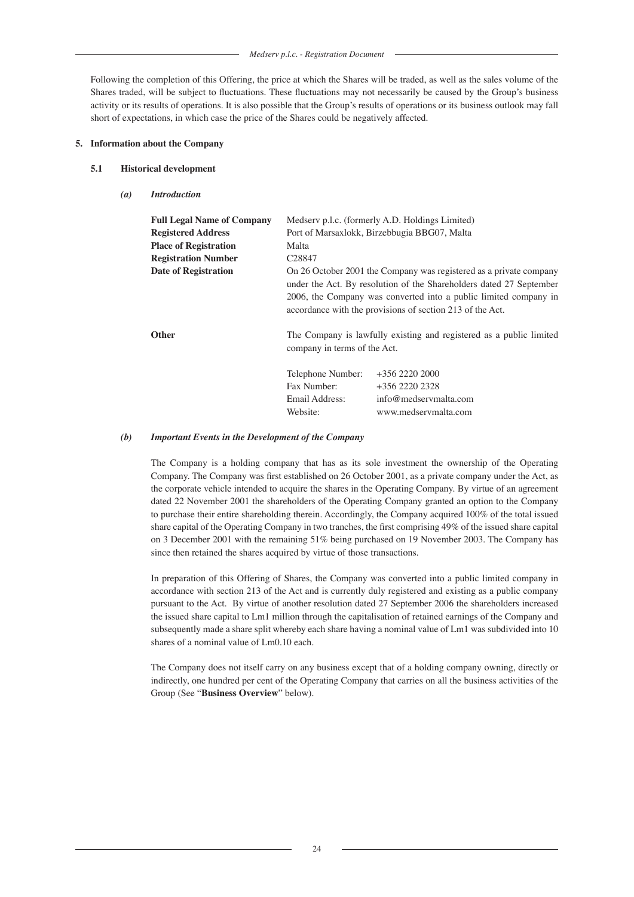*Medserv p.l.c. - Registration Document*

Following the completion of this Offering, the price at which the Shares will be traded, as well as the sales volume of the Shares traded, will be subject to fluctuations. These fluctuations may not necessarily be caused by the Group's business activity or its results of operations. It is also possible that the Group's results of operations or its business outlook may fall short of expectations, in which case the price of the Shares could be negatively affected.

### **5. Information about the Company**

### **5.1 Historical development**

*(a) Introduction*

| <b>Full Legal Name of Company</b><br><b>Registered Address</b><br><b>Place of Registration</b><br><b>Registration Number</b><br><b>Date of Registration</b> | Medserv p.l.c. (formerly A.D. Holdings Limited)<br>Port of Marsaxlokk, Birzebbugia BBG07, Malta<br>Malta<br>C <sub>28847</sub><br>On 26 October 2001 the Company was registered as a private company<br>under the Act. By resolution of the Shareholders dated 27 September<br>2006, the Company was converted into a public limited company in<br>accordance with the provisions of section 213 of the Act. |                                                                                     |
|-------------------------------------------------------------------------------------------------------------------------------------------------------------|--------------------------------------------------------------------------------------------------------------------------------------------------------------------------------------------------------------------------------------------------------------------------------------------------------------------------------------------------------------------------------------------------------------|-------------------------------------------------------------------------------------|
| <b>Other</b>                                                                                                                                                | The Company is lawfully existing and registered as a public limited<br>company in terms of the Act.                                                                                                                                                                                                                                                                                                          |                                                                                     |
|                                                                                                                                                             | Telephone Number:<br>Fax Number:<br>Email Address:<br>Website:                                                                                                                                                                                                                                                                                                                                               | +356 2220 2000<br>$+356$ 2220 2328<br>info@medservmalta.com<br>www.medservmalta.com |

#### *(b) Important Events in the Development of the Company*

The Company is a holding company that has as its sole investment the ownership of the Operating Company. The Company was first established on 26 October 2001, as a private company under the Act, as the corporate vehicle intended to acquire the shares in the Operating Company. By virtue of an agreement dated 22 November 2001 the shareholders of the Operating Company granted an option to the Company to purchase their entire shareholding therein. Accordingly, the Company acquired 100% of the total issued share capital of the Operating Company in two tranches, the first comprising 49% of the issued share capital on 3 December 2001 with the remaining 51% being purchased on 19 November 2003. The Company has since then retained the shares acquired by virtue of those transactions.

In preparation of this Offering of Shares, the Company was converted into a public limited company in accordance with section 213 of the Act and is currently duly registered and existing as a public company pursuant to the Act. By virtue of another resolution dated 27 September 2006 the shareholders increased the issued share capital to Lm1 million through the capitalisation of retained earnings of the Company and subsequently made a share split whereby each share having a nominal value of Lm1 was subdivided into 10 shares of a nominal value of Lm0.10 each.

The Company does not itself carry on any business except that of a holding company owning, directly or indirectly, one hundred per cent of the Operating Company that carries on all the business activities of the Group (See "**Business Overview**" below).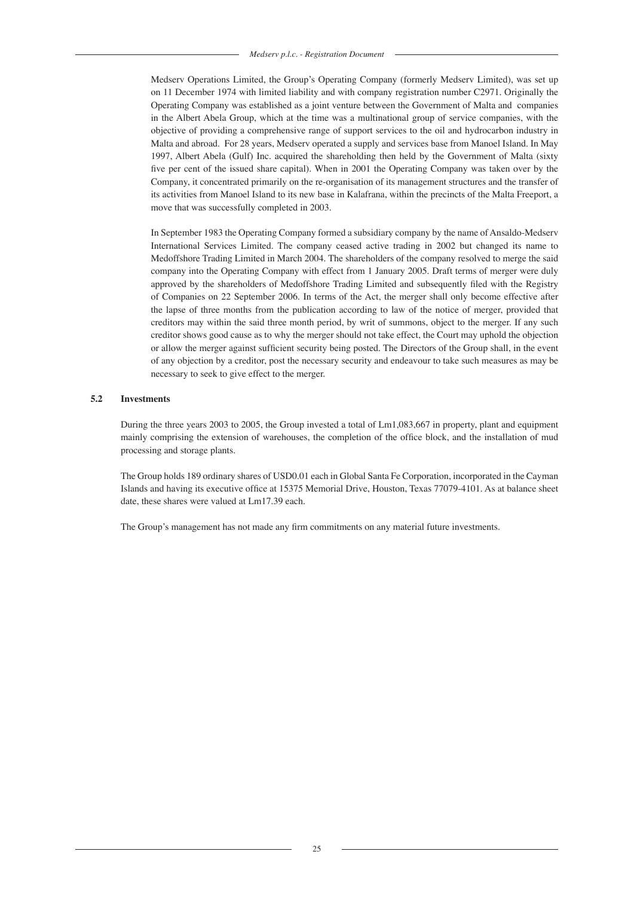Medserv Operations Limited, the Group's Operating Company (formerly Medserv Limited), was set up on 11 December 1974 with limited liability and with company registration number C2971. Originally the Operating Company was established as a joint venture between the Government of Malta and companies in the Albert Abela Group, which at the time was a multinational group of service companies, with the objective of providing a comprehensive range of support services to the oil and hydrocarbon industry in Malta and abroad. For 28 years, Medserv operated a supply and services base from Manoel Island. In May 1997, Albert Abela (Gulf) Inc. acquired the shareholding then held by the Government of Malta (sixty five per cent of the issued share capital). When in 2001 the Operating Company was taken over by the Company, it concentrated primarily on the re-organisation of its management structures and the transfer of its activities from Manoel Island to its new base in Kalafrana, within the precincts of the Malta Freeport, a move that was successfully completed in 2003.

In September 1983 the Operating Company formed a subsidiary company by the name of Ansaldo-Medserv International Services Limited. The company ceased active trading in 2002 but changed its name to Medoffshore Trading Limited in March 2004. The shareholders of the company resolved to merge the said company into the Operating Company with effect from 1 January 2005. Draft terms of merger were duly approved by the shareholders of Medoffshore Trading Limited and subsequently filed with the Registry of Companies on 22 September 2006. In terms of the Act, the merger shall only become effective after the lapse of three months from the publication according to law of the notice of merger, provided that creditors may within the said three month period, by writ of summons, object to the merger. If any such creditor shows good cause as to why the merger should not take effect, the Court may uphold the objection or allow the merger against sufficient security being posted. The Directors of the Group shall, in the event of any objection by a creditor, post the necessary security and endeavour to take such measures as may be necessary to seek to give effect to the merger.

# **5.2 Investments**

During the three years 2003 to 2005, the Group invested a total of Lm1,083,667 in property, plant and equipment mainly comprising the extension of warehouses, the completion of the office block, and the installation of mud processing and storage plants.

The Group holds 189 ordinary shares of USD0.01 each in Global Santa Fe Corporation, incorporated in the Cayman Islands and having its executive office at 15375 Memorial Drive, Houston, Texas 77079-4101. As at balance sheet date, these shares were valued at Lm17.39 each.

The Group's management has not made any firm commitments on any material future investments.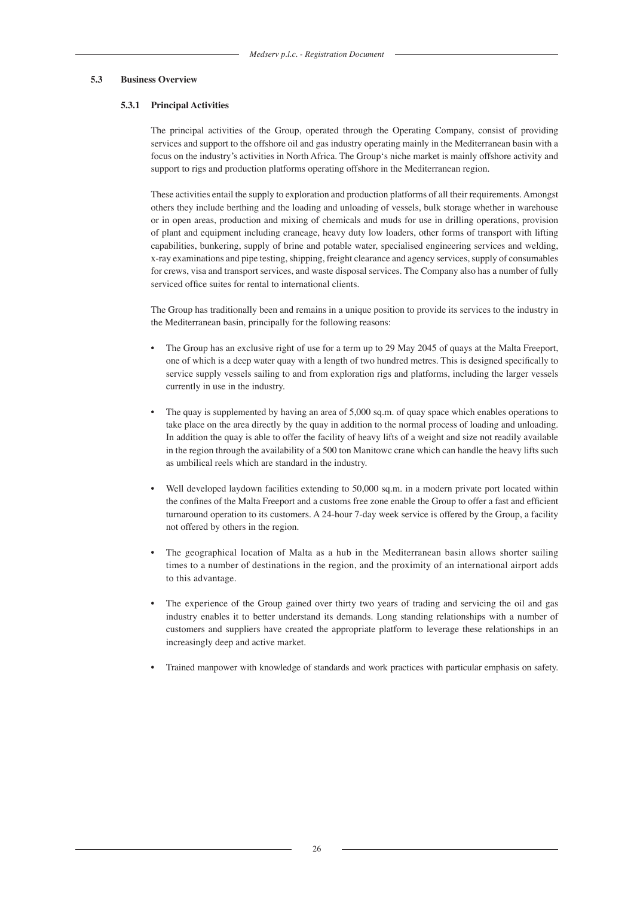#### **5.3 Business Overview**

#### **5.3.1 Principal Activities**

The principal activities of the Group, operated through the Operating Company, consist of providing services and support to the offshore oil and gas industry operating mainly in the Mediterranean basin with a focus on the industry's activities in North Africa. The Group's niche market is mainly offshore activity and support to rigs and production platforms operating offshore in the Mediterranean region.

These activities entail the supply to exploration and production platforms of all their requirements. Amongst others they include berthing and the loading and unloading of vessels, bulk storage whether in warehouse or in open areas, production and mixing of chemicals and muds for use in drilling operations, provision of plant and equipment including craneage, heavy duty low loaders, other forms of transport with lifting capabilities, bunkering, supply of brine and potable water, specialised engineering services and welding, x-ray examinations and pipe testing, shipping, freight clearance and agency services, supply of consumables for crews, visa and transport services, and waste disposal services. The Company also has a number of fully serviced office suites for rental to international clients.

The Group has traditionally been and remains in a unique position to provide its services to the industry in the Mediterranean basin, principally for the following reasons:

- The Group has an exclusive right of use for a term up to 29 May 2045 of quays at the Malta Freeport, one of which is a deep water quay with a length of two hundred metres. This is designed specifically to service supply vessels sailing to and from exploration rigs and platforms, including the larger vessels currently in use in the industry.
- The quay is supplemented by having an area of 5,000 sq.m. of quay space which enables operations to take place on the area directly by the quay in addition to the normal process of loading and unloading. In addition the quay is able to offer the facility of heavy lifts of a weight and size not readily available in the region through the availability of a 500 ton Manitowc crane which can handle the heavy lifts such as umbilical reels which are standard in the industry.
- Well developed laydown facilities extending to 50,000 sq.m. in a modern private port located within the confines of the Malta Freeport and a customs free zone enable the Group to offer a fast and efficient turnaround operation to its customers. A 24-hour 7-day week service is offered by the Group, a facility not offered by others in the region.
- The geographical location of Malta as a hub in the Mediterranean basin allows shorter sailing times to a number of destinations in the region, and the proximity of an international airport adds to this advantage.
- The experience of the Group gained over thirty two years of trading and servicing the oil and gas industry enables it to better understand its demands. Long standing relationships with a number of customers and suppliers have created the appropriate platform to leverage these relationships in an increasingly deep and active market.
- Trained manpower with knowledge of standards and work practices with particular emphasis on safety.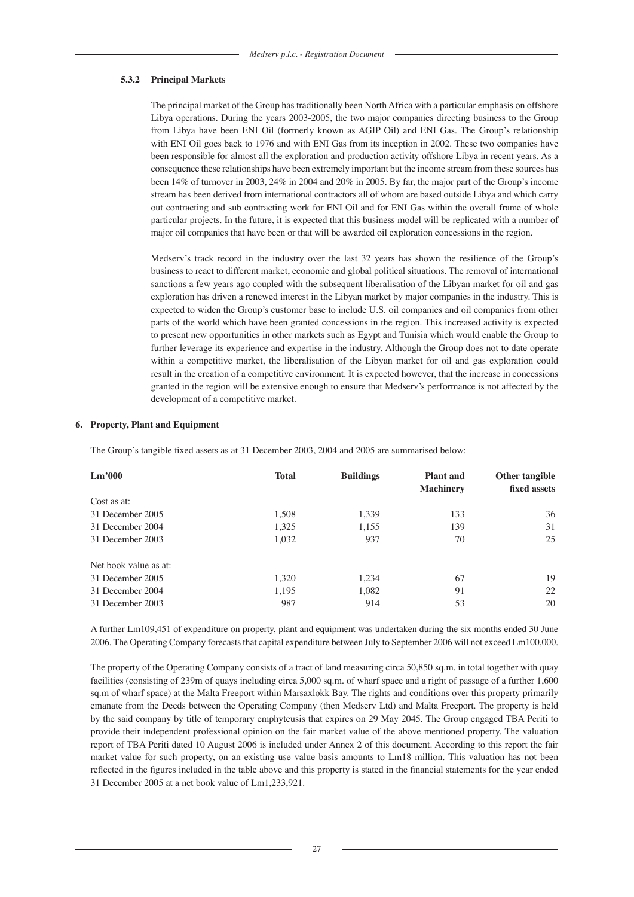#### **5.3.2 Principal Markets**

The principal market of the Group has traditionally been North Africa with a particular emphasis on offshore Libya operations. During the years 2003-2005, the two major companies directing business to the Group from Libya have been ENI Oil (formerly known as AGIP Oil) and ENI Gas. The Group's relationship with ENI Oil goes back to 1976 and with ENI Gas from its inception in 2002. These two companies have been responsible for almost all the exploration and production activity offshore Libya in recent years. As a consequence these relationships have been extremely important but the income stream from these sources has been 14% of turnover in 2003, 24% in 2004 and 20% in 2005. By far, the major part of the Group's income stream has been derived from international contractors all of whom are based outside Libya and which carry out contracting and sub contracting work for ENI Oil and for ENI Gas within the overall frame of whole particular projects. In the future, it is expected that this business model will be replicated with a number of major oil companies that have been or that will be awarded oil exploration concessions in the region.

Medserv's track record in the industry over the last 32 years has shown the resilience of the Group's business to react to different market, economic and global political situations. The removal of international sanctions a few years ago coupled with the subsequent liberalisation of the Libyan market for oil and gas exploration has driven a renewed interest in the Libyan market by major companies in the industry. This is expected to widen the Group's customer base to include U.S. oil companies and oil companies from other parts of the world which have been granted concessions in the region. This increased activity is expected to present new opportunities in other markets such as Egypt and Tunisia which would enable the Group to further leverage its experience and expertise in the industry. Although the Group does not to date operate within a competitive market, the liberalisation of the Libyan market for oil and gas exploration could result in the creation of a competitive environment. It is expected however, that the increase in concessions granted in the region will be extensive enough to ensure that Medserv's performance is not affected by the development of a competitive market.

#### **6. Property, Plant and Equipment**

The Group's tangible fixed assets as at 31 December 2003, 2004 and 2005 are summarised below:

| Lm'000                | <b>Total</b> | <b>Buildings</b> | <b>Plant</b> and | Other tangible |
|-----------------------|--------------|------------------|------------------|----------------|
|                       |              |                  | <b>Machinery</b> | fixed assets   |
| Cost as at:           |              |                  |                  |                |
| 31 December 2005      | 1,508        | 1,339            | 133              | 36             |
| 31 December 2004      | 1,325        | 1,155            | 139              | 31             |
| 31 December 2003      | 1,032        | 937              | 70               | 25             |
| Net book value as at: |              |                  |                  |                |
| 31 December 2005      | 1.320        | 1.234            | 67               | 19             |
| 31 December 2004      | 1,195        | 1,082            | 91               | 22             |
| 31 December 2003      | 987          | 914              | 53               | 20             |

A further Lm109,451 of expenditure on property, plant and equipment was undertaken during the six months ended 30 June 2006. The Operating Company forecasts that capital expenditure between July to September 2006 will not exceed Lm100,000.

The property of the Operating Company consists of a tract of land measuring circa 50,850 sq.m. in total together with quay facilities (consisting of 239m of quays including circa 5,000 sq.m. of wharf space and a right of passage of a further 1,600 sq.m of wharf space) at the Malta Freeport within Marsaxlokk Bay. The rights and conditions over this property primarily emanate from the Deeds between the Operating Company (then Medserv Ltd) and Malta Freeport. The property is held by the said company by title of temporary emphyteusis that expires on 29 May 2045. The Group engaged TBA Periti to provide their independent professional opinion on the fair market value of the above mentioned property. The valuation report of TBA Periti dated 10 August 2006 is included under Annex 2 of this document. According to this report the fair market value for such property, on an existing use value basis amounts to Lm18 million. This valuation has not been reflected in the figures included in the table above and this property is stated in the financial statements for the year ended 31 December 2005 at a net book value of Lm1,233,921.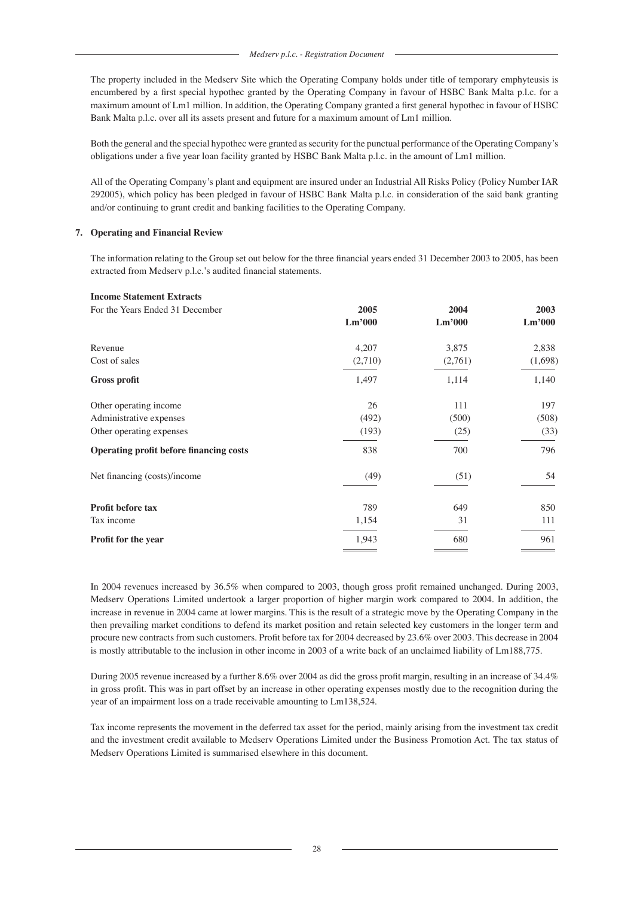The property included in the Medserv Site which the Operating Company holds under title of temporary emphyteusis is encumbered by a first special hypothec granted by the Operating Company in favour of HSBC Bank Malta p.l.c. for a maximum amount of Lm1 million. In addition, the Operating Company granted a first general hypothec in favour of HSBC Bank Malta p.l.c. over all its assets present and future for a maximum amount of Lm1 million.

Both the general and the special hypothec were granted as security for the punctual performance of the Operating Company's obligations under a five year loan facility granted by HSBC Bank Malta p.l.c. in the amount of Lm1 million.

All of the Operating Company's plant and equipment are insured under an Industrial All Risks Policy (Policy Number IAR 292005), which policy has been pledged in favour of HSBC Bank Malta p.l.c. in consideration of the said bank granting and/or continuing to grant credit and banking facilities to the Operating Company.

# **7. Operating and Financial Review**

The information relating to the Group set out below for the three financial years ended 31 December 2003 to 2005, has been extracted from Medserv p.l.c.'s audited financial statements.

| 2005    | 2004    | 2003    |
|---------|---------|---------|
| Lm'000  | Lm'000  | Lm'000  |
| 4,207   | 3,875   | 2,838   |
| (2,710) | (2,761) | (1,698) |
| 1,497   | 1,114   | 1,140   |
| 26      | 111     | 197     |
| (492)   | (500)   | (508)   |
| (193)   | (25)    | (33)    |
| 838     | 700     | 796     |
| (49)    | (51)    | 54      |
| 789     | 649     | 850     |
| 1,154   | 31      | 111     |
| 1,943   | 680     | 961     |
|         |         |         |

In 2004 revenues increased by 36.5% when compared to 2003, though gross profit remained unchanged. During 2003, Medserv Operations Limited undertook a larger proportion of higher margin work compared to 2004. In addition, the increase in revenue in 2004 came at lower margins. This is the result of a strategic move by the Operating Company in the then prevailing market conditions to defend its market position and retain selected key customers in the longer term and procure new contracts from such customers. Profit before tax for 2004 decreased by 23.6% over 2003. This decrease in 2004 is mostly attributable to the inclusion in other income in 2003 of a write back of an unclaimed liability of Lm188,775.

During 2005 revenue increased by a further 8.6% over 2004 as did the gross profit margin, resulting in an increase of 34.4% in gross profit. This was in part offset by an increase in other operating expenses mostly due to the recognition during the year of an impairment loss on a trade receivable amounting to Lm138,524.

Tax income represents the movement in the deferred tax asset for the period, mainly arising from the investment tax credit and the investment credit available to Medserv Operations Limited under the Business Promotion Act. The tax status of Medserv Operations Limited is summarised elsewhere in this document.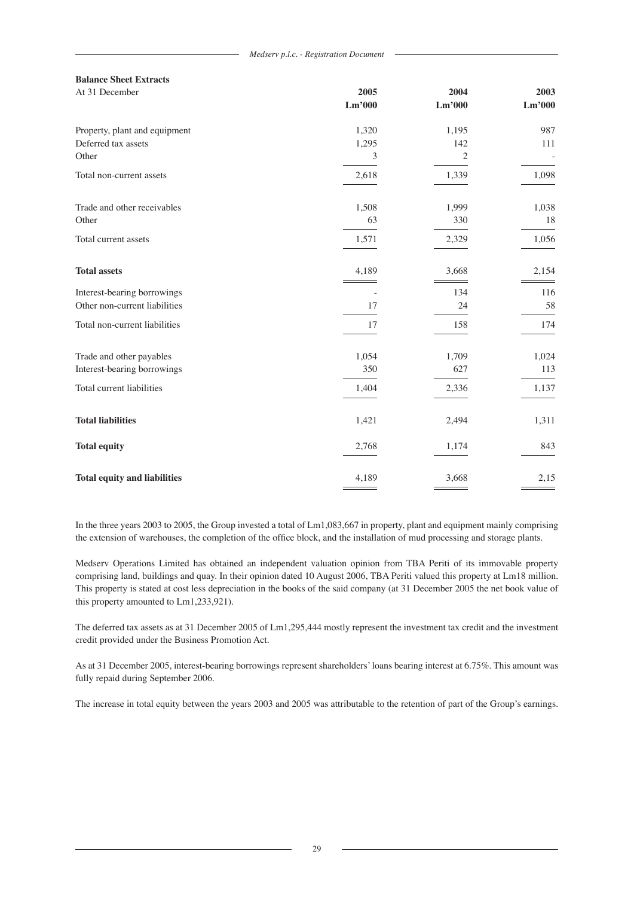| <b>Balance Sheet Extracts</b>       |        |                |        |
|-------------------------------------|--------|----------------|--------|
| At 31 December                      | 2005   | 2004           | 2003   |
|                                     | Lm'000 | Lm'000         | Lm'000 |
| Property, plant and equipment       | 1,320  | 1,195          | 987    |
| Deferred tax assets                 | 1,295  | 142            | 111    |
| Other                               | 3      | $\overline{c}$ |        |
| Total non-current assets            | 2,618  | 1,339          | 1,098  |
| Trade and other receivables         | 1,508  | 1,999          | 1,038  |
| Other                               | 63     | 330            | 18     |
| Total current assets                | 1,571  | 2,329          | 1,056  |
| <b>Total assets</b>                 | 4,189  | 3,668          | 2,154  |
| Interest-bearing borrowings         |        | 134            | 116    |
| Other non-current liabilities       | 17     | 24             | 58     |
| Total non-current liabilities       | 17     | 158            | 174    |
| Trade and other payables            | 1,054  | 1,709          | 1,024  |
| Interest-bearing borrowings         | 350    | 627            | 113    |
| Total current liabilities           | 1,404  | 2,336          | 1,137  |
| <b>Total liabilities</b>            | 1,421  | 2,494          | 1,311  |
| <b>Total equity</b>                 | 2,768  | 1,174          | 843    |
| <b>Total equity and liabilities</b> | 4,189  | 3,668          | 2,15   |

In the three years 2003 to 2005, the Group invested a total of Lm1,083,667 in property, plant and equipment mainly comprising the extension of warehouses, the completion of the office block, and the installation of mud processing and storage plants.

Medserv Operations Limited has obtained an independent valuation opinion from TBA Periti of its immovable property comprising land, buildings and quay. In their opinion dated 10 August 2006, TBA Periti valued this property at Lm18 million. This property is stated at cost less depreciation in the books of the said company (at 31 December 2005 the net book value of this property amounted to Lm1,233,921).

The deferred tax assets as at 31 December 2005 of Lm1,295,444 mostly represent the investment tax credit and the investment credit provided under the Business Promotion Act.

As at 31 December 2005, interest-bearing borrowings represent shareholders' loans bearing interest at 6.75%. This amount was fully repaid during September 2006.

The increase in total equity between the years 2003 and 2005 was attributable to the retention of part of the Group's earnings.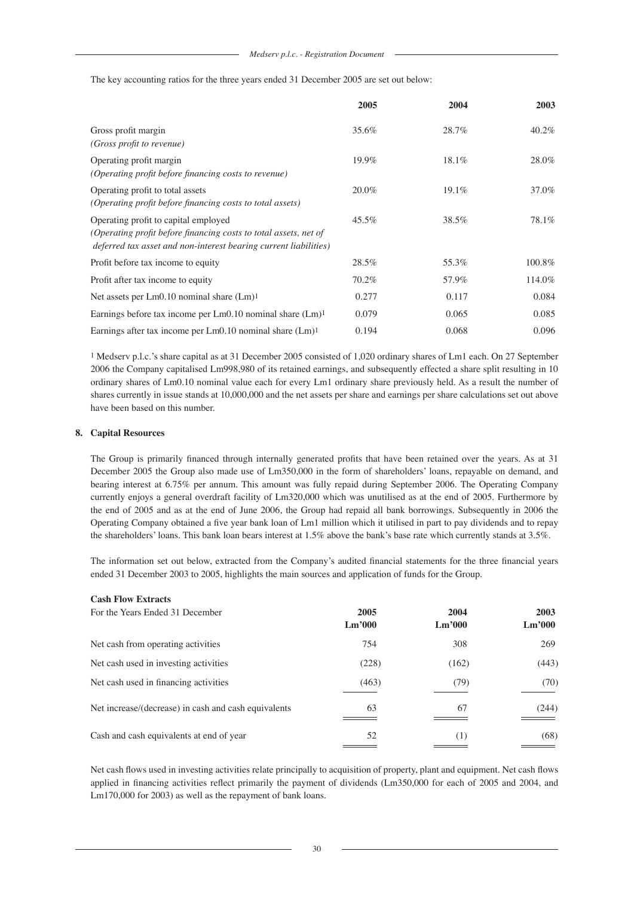The key accounting ratios for the three years ended 31 December 2005 are set out below:

|                                                                                                                                                                              | 2005  | 2004  | 2003   |
|------------------------------------------------------------------------------------------------------------------------------------------------------------------------------|-------|-------|--------|
| Gross profit margin<br>(Gross profit to revenue)                                                                                                                             | 35.6% | 28.7% | 40.2%  |
| Operating profit margin<br>(Operating profit before financing costs to revenue)                                                                                              | 19.9% | 18.1% | 28.0%  |
| Operating profit to total assets<br>(Operating profit before financing costs to total assets)                                                                                | 20.0% | 19.1% | 37.0%  |
| Operating profit to capital employed<br>(Operating profit before financing costs to total assets, net of<br>deferred tax asset and non-interest bearing current liabilities) | 45.5% | 38.5% | 78.1%  |
| Profit before tax income to equity                                                                                                                                           | 28.5% | 55.3% | 100.8% |
| Profit after tax income to equity                                                                                                                                            | 70.2% | 57.9% | 114.0% |
| Net assets per $Lm0.10$ nominal share $(Lm)^1$                                                                                                                               | 0.277 | 0.117 | 0.084  |
| Earnings before tax income per $Lm0.10$ nominal share $(Lm)^1$                                                                                                               | 0.079 | 0.065 | 0.085  |
| Earnings after tax income per $Lm0.10$ nominal share $(Lm)^1$                                                                                                                | 0.194 | 0.068 | 0.096  |

1 Medserv p.l.c.'s share capital as at 31 December 2005 consisted of 1,020 ordinary shares of Lm1 each. On 27 September 2006 the Company capitalised Lm998,980 of its retained earnings, and subsequently effected a share split resulting in 10 ordinary shares of Lm0.10 nominal value each for every Lm1 ordinary share previously held. As a result the number of shares currently in issue stands at 10,000,000 and the net assets per share and earnings per share calculations set out above have been based on this number.

#### **8. Capital Resources**

The Group is primarily financed through internally generated profits that have been retained over the years. As at 31 December 2005 the Group also made use of Lm350,000 in the form of shareholders' loans, repayable on demand, and bearing interest at 6.75% per annum. This amount was fully repaid during September 2006. The Operating Company currently enjoys a general overdraft facility of Lm320,000 which was unutilised as at the end of 2005. Furthermore by the end of 2005 and as at the end of June 2006, the Group had repaid all bank borrowings. Subsequently in 2006 the Operating Company obtained a five year bank loan of Lm1 million which it utilised in part to pay dividends and to repay the shareholders' loans. This bank loan bears interest at 1.5% above the bank's base rate which currently stands at 3.5%.

The information set out below, extracted from the Company's audited financial statements for the three financial years ended 31 December 2003 to 2005, highlights the main sources and application of funds for the Group.

| <b>Cash Flow Extracts</b>                            |                                    |        |        |
|------------------------------------------------------|------------------------------------|--------|--------|
| For the Years Ended 31 December                      | 2005                               | 2004   | 2003   |
|                                                      | $\mathbf{L}\mathbf{m}^{\prime}000$ | Lm'000 | Lm'000 |
| Net cash from operating activities                   | 754                                | 308    | 269    |
| Net cash used in investing activities                | (228)                              | (162)  | (443)  |
| Net cash used in financing activities                | (463)                              | (79)   | (70)   |
| Net increase/(decrease) in cash and cash equivalents | 63                                 | 67     | (244)  |
| Cash and cash equivalents at end of year             | 52                                 | (1)    | (68)   |

Net cash flows used in investing activities relate principally to acquisition of property, plant and equipment. Net cash flows applied in financing activities reflect primarily the payment of dividends (Lm350,000 for each of 2005 and 2004, and Lm170,000 for 2003) as well as the repayment of bank loans.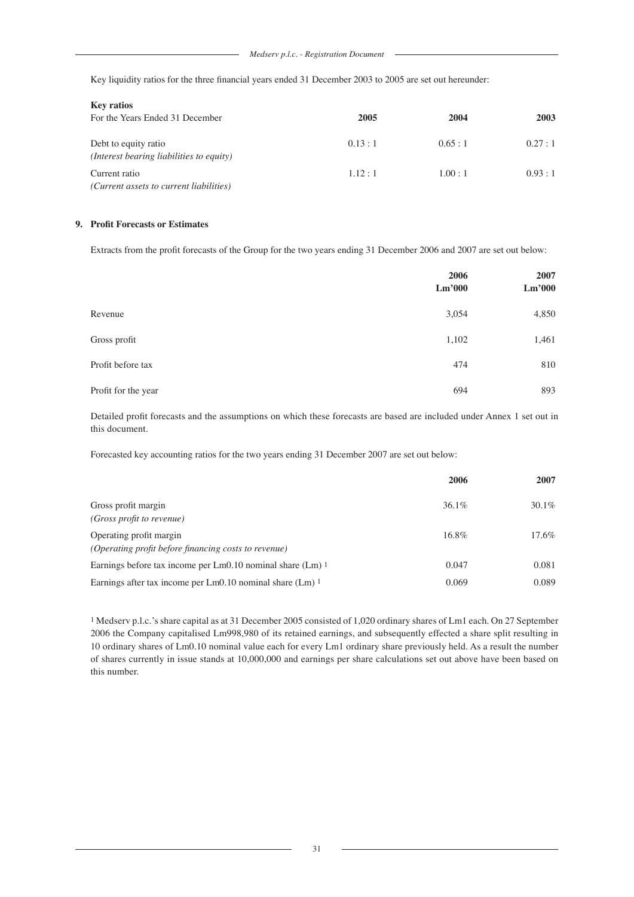Key liquidity ratios for the three financial years ended 31 December 2003 to 2005 are set out hereunder:

| <b>Key ratios</b>                                                |        |        |        |
|------------------------------------------------------------------|--------|--------|--------|
| For the Years Ended 31 December                                  | 2005   | 2004   | 2003   |
| Debt to equity ratio<br>(Interest bearing liabilities to equity) | 0.13:1 | 0.65:1 | 0.27:1 |
| Current ratio<br>(Current assets to current liabilities)         | 1.12:1 | 1.00:1 | 0.93:1 |

# **9. Profit Forecasts or Estimates**

Extracts from the profit forecasts of the Group for the two years ending 31 December 2006 and 2007 are set out below:

|                     | 2006<br>Lm'000 | 2007<br>Lm'000 |
|---------------------|----------------|----------------|
| Revenue             | 3,054          | 4,850          |
| Gross profit        | 1,102          | 1,461          |
| Profit before tax   | 474            | 810            |
| Profit for the year | 694            | 893            |

Detailed profit forecasts and the assumptions on which these forecasts are based are included under Annex 1 set out in this document.

Forecasted key accounting ratios for the two years ending 31 December 2007 are set out below:

|                                                                                 | 2006     | 2007     |
|---------------------------------------------------------------------------------|----------|----------|
| Gross profit margin<br><i>(Gross profit to revenue)</i>                         | $36.1\%$ | $30.1\%$ |
| Operating profit margin<br>(Operating profit before financing costs to revenue) | 16.8%    | $17.6\%$ |
| Earnings before tax income per Lm0.10 nominal share (Lm) 1                      | 0.047    | 0.081    |
| Earnings after tax income per Lm0.10 nominal share (Lm) 1                       | 0.069    | 0.089    |

1 Medserv p.l.c.'s share capital as at 31 December 2005 consisted of 1,020 ordinary shares of Lm1 each. On 27 September 2006 the Company capitalised Lm998,980 of its retained earnings, and subsequently effected a share split resulting in 10 ordinary shares of Lm0.10 nominal value each for every Lm1 ordinary share previously held. As a result the number of shares currently in issue stands at 10,000,000 and earnings per share calculations set out above have been based on this number.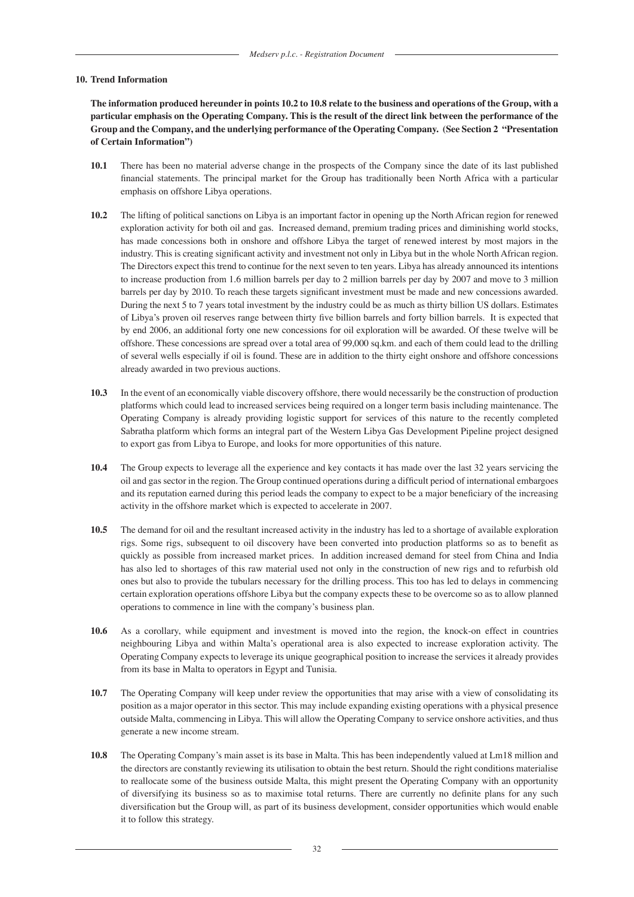#### **10. Trend Information**

**The information produced hereunder in points 10.2 to 10.8 relate to the business and operations of the Group, with a particular emphasis on the Operating Company. This is the result of the direct link between the performance of the Group and the Company, and the underlying performance of the Operating Company. (See Section 2 "Presentation of Certain Information")**

- **10.1** There has been no material adverse change in the prospects of the Company since the date of its last published financial statements. The principal market for the Group has traditionally been North Africa with a particular emphasis on offshore Libya operations.
- **10.2** The lifting of political sanctions on Libya is an important factor in opening up the North African region for renewed exploration activity for both oil and gas. Increased demand, premium trading prices and diminishing world stocks, has made concessions both in onshore and offshore Libya the target of renewed interest by most majors in the industry. This is creating significant activity and investment not only in Libya but in the whole North African region. The Directors expect this trend to continue for the next seven to ten years. Libya has already announced its intentions to increase production from 1.6 million barrels per day to 2 million barrels per day by 2007 and move to 3 million barrels per day by 2010. To reach these targets significant investment must be made and new concessions awarded. During the next 5 to 7 years total investment by the industry could be as much as thirty billion US dollars. Estimates of Libya's proven oil reserves range between thirty five billion barrels and forty billion barrels. It is expected that by end 2006, an additional forty one new concessions for oil exploration will be awarded. Of these twelve will be offshore. These concessions are spread over a total area of 99,000 sq.km. and each of them could lead to the drilling of several wells especially if oil is found. These are in addition to the thirty eight onshore and offshore concessions already awarded in two previous auctions.
- **10.3** In the event of an economically viable discovery offshore, there would necessarily be the construction of production platforms which could lead to increased services being required on a longer term basis including maintenance. The Operating Company is already providing logistic support for services of this nature to the recently completed Sabratha platform which forms an integral part of the Western Libya Gas Development Pipeline project designed to export gas from Libya to Europe, and looks for more opportunities of this nature.
- **10.4** The Group expects to leverage all the experience and key contacts it has made over the last 32 years servicing the oil and gas sector in the region. The Group continued operations during a difficult period of international embargoes and its reputation earned during this period leads the company to expect to be a major beneficiary of the increasing activity in the offshore market which is expected to accelerate in 2007.
- **10.5** The demand for oil and the resultant increased activity in the industry has led to a shortage of available exploration rigs. Some rigs, subsequent to oil discovery have been converted into production platforms so as to benefit as quickly as possible from increased market prices. In addition increased demand for steel from China and India has also led to shortages of this raw material used not only in the construction of new rigs and to refurbish old ones but also to provide the tubulars necessary for the drilling process. This too has led to delays in commencing certain exploration operations offshore Libya but the company expects these to be overcome so as to allow planned operations to commence in line with the company's business plan.
- **10.6** As a corollary, while equipment and investment is moved into the region, the knock-on effect in countries neighbouring Libya and within Malta's operational area is also expected to increase exploration activity. The Operating Company expects to leverage its unique geographical position to increase the services it already provides from its base in Malta to operators in Egypt and Tunisia.
- **10.7** The Operating Company will keep under review the opportunities that may arise with a view of consolidating its position as a major operator in this sector. This may include expanding existing operations with a physical presence outside Malta, commencing in Libya. This will allow the Operating Company to service onshore activities, and thus generate a new income stream.
- **10.8** The Operating Company's main asset is its base in Malta. This has been independently valued at Lm18 million and the directors are constantly reviewing its utilisation to obtain the best return. Should the right conditions materialise to reallocate some of the business outside Malta, this might present the Operating Company with an opportunity of diversifying its business so as to maximise total returns. There are currently no definite plans for any such diversification but the Group will, as part of its business development, consider opportunities which would enable it to follow this strategy.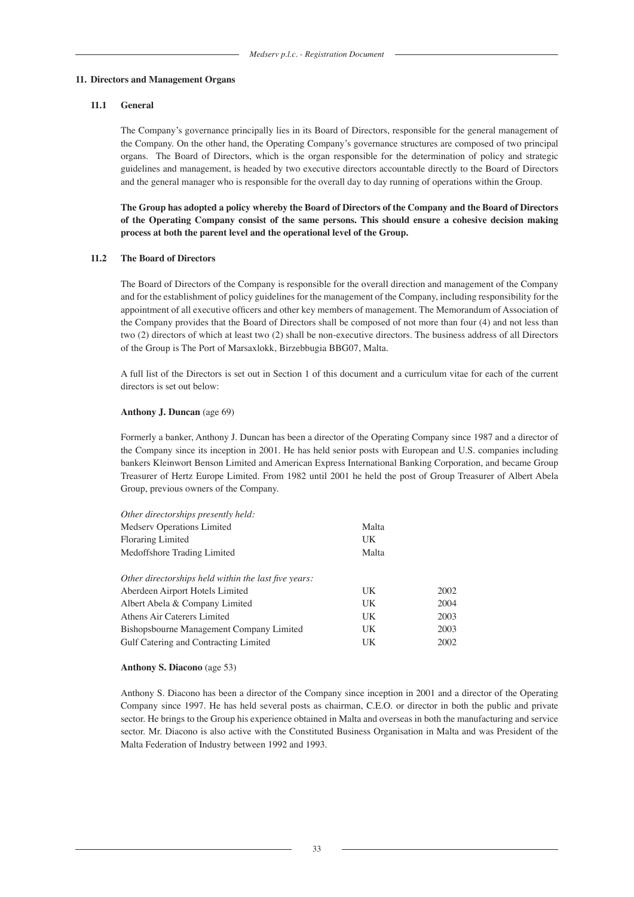#### **11. Directors and Management Organs**

#### **11.1 General**

 The Company's governance principally lies in its Board of Directors, responsible for the general management of the Company. On the other hand, the Operating Company's governance structures are composed of two principal organs. The Board of Directors, which is the organ responsible for the determination of policy and strategic guidelines and management, is headed by two executive directors accountable directly to the Board of Directors and the general manager who is responsible for the overall day to day running of operations within the Group.

**The Group has adopted a policy whereby the Board of Directors of the Company and the Board of Directors of the Operating Company consist of the same persons. This should ensure a cohesive decision making process at both the parent level and the operational level of the Group.**

#### **11.2 The Board of Directors**

The Board of Directors of the Company is responsible for the overall direction and management of the Company and for the establishment of policy guidelines for the management of the Company, including responsibility for the appointment of all executive officers and other key members of management. The Memorandum of Association of the Company provides that the Board of Directors shall be composed of not more than four (4) and not less than two (2) directors of which at least two (2) shall be non-executive directors. The business address of all Directors of the Group is The Port of Marsaxlokk, Birzebbugia BBG07, Malta.

 A full list of the Directors is set out in Section 1 of this document and a curriculum vitae for each of the current directors is set out below:

#### **Anthony J. Duncan** (age 69)

Formerly a banker, Anthony J. Duncan has been a director of the Operating Company since 1987 and a director of the Company since its inception in 2001. He has held senior posts with European and U.S. companies including bankers Kleinwort Benson Limited and American Express International Banking Corporation, and became Group Treasurer of Hertz Europe Limited. From 1982 until 2001 he held the post of Group Treasurer of Albert Abela Group, previous owners of the Company.

| Other directorships presently held:                  |       |      |
|------------------------------------------------------|-------|------|
| Medserv Operations Limited                           | Malta |      |
| Floraring Limited                                    | UK    |      |
| Medoffshore Trading Limited                          | Malta |      |
| Other directorships held within the last five years: |       |      |
| Aberdeen Airport Hotels Limited                      | UK    | 2002 |
| Albert Abela & Company Limited                       | UK    | 2004 |
| Athens Air Caterers Limited                          | UK    | 2003 |
| Bishopsbourne Management Company Limited             | UK    | 2003 |
| Gulf Catering and Contracting Limited                | UK    | 2002 |

#### **Anthony S. Diacono** (age 53)

Anthony S. Diacono has been a director of the Company since inception in 2001 and a director of the Operating Company since 1997. He has held several posts as chairman, C.E.O. or director in both the public and private sector. He brings to the Group his experience obtained in Malta and overseas in both the manufacturing and service sector. Mr. Diacono is also active with the Constituted Business Organisation in Malta and was President of the Malta Federation of Industry between 1992 and 1993.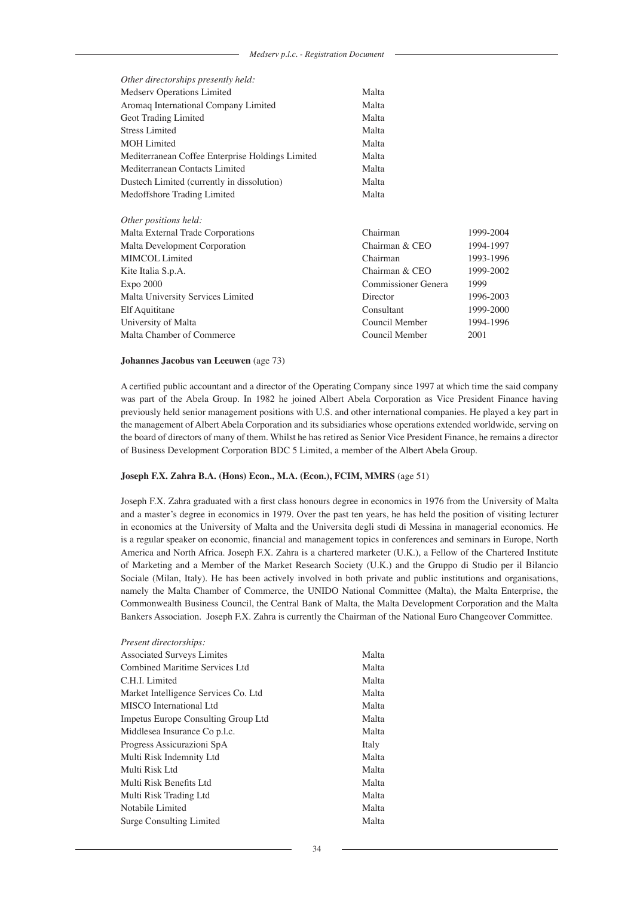| Other directorships presently held:              |                     |           |
|--------------------------------------------------|---------------------|-----------|
| Medserv Operations Limited                       | Malta               |           |
| Aromaq International Company Limited             | Malta               |           |
| Geot Trading Limited                             | Malta               |           |
| <b>Stress Limited</b>                            | Malta               |           |
| <b>MOH</b> Limited                               | Malta               |           |
| Mediterranean Coffee Enterprise Holdings Limited | Malta               |           |
| Mediterranean Contacts Limited                   | Malta               |           |
| Dustech Limited (currently in dissolution)       | Malta               |           |
| Medoffshore Trading Limited                      | Malta               |           |
|                                                  |                     |           |
| Other positions held:                            |                     |           |
| Malta External Trade Corporations                | Chairman            | 1999-2004 |
| Malta Development Corporation                    | Chairman & CEO      | 1994-1997 |
| MIMCOL Limited                                   | Chairman            | 1993-1996 |
| Kite Italia S.p.A.                               | Chairman & CEO      | 1999-2002 |
| $Expo$ 2000                                      | Commissioner Genera | 1999      |
| Malta University Services Limited                | Director            | 1996-2003 |
| Elf Aquititane                                   | Consultant          | 1999-2000 |
| University of Malta                              | Council Member      | 1994-1996 |
| Malta Chamber of Commerce                        | Council Member      | 2001      |
|                                                  |                     |           |

#### **Johannes Jacobus van Leeuwen** (age 73)

A certified public accountant and a director of the Operating Company since 1997 at which time the said company was part of the Abela Group. In 1982 he joined Albert Abela Corporation as Vice President Finance having previously held senior management positions with U.S. and other international companies. He played a key part in the management of Albert Abela Corporation and its subsidiaries whose operations extended worldwide, serving on the board of directors of many of them. Whilst he has retired as Senior Vice President Finance, he remains a director of Business Development Corporation BDC 5 Limited, a member of the Albert Abela Group.

### **Joseph F.X. Zahra B.A. (Hons) Econ., M.A. (Econ.), FCIM, MMRS** (age 51)

Joseph F.X. Zahra graduated with a first class honours degree in economics in 1976 from the University of Malta and a master's degree in economics in 1979. Over the past ten years, he has held the position of visiting lecturer in economics at the University of Malta and the Universita degli studi di Messina in managerial economics. He is a regular speaker on economic, financial and management topics in conferences and seminars in Europe, North America and North Africa. Joseph F.X. Zahra is a chartered marketer (U.K.), a Fellow of the Chartered Institute of Marketing and a Member of the Market Research Society (U.K.) and the Gruppo di Studio per il Bilancio Sociale (Milan, Italy). He has been actively involved in both private and public institutions and organisations, namely the Malta Chamber of Commerce, the UNIDO National Committee (Malta), the Malta Enterprise, the Commonwealth Business Council, the Central Bank of Malta, the Malta Development Corporation and the Malta Bankers Association. Joseph F.X. Zahra is currently the Chairman of the National Euro Changeover Committee.

| Present directorships:                     |       |
|--------------------------------------------|-------|
| <b>Associated Surveys Limites</b>          | Malta |
| Combined Maritime Services Ltd             | Malta |
| C.H.I. Limited                             | Malta |
| Market Intelligence Services Co. Ltd       | Malta |
| MISCO International Ltd                    | Malta |
| <b>Impetus Europe Consulting Group Ltd</b> | Malta |
| Middlesea Insurance Co p.l.c.              | Malta |
| Progress Assicurazioni SpA                 | Italy |
| Multi Risk Indemnity Ltd                   | Malta |
| Multi Risk Ltd                             | Malta |
| Multi Risk Benefits Ltd                    | Malta |
| Multi Risk Trading Ltd                     | Malta |
| Notabile Limited                           | Malta |
| Surge Consulting Limited                   | Malta |
|                                            |       |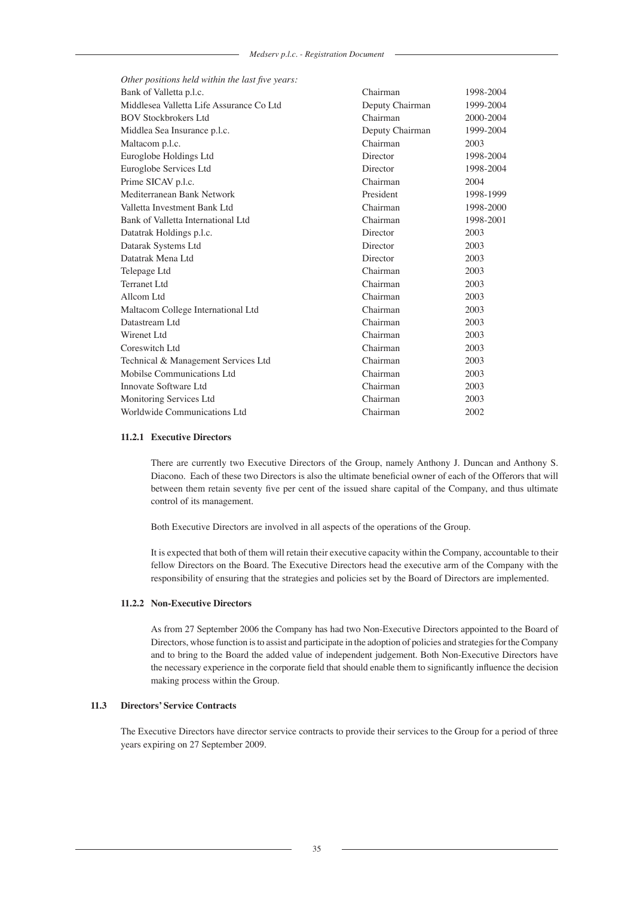| Other positions held within the last five years: |                 |           |
|--------------------------------------------------|-----------------|-----------|
| Bank of Valletta p.l.c.                          | Chairman        | 1998-2004 |
| Middlesea Valletta Life Assurance Co Ltd         | Deputy Chairman | 1999-2004 |
| <b>BOV Stockbrokers Ltd</b>                      | Chairman        | 2000-2004 |
| Middlea Sea Insurance p.l.c.                     | Deputy Chairman | 1999-2004 |
| Maltacom p.l.c.                                  | Chairman        | 2003      |
| Euroglobe Holdings Ltd                           | Director        | 1998-2004 |
| Euroglobe Services Ltd                           | Director        | 1998-2004 |
| Prime SICAV p.l.c.                               | Chairman        | 2004      |
| Mediterranean Bank Network                       | President       | 1998-1999 |
| Valletta Investment Bank Ltd                     | Chairman        | 1998-2000 |
| Bank of Valletta International Ltd               | Chairman        | 1998-2001 |
| Datatrak Holdings p.l.c.                         | Director        | 2003      |
| Datarak Systems Ltd                              | Director        | 2003      |
| Datatrak Mena Ltd                                | Director        | 2003      |
| Telepage Ltd                                     | Chairman        | 2003      |
| Terranet Ltd                                     | Chairman        | 2003      |
| Allcom Ltd                                       | Chairman        | 2003      |
| Maltacom College International Ltd               | Chairman        | 2003      |
| Datastream Ltd                                   | Chairman        | 2003      |
| Wirenet Ltd                                      | Chairman        | 2003      |
| Coreswitch Ltd                                   | Chairman        | 2003      |
| Technical & Management Services Ltd              | Chairman        | 2003      |
| Mobilse Communications Ltd                       | Chairman        | 2003      |
| Innovate Software Ltd                            | Chairman        | 2003      |
| Monitoring Services Ltd                          | Chairman        | 2003      |
| Worldwide Communications Ltd                     | Chairman        | 2002      |

### **11.2.1 Executive Directors**

There are currently two Executive Directors of the Group, namely Anthony J. Duncan and Anthony S. Diacono. Each of these two Directors is also the ultimate beneficial owner of each of the Offerors that will between them retain seventy five per cent of the issued share capital of the Company, and thus ultimate control of its management.

Both Executive Directors are involved in all aspects of the operations of the Group.

It is expected that both of them will retain their executive capacity within the Company, accountable to their fellow Directors on the Board. The Executive Directors head the executive arm of the Company with the responsibility of ensuring that the strategies and policies set by the Board of Directors are implemented.

### **11.2.2 Non-Executive Directors**

As from 27 September 2006 the Company has had two Non-Executive Directors appointed to the Board of Directors, whose function is to assist and participate in the adoption of policies and strategies for the Company and to bring to the Board the added value of independent judgement. Both Non-Executive Directors have the necessary experience in the corporate field that should enable them to significantly influence the decision making process within the Group.

# **11.3 Directors' Service Contracts**

The Executive Directors have director service contracts to provide their services to the Group for a period of three years expiring on 27 September 2009.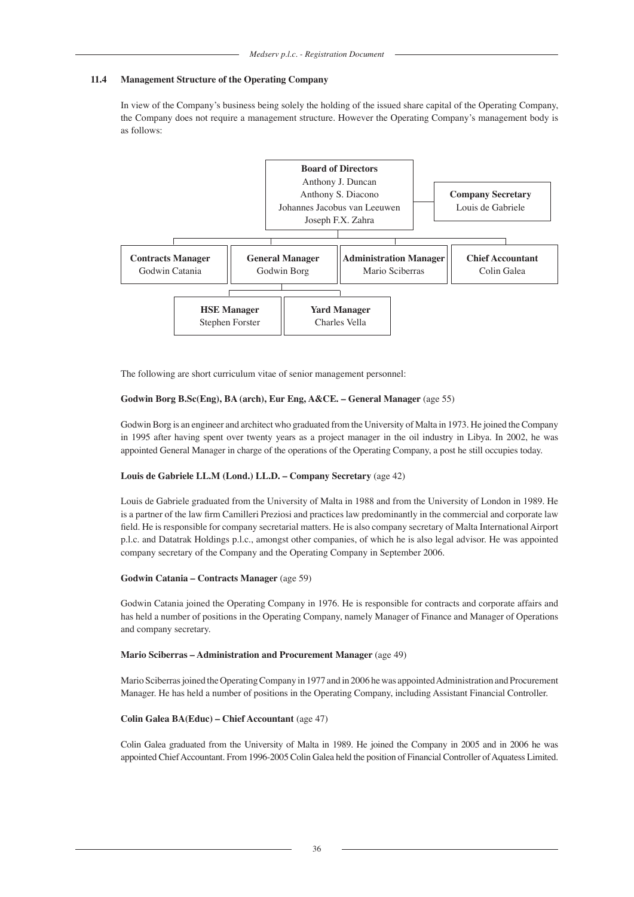# **11.4 Management Structure of the Operating Company**

In view of the Company's business being solely the holding of the issued share capital of the Operating Company, the Company does not require a management structure. However the Operating Company's management body is as follows:



The following are short curriculum vitae of senior management personnel:

# **Godwin Borg B.Sc(Eng), BA (arch), Eur Eng, A&CE. – General Manager** (age 55)

Godwin Borg is an engineer and architect who graduated from the University of Malta in 1973. He joined the Company in 1995 after having spent over twenty years as a project manager in the oil industry in Libya. In 2002, he was appointed General Manager in charge of the operations of the Operating Company, a post he still occupies today.

### **Louis de Gabriele LL.M (Lond.) LL.D. – Company Secretary** (age 42)

Louis de Gabriele graduated from the University of Malta in 1988 and from the University of London in 1989. He is a partner of the law firm Camilleri Preziosi and practices law predominantly in the commercial and corporate law field. He is responsible for company secretarial matters. He is also company secretary of Malta International Airport p.l.c. and Datatrak Holdings p.l.c., amongst other companies, of which he is also legal advisor. He was appointed company secretary of the Company and the Operating Company in September 2006.

### **Godwin Catania – Contracts Manager** (age 59)

Godwin Catania joined the Operating Company in 1976. He is responsible for contracts and corporate affairs and has held a number of positions in the Operating Company, namely Manager of Finance and Manager of Operations and company secretary.

### **Mario Sciberras – Administration and Procurement Manager** (age 49)

Mario Sciberras joined the Operating Company in 1977 and in 2006 he was appointed Administration and Procurement Manager. He has held a number of positions in the Operating Company, including Assistant Financial Controller.

### **Colin Galea BA(Educ) – Chief Accountant** (age 47)

Colin Galea graduated from the University of Malta in 1989. He joined the Company in 2005 and in 2006 he was appointed Chief Accountant. From 1996-2005 Colin Galea held the position of Financial Controller of Aquatess Limited.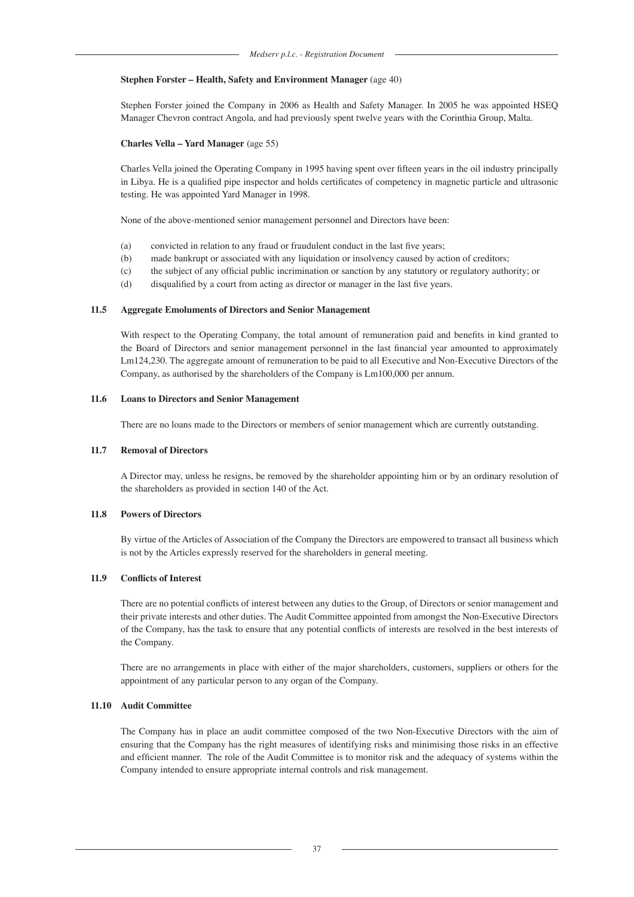#### **Stephen Forster – Health, Safety and Environment Manager** (age 40)

Stephen Forster joined the Company in 2006 as Health and Safety Manager. In 2005 he was appointed HSEQ Manager Chevron contract Angola, and had previously spent twelve years with the Corinthia Group, Malta.

#### **Charles Vella – Yard Manager** (age 55)

Charles Vella joined the Operating Company in 1995 having spent over fifteen years in the oil industry principally in Libya. He is a qualified pipe inspector and holds certificates of competency in magnetic particle and ultrasonic testing. He was appointed Yard Manager in 1998.

None of the above-mentioned senior management personnel and Directors have been:

- (a) convicted in relation to any fraud or fraudulent conduct in the last five years;
- (b) made bankrupt or associated with any liquidation or insolvency caused by action of creditors;
- (c) the subject of any official public incrimination or sanction by any statutory or regulatory authority; or
- (d) disqualified by a court from acting as director or manager in the last five years.

#### **11.5 Aggregate Emoluments of Directors and Senior Management**

With respect to the Operating Company, the total amount of remuneration paid and benefits in kind granted to the Board of Directors and senior management personnel in the last financial year amounted to approximately Lm124,230. The aggregate amount of remuneration to be paid to all Executive and Non-Executive Directors of the Company, as authorised by the shareholders of the Company is Lm100,000 per annum.

#### **11.6 Loans to Directors and Senior Management**

There are no loans made to the Directors or members of senior management which are currently outstanding.

#### **11.7 Removal of Directors**

A Director may, unless he resigns, be removed by the shareholder appointing him or by an ordinary resolution of the shareholders as provided in section 140 of the Act.

### **11.8 Powers of Directors**

By virtue of the Articles of Association of the Company the Directors are empowered to transact all business which is not by the Articles expressly reserved for the shareholders in general meeting.

# **11.9 Conflicts of Interest**

There are no potential conflicts of interest between any duties to the Group, of Directors or senior management and their private interests and other duties. The Audit Committee appointed from amongst the Non-Executive Directors of the Company, has the task to ensure that any potential conflicts of interests are resolved in the best interests of the Company.

There are no arrangements in place with either of the major shareholders, customers, suppliers or others for the appointment of any particular person to any organ of the Company.

### **11.10 Audit Committee**

The Company has in place an audit committee composed of the two Non-Executive Directors with the aim of ensuring that the Company has the right measures of identifying risks and minimising those risks in an effective and efficient manner. The role of the Audit Committee is to monitor risk and the adequacy of systems within the Company intended to ensure appropriate internal controls and risk management.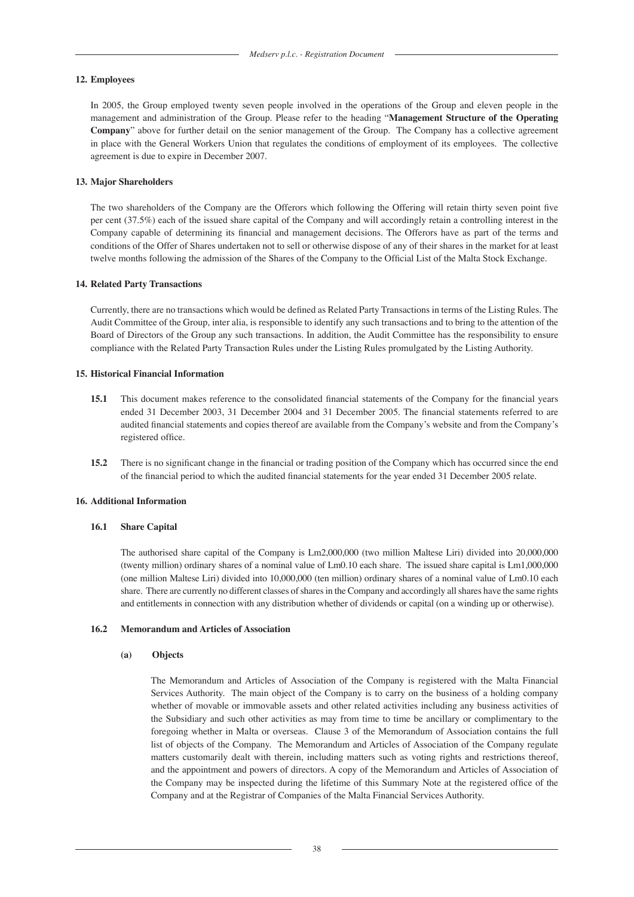#### **12. Employees**

 In 2005, the Group employed twenty seven people involved in the operations of the Group and eleven people in the management and administration of the Group. Please refer to the heading "**Management Structure of the Operating Company**" above for further detail on the senior management of the Group. The Company has a collective agreement in place with the General Workers Union that regulates the conditions of employment of its employees. The collective agreement is due to expire in December 2007.

#### **13. Major Shareholders**

 The two shareholders of the Company are the Offerors which following the Offering will retain thirty seven point five per cent (37.5%) each of the issued share capital of the Company and will accordingly retain a controlling interest in the Company capable of determining its financial and management decisions. The Offerors have as part of the terms and conditions of the Offer of Shares undertaken not to sell or otherwise dispose of any of their shares in the market for at least twelve months following the admission of the Shares of the Company to the Official List of the Malta Stock Exchange.

#### **14. Related Party Transactions**

 Currently, there are no transactions which would be defined as Related Party Transactions in terms of the Listing Rules. The Audit Committee of the Group, inter alia, is responsible to identify any such transactions and to bring to the attention of the Board of Directors of the Group any such transactions. In addition, the Audit Committee has the responsibility to ensure compliance with the Related Party Transaction Rules under the Listing Rules promulgated by the Listing Authority.

#### **15. Historical Financial Information**

- **15.1** This document makes reference to the consolidated financial statements of the Company for the financial years ended 31 December 2003, 31 December 2004 and 31 December 2005. The financial statements referred to are audited financial statements and copies thereof are available from the Company's website and from the Company's registered office.
- **15.2** There is no significant change in the financial or trading position of the Company which has occurred since the end of the financial period to which the audited financial statements for the year ended 31 December 2005 relate.

#### **16. Additional Information**

#### **16.1 Share Capital**

The authorised share capital of the Company is Lm2,000,000 (two million Maltese Liri) divided into 20,000,000 (twenty million) ordinary shares of a nominal value of Lm0.10 each share. The issued share capital is Lm1,000,000 (one million Maltese Liri) divided into 10,000,000 (ten million) ordinary shares of a nominal value of Lm0.10 each share. There are currently no different classes of shares in the Company and accordingly all shares have the same rights and entitlements in connection with any distribution whether of dividends or capital (on a winding up or otherwise).

### **16.2 Memorandum and Articles of Association**

#### **(a) Objects**

The Memorandum and Articles of Association of the Company is registered with the Malta Financial Services Authority. The main object of the Company is to carry on the business of a holding company whether of movable or immovable assets and other related activities including any business activities of the Subsidiary and such other activities as may from time to time be ancillary or complimentary to the foregoing whether in Malta or overseas. Clause 3 of the Memorandum of Association contains the full list of objects of the Company. The Memorandum and Articles of Association of the Company regulate matters customarily dealt with therein, including matters such as voting rights and restrictions thereof, and the appointment and powers of directors. A copy of the Memorandum and Articles of Association of the Company may be inspected during the lifetime of this Summary Note at the registered office of the Company and at the Registrar of Companies of the Malta Financial Services Authority.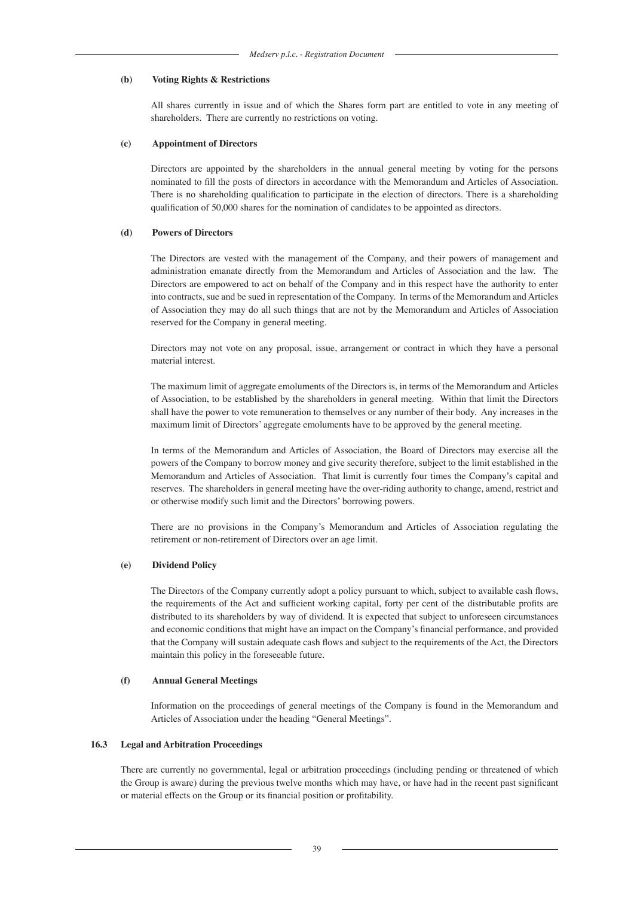#### **(b) Voting Rights & Restrictions**

All shares currently in issue and of which the Shares form part are entitled to vote in any meeting of shareholders. There are currently no restrictions on voting.

#### **(c) Appointment of Directors**

Directors are appointed by the shareholders in the annual general meeting by voting for the persons nominated to fill the posts of directors in accordance with the Memorandum and Articles of Association. There is no shareholding qualification to participate in the election of directors. There is a shareholding qualification of 50,000 shares for the nomination of candidates to be appointed as directors.

#### **(d) Powers of Directors**

The Directors are vested with the management of the Company, and their powers of management and administration emanate directly from the Memorandum and Articles of Association and the law. The Directors are empowered to act on behalf of the Company and in this respect have the authority to enter into contracts, sue and be sued in representation of the Company. In terms of the Memorandum and Articles of Association they may do all such things that are not by the Memorandum and Articles of Association reserved for the Company in general meeting.

Directors may not vote on any proposal, issue, arrangement or contract in which they have a personal material interest.

The maximum limit of aggregate emoluments of the Directors is, in terms of the Memorandum and Articles of Association, to be established by the shareholders in general meeting. Within that limit the Directors shall have the power to vote remuneration to themselves or any number of their body. Any increases in the maximum limit of Directors' aggregate emoluments have to be approved by the general meeting.

In terms of the Memorandum and Articles of Association, the Board of Directors may exercise all the powers of the Company to borrow money and give security therefore, subject to the limit established in the Memorandum and Articles of Association. That limit is currently four times the Company's capital and reserves. The shareholders in general meeting have the over-riding authority to change, amend, restrict and or otherwise modify such limit and the Directors' borrowing powers.

There are no provisions in the Company's Memorandum and Articles of Association regulating the retirement or non-retirement of Directors over an age limit.

#### **(e) Dividend Policy**

The Directors of the Company currently adopt a policy pursuant to which, subject to available cash flows, the requirements of the Act and sufficient working capital, forty per cent of the distributable profits are distributed to its shareholders by way of dividend. It is expected that subject to unforeseen circumstances and economic conditions that might have an impact on the Company's financial performance, and provided that the Company will sustain adequate cash flows and subject to the requirements of the Act, the Directors maintain this policy in the foreseeable future.

#### **(f) Annual General Meetings**

Information on the proceedings of general meetings of the Company is found in the Memorandum and Articles of Association under the heading "General Meetings".

#### **16.3 Legal and Arbitration Proceedings**

There are currently no governmental, legal or arbitration proceedings (including pending or threatened of which the Group is aware) during the previous twelve months which may have, or have had in the recent past significant or material effects on the Group or its financial position or profitability.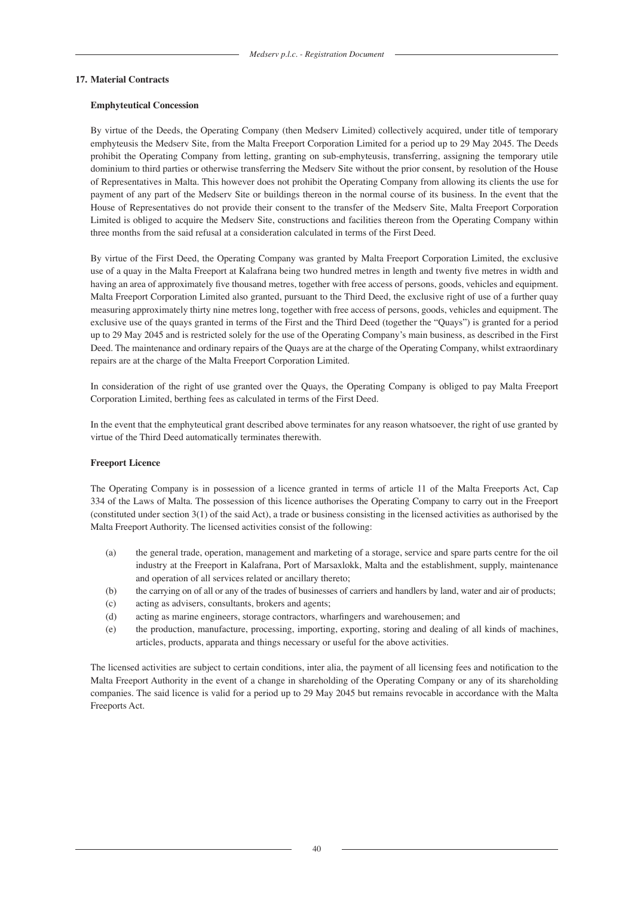#### **17. Material Contracts**

#### **Emphyteutical Concession**

By virtue of the Deeds, the Operating Company (then Medserv Limited) collectively acquired, under title of temporary emphyteusis the Medserv Site, from the Malta Freeport Corporation Limited for a period up to 29 May 2045. The Deeds prohibit the Operating Company from letting, granting on sub-emphyteusis, transferring, assigning the temporary utile dominium to third parties or otherwise transferring the Medserv Site without the prior consent, by resolution of the House of Representatives in Malta. This however does not prohibit the Operating Company from allowing its clients the use for payment of any part of the Medserv Site or buildings thereon in the normal course of its business. In the event that the House of Representatives do not provide their consent to the transfer of the Medserv Site, Malta Freeport Corporation Limited is obliged to acquire the Medserv Site, constructions and facilities thereon from the Operating Company within three months from the said refusal at a consideration calculated in terms of the First Deed.

By virtue of the First Deed, the Operating Company was granted by Malta Freeport Corporation Limited, the exclusive use of a quay in the Malta Freeport at Kalafrana being two hundred metres in length and twenty five metres in width and having an area of approximately five thousand metres, together with free access of persons, goods, vehicles and equipment. Malta Freeport Corporation Limited also granted, pursuant to the Third Deed, the exclusive right of use of a further quay measuring approximately thirty nine metres long, together with free access of persons, goods, vehicles and equipment. The exclusive use of the quays granted in terms of the First and the Third Deed (together the "Quays") is granted for a period up to 29 May 2045 and is restricted solely for the use of the Operating Company's main business, as described in the First Deed. The maintenance and ordinary repairs of the Quays are at the charge of the Operating Company, whilst extraordinary repairs are at the charge of the Malta Freeport Corporation Limited.

In consideration of the right of use granted over the Quays, the Operating Company is obliged to pay Malta Freeport Corporation Limited, berthing fees as calculated in terms of the First Deed.

In the event that the emphyteutical grant described above terminates for any reason whatsoever, the right of use granted by virtue of the Third Deed automatically terminates therewith.

#### **Freeport Licence**

The Operating Company is in possession of a licence granted in terms of article 11 of the Malta Freeports Act, Cap 334 of the Laws of Malta. The possession of this licence authorises the Operating Company to carry out in the Freeport (constituted under section 3(1) of the said Act), a trade or business consisting in the licensed activities as authorised by the Malta Freeport Authority. The licensed activities consist of the following:

- (a) the general trade, operation, management and marketing of a storage, service and spare parts centre for the oil industry at the Freeport in Kalafrana, Port of Marsaxlokk, Malta and the establishment, supply, maintenance and operation of all services related or ancillary thereto;
- (b) the carrying on of all or any of the trades of businesses of carriers and handlers by land, water and air of products;
- (c) acting as advisers, consultants, brokers and agents;
- (d) acting as marine engineers, storage contractors, wharfingers and warehousemen; and
- (e) the production, manufacture, processing, importing, exporting, storing and dealing of all kinds of machines, articles, products, apparata and things necessary or useful for the above activities.

The licensed activities are subject to certain conditions, inter alia, the payment of all licensing fees and notification to the Malta Freeport Authority in the event of a change in shareholding of the Operating Company or any of its shareholding companies. The said licence is valid for a period up to 29 May 2045 but remains revocable in accordance with the Malta Freeports Act.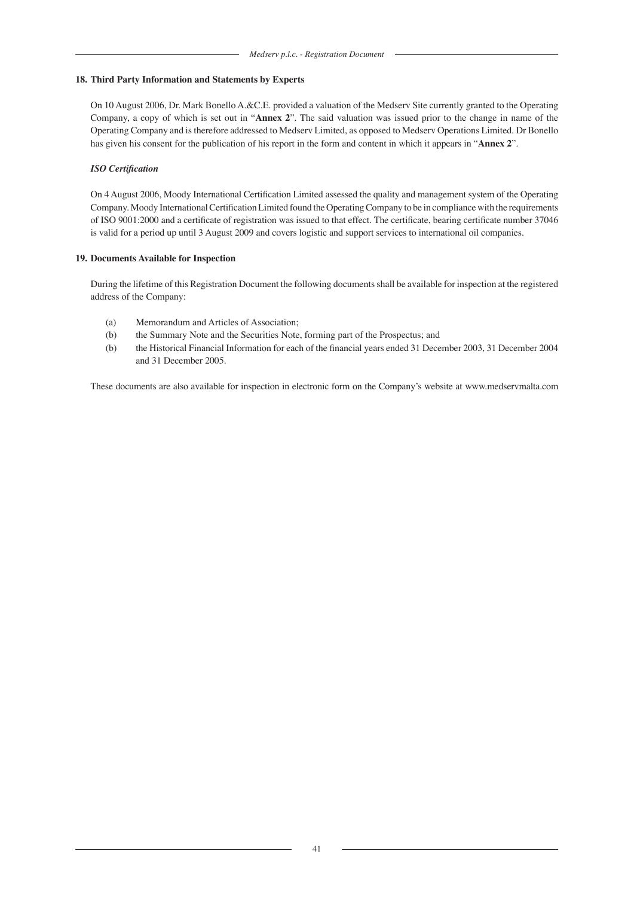### **18. Third Party Information and Statements by Experts**

On 10 August 2006, Dr. Mark Bonello A.&C.E. provided a valuation of the Medserv Site currently granted to the Operating Company, a copy of which is set out in "**Annex 2**". The said valuation was issued prior to the change in name of the Operating Company and is therefore addressed to Medserv Limited, as opposed to Medserv Operations Limited. Dr Bonello has given his consent for the publication of his report in the form and content in which it appears in "**Annex 2**".

### *ISO Certification*

On 4 August 2006, Moody International Certification Limited assessed the quality and management system of the Operating Company. Moody International Certification Limited found the Operating Company to be in compliance with the requirements of ISO 9001:2000 and a certificate of registration was issued to that effect. The certificate, bearing certificate number 37046 is valid for a period up until 3 August 2009 and covers logistic and support services to international oil companies.

#### **19. Documents Available for Inspection**

During the lifetime of this Registration Document the following documents shall be available for inspection at the registered address of the Company:

- (a) Memorandum and Articles of Association;
- (b) the Summary Note and the Securities Note, forming part of the Prospectus; and
- (b) the Historical Financial Information for each of the financial years ended 31 December 2003, 31 December 2004 and 31 December 2005.

These documents are also available for inspection in electronic form on the Company's website at www.medservmalta.com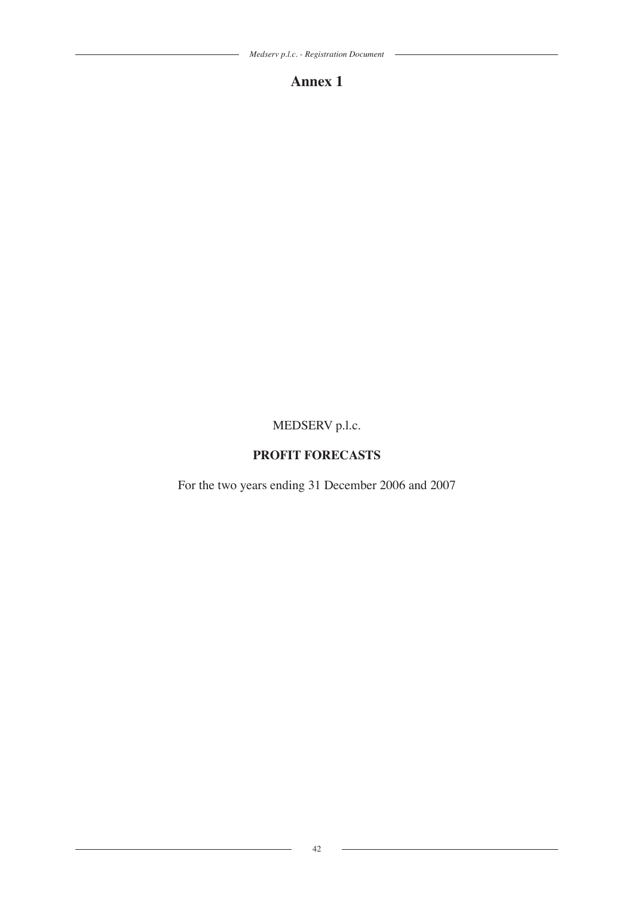$\overline{\phantom{a}}$ 

 $\overline{\phantom{0}}$ 

# **Annex 1**

# MEDSERV p.l.c.

# **PROFIT FORECASTS**

For the two years ending 31 December 2006 and 2007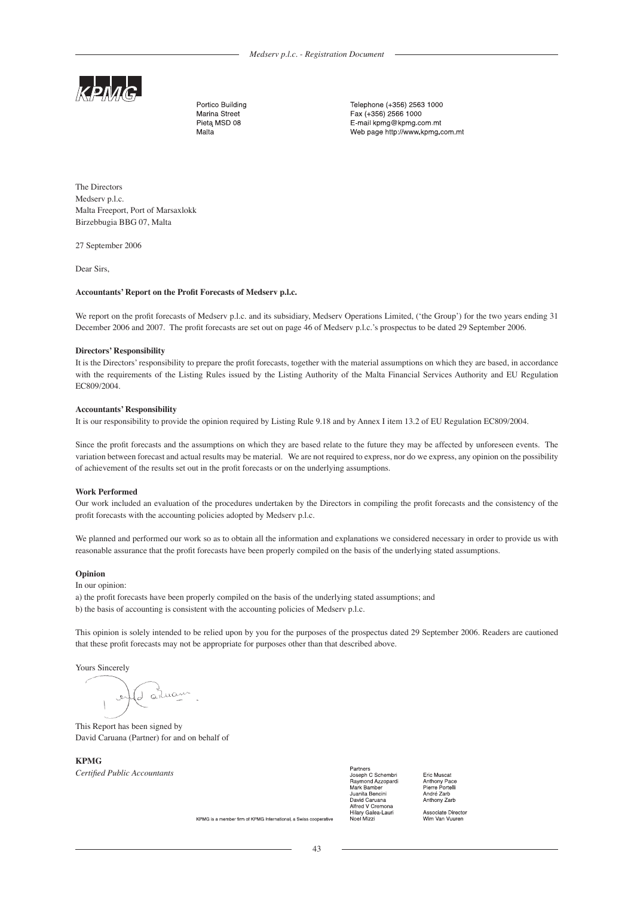

Portico Building Marina Street Pietą MSD 08 Malta

Telephone (+356) 2563 1000 Fax (+356) 2566 1000 E-mail kpmg@kpmg.com.mt Web page http://www.kpmg.com.mt

The Directors Medserv p.l.c. Malta Freeport, Port of Marsaxlokk Birzebbugia BBG 07, Malta

27 September 2006

Dear Sirs,

#### **Accountants' Report on the Profit Forecasts of Medserv p.l.c.**

We report on the profit forecasts of Medserv p.l.c. and its subsidiary, Medserv Operations Limited, ('the Group') for the two years ending 31 December 2006 and 2007. The profit forecasts are set out on page 46 of Medserv p.l.c.'s prospectus to be dated 29 September 2006.

#### **Directors' Responsibility**

It is the Directors' responsibility to prepare the profit forecasts, together with the material assumptions on which they are based, in accordance with the requirements of the Listing Rules issued by the Listing Authority of the Malta Financial Services Authority and EU Regulation EC809/2004.

#### **Accountants' Responsibility**

It is our responsibility to provide the opinion required by Listing Rule 9.18 and by Annex I item 13.2 of EU Regulation EC809/2004.

Since the profit forecasts and the assumptions on which they are based relate to the future they may be affected by unforeseen events. The variation between forecast and actual results may be material. We are not required to express, nor do we express, any opinion on the possibility of achievement of the results set out in the profit forecasts or on the underlying assumptions.

#### **Work Performed**

Our work included an evaluation of the procedures undertaken by the Directors in compiling the profit forecasts and the consistency of the profit forecasts with the accounting policies adopted by Medserv p.l.c.

We planned and performed our work so as to obtain all the information and explanations we considered necessary in order to provide us with reasonable assurance that the profit forecasts have been properly compiled on the basis of the underlying stated assumptions.

#### **Opinion**

In our opinion:

a) the profit forecasts have been properly compiled on the basis of the underlying stated assumptions; and b) the basis of accounting is consistent with the accounting policies of Medserv p.l.c.

This opinion is solely intended to be relied upon by you for the purposes of the prospectus dated 29 September 2006. Readers are cautioned that these profit forecasts may not be appropriate for purposes other than that described above.

Yours Sincerely

1 anuan

This Report has been signed by David Caruana (Partner) for and on behalf of

**KPMG** *Certified Public Accountants*

Partners<br>Joseph C Schembri Raymond Azzopardi Mark Bamber ……… ∍…………<br>Juanita Bencini David Caruana Alfred V Cremona Hilary Galea-Laur loel Mizz

Eric Muscat Anthony Pace<br>Pierre Portelli André Zarb Anthony Zarb

Associate Directo<br>Wim Van Vuuren

KPMG is a member firm of KPMG International, a Swiss cooperative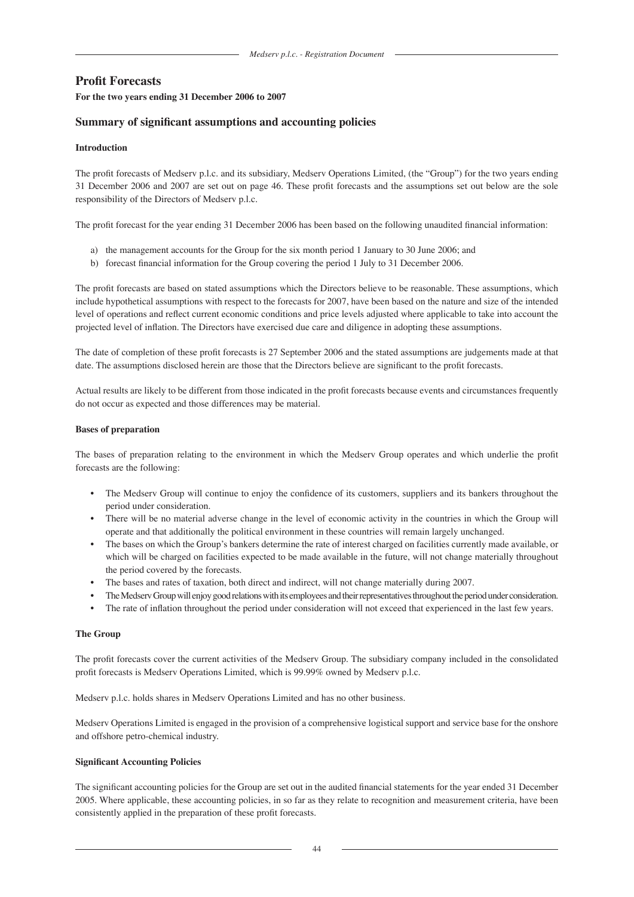# **Profit Forecasts**

#### **For the two years ending 31 December 2006 to 2007**

# **Summary of significant assumptions and accounting policies**

# **Introduction**

The profit forecasts of Medserv p.l.c. and its subsidiary, Medserv Operations Limited, (the "Group") for the two years ending 31 December 2006 and 2007 are set out on page 46. These profit forecasts and the assumptions set out below are the sole responsibility of the Directors of Medserv p.l.c.

The profit forecast for the year ending 31 December 2006 has been based on the following unaudited financial information:

- a) the management accounts for the Group for the six month period 1 January to 30 June 2006; and
- b) forecast financial information for the Group covering the period 1 July to 31 December 2006.

The profit forecasts are based on stated assumptions which the Directors believe to be reasonable. These assumptions, which include hypothetical assumptions with respect to the forecasts for 2007, have been based on the nature and size of the intended level of operations and reflect current economic conditions and price levels adjusted where applicable to take into account the projected level of inflation. The Directors have exercised due care and diligence in adopting these assumptions.

The date of completion of these profit forecasts is 27 September 2006 and the stated assumptions are judgements made at that date. The assumptions disclosed herein are those that the Directors believe are significant to the profit forecasts.

Actual results are likely to be different from those indicated in the profit forecasts because events and circumstances frequently do not occur as expected and those differences may be material.

#### **Bases of preparation**

The bases of preparation relating to the environment in which the Medserv Group operates and which underlie the profit forecasts are the following:

- The Medserv Group will continue to enjoy the confidence of its customers, suppliers and its bankers throughout the period under consideration.
- There will be no material adverse change in the level of economic activity in the countries in which the Group will operate and that additionally the political environment in these countries will remain largely unchanged.
- The bases on which the Group's bankers determine the rate of interest charged on facilities currently made available, or which will be charged on facilities expected to be made available in the future, will not change materially throughout the period covered by the forecasts.
- The bases and rates of taxation, both direct and indirect, will not change materially during 2007.
- The Medserv Group will enjoy good relations with its employees and their representatives throughout the period under consideration.
- The rate of inflation throughout the period under consideration will not exceed that experienced in the last few years.

#### **The Group**

The profit forecasts cover the current activities of the Medserv Group. The subsidiary company included in the consolidated profit forecasts is Medserv Operations Limited, which is 99.99% owned by Medserv p.l.c.

Medserv p.l.c. holds shares in Medserv Operations Limited and has no other business.

Medserv Operations Limited is engaged in the provision of a comprehensive logistical support and service base for the onshore and offshore petro-chemical industry.

#### **Significant Accounting Policies**

The significant accounting policies for the Group are set out in the audited financial statements for the year ended 31 December 2005. Where applicable, these accounting policies, in so far as they relate to recognition and measurement criteria, have been consistently applied in the preparation of these profit forecasts.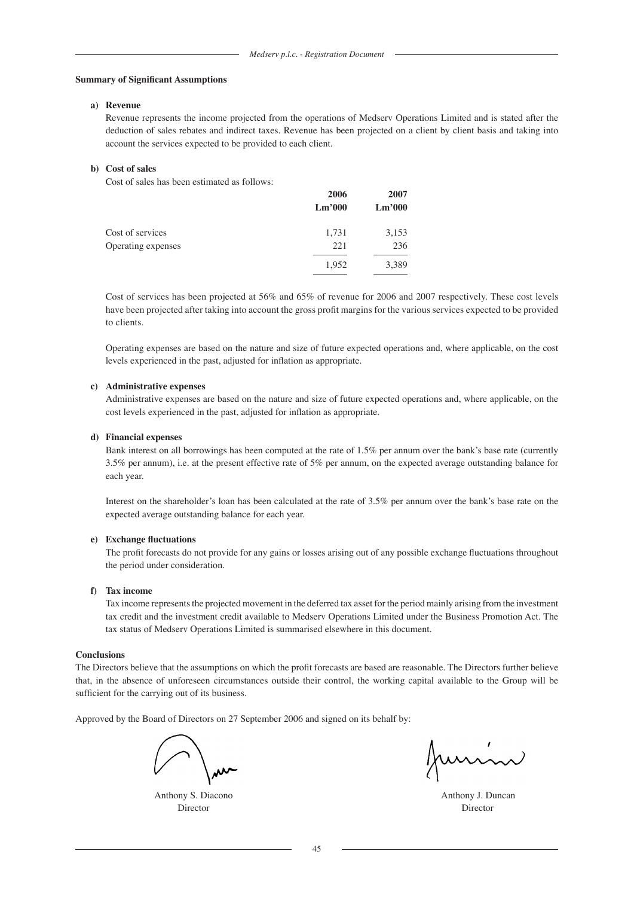#### **Summary of Significant Assumptions**

#### **a) Revenue**

Revenue represents the income projected from the operations of Medserv Operations Limited and is stated after the deduction of sales rebates and indirect taxes. Revenue has been projected on a client by client basis and taking into account the services expected to be provided to each client.

#### **b) Cost of sales**

Cost of sales has been estimated as follows:

|                    | 2006<br>Lm'000 | 2007<br>$\mathrm{Lm}^{,000}$ |
|--------------------|----------------|------------------------------|
| Cost of services   | 1,731          | 3,153                        |
| Operating expenses | 221            | 236                          |
|                    | 1,952          | 3,389                        |

Cost of services has been projected at 56% and 65% of revenue for 2006 and 2007 respectively. These cost levels have been projected after taking into account the gross profit margins for the various services expected to be provided to clients.

Operating expenses are based on the nature and size of future expected operations and, where applicable, on the cost levels experienced in the past, adjusted for inflation as appropriate.

#### **c) Administrative expenses**

 Administrative expenses are based on the nature and size of future expected operations and, where applicable, on the cost levels experienced in the past, adjusted for inflation as appropriate.

#### **d) Financial expenses**

 Bank interest on all borrowings has been computed at the rate of 1.5% per annum over the bank's base rate (currently 3.5% per annum), i.e. at the present effective rate of 5% per annum, on the expected average outstanding balance for each year.

 Interest on the shareholder's loan has been calculated at the rate of 3.5% per annum over the bank's base rate on the expected average outstanding balance for each year.

#### **e) Exchange fluctuations**

 The profit forecasts do not provide for any gains or losses arising out of any possible exchange fluctuations throughout the period under consideration.

#### **f) Tax income**

 Tax income represents the projected movement in the deferred tax asset for the period mainly arising from the investment tax credit and the investment credit available to Medserv Operations Limited under the Business Promotion Act. The tax status of Medserv Operations Limited is summarised elsewhere in this document.

#### **Conclusions**

The Directors believe that the assumptions on which the profit forecasts are based are reasonable. The Directors further believe that, in the absence of unforeseen circumstances outside their control, the working capital available to the Group will be sufficient for the carrying out of its business.

Approved by the Board of Directors on 27 September 2006 and signed on its behalf by:

Director Director

funnin

Anthony S. Diacono **Anthony S. Diacono Anthony J. Duncan**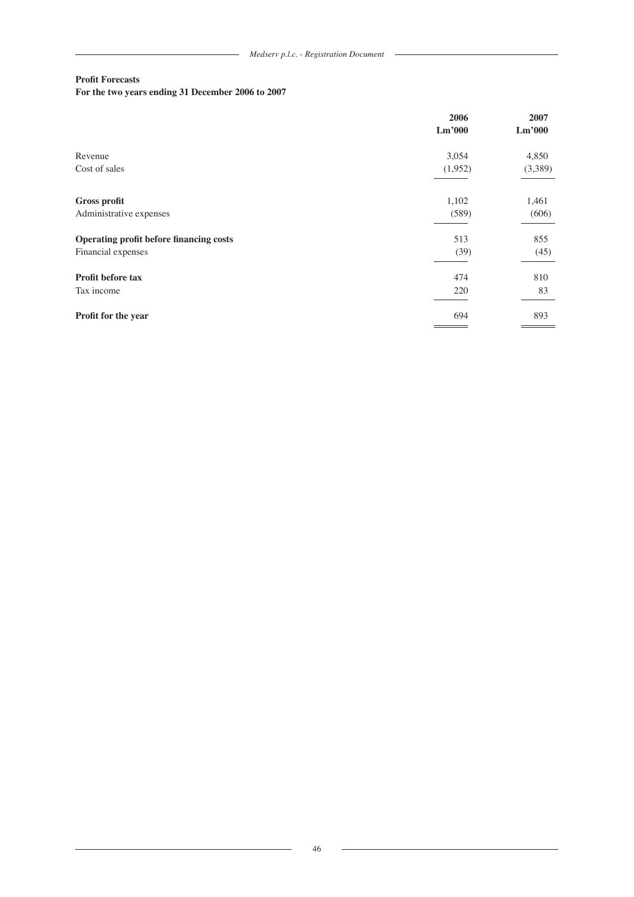$\overline{\phantom{a}}$ 

# **Profit Forecasts**

# **For the two years ending 31 December 2006 to 2007**

|                                         | 2006<br>Lm'000 | 2007<br>Lm'000 |
|-----------------------------------------|----------------|----------------|
| Revenue                                 | 3,054          | 4,850          |
| Cost of sales                           | (1,952)        | (3,389)        |
| <b>Gross profit</b>                     | 1,102          | 1,461          |
| Administrative expenses                 | (589)          | (606)          |
| Operating profit before financing costs | 513            | 855            |
| Financial expenses                      | (39)           | (45)           |
| Profit before tax                       | 474            | 810            |
| Tax income                              | 220            | 83             |
| Profit for the year                     | 694            | 893            |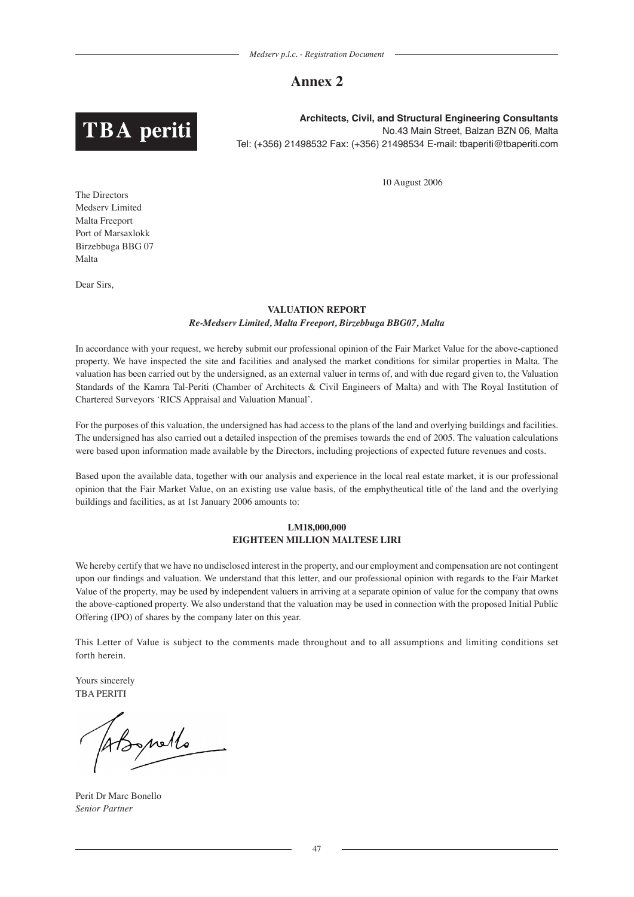# **Annex 2**



**Architects, Civil, and Structural Engineering Consultants** No.43 Main Street, Balzan BZN 06, Malta Tel: (+356) 21498532 Fax: (+356) 21498534 E-mail: tbaperiti@tbaperiti.com

10 August 2006

The Directors Medserv Limited Malta Freeport Port of Marsaxlokk Birzebbuga BBG 07 Malta

Dear Sirs,

# **VALUATION REPORT** *Re-Medserv Limited, Malta Freeport, Birzebbuga BBG07, Malta*

In accordance with your request, we hereby submit our professional opinion of the Fair Market Value for the above-captioned property. We have inspected the site and facilities and analysed the market conditions for similar properties in Malta. The valuation has been carried out by the undersigned, as an external valuer in terms of, and with due regard given to, the Valuation Standards of the Kamra Tal-Periti (Chamber of Architects & Civil Engineers of Malta) and with The Royal Institution of Chartered Surveyors 'RICS Appraisal and Valuation Manual'.

For the purposes of this valuation, the undersigned has had access to the plans of the land and overlying buildings and facilities. The undersigned has also carried out a detailed inspection of the premises towards the end of 2005. The valuation calculations were based upon information made available by the Directors, including projections of expected future revenues and costs.

Based upon the available data, together with our analysis and experience in the local real estate market, it is our professional opinion that the Fair Market Value, on an existing use value basis, of the emphytheutical title of the land and the overlying buildings and facilities, as at 1st January 2006 amounts to:

# **LM18,000,000 EIGHTEEN MILLION MALTESE LIRI**

We hereby certify that we have no undisclosed interest in the property, and our employment and compensation are not contingent upon our findings and valuation. We understand that this letter, and our professional opinion with regards to the Fair Market Value of the property, may be used by independent valuers in arriving at a separate opinion of value for the company that owns the above-captioned property. We also understand that the valuation may be used in connection with the proposed Initial Public Offering (IPO) of shares by the company later on this year.

This Letter of Value is subject to the comments made throughout and to all assumptions and limiting conditions set forth herein.

Yours sincerely TBA PERITI

prello

Perit Dr Marc Bonello *Senior Partner*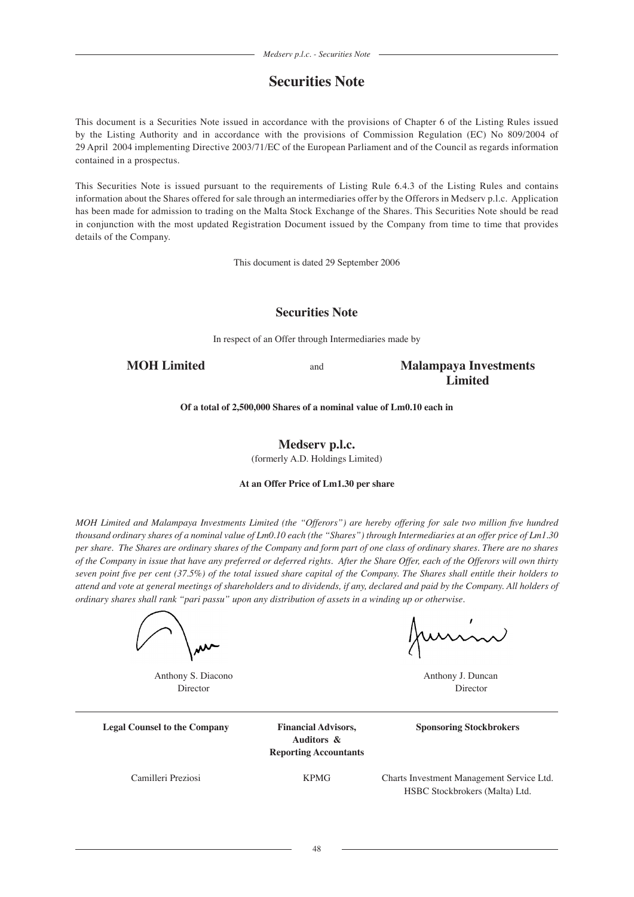# **Securities Note**

This document is a Securities Note issued in accordance with the provisions of Chapter 6 of the Listing Rules issued by the Listing Authority and in accordance with the provisions of Commission Regulation (EC) No 809/2004 of 29 April 2004 implementing Directive 2003/71/EC of the European Parliament and of the Council as regards information contained in a prospectus.

This Securities Note is issued pursuant to the requirements of Listing Rule 6.4.3 of the Listing Rules and contains information about the Shares offered for sale through an intermediaries offer by the Offerors in Medserv p.l.c. Application has been made for admission to trading on the Malta Stock Exchange of the Shares. This Securities Note should be read in conjunction with the most updated Registration Document issued by the Company from time to time that provides details of the Company.

This document is dated 29 September 2006

# **Securities Note**

In respect of an Offer through Intermediaries made by

**MOH Limited** and **Malampaya Investments Limited**

**Of a total of 2,500,000 Shares of a nominal value of Lm0.10 each in**

**Medserv p.l.c.** (formerly A.D. Holdings Limited)

### **At an Offer Price of Lm1.30 per share**

*MOH Limited and Malampaya Investments Limited (the "Offerors") are hereby offering for sale two million five hundred thousand ordinary shares of a nominal value of Lm0.10 each (the "Shares") through Intermediaries at an offer price of Lm1.30 per share. The Shares are ordinary shares of the Company and form part of one class of ordinary shares. There are no shares of the Company in issue that have any preferred or deferred rights. After the Share Offer, each of the Offerors will own thirty seven point five per cent (37.5%) of the total issued share capital of the Company. The Shares shall entitle their holders to attend and vote at general meetings of shareholders and to dividends, if any, declared and paid by the Company. All holders of ordinary shares shall rank "pari passu" upon any distribution of assets in a winding up or otherwise.*

Junin

Anthony S. Diacono **Anthony J. Duncan** Director Director

**Legal Counsel to the Company Financial Advisors, Sponsoring Stockbrokers**

**Auditors & Reporting Accountants**

Camilleri Preziosi KPMG Charts Investment Management Service Ltd. HSBC Stockbrokers (Malta) Ltd.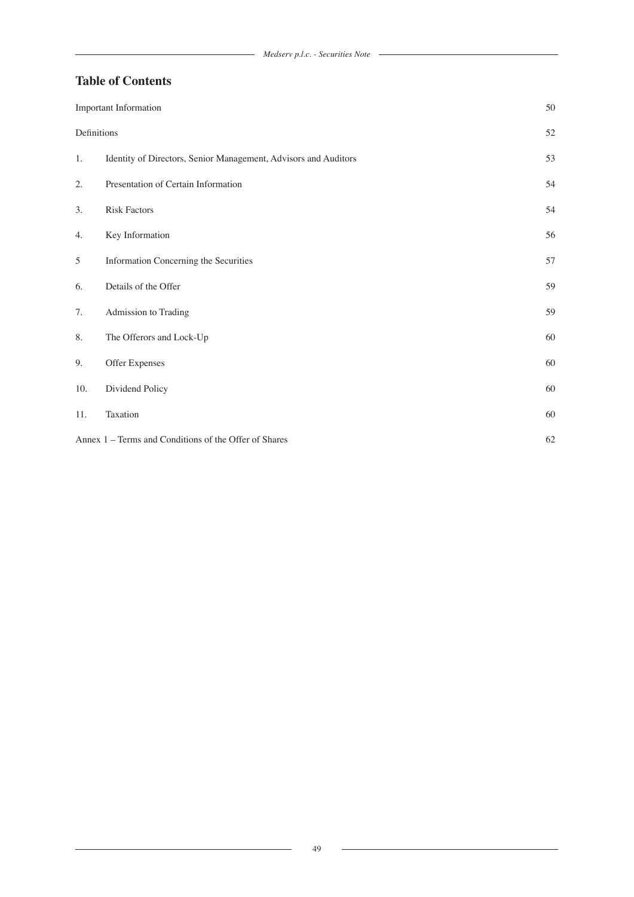# **Table of Contents**

|             | Important Information                                           |    |
|-------------|-----------------------------------------------------------------|----|
| Definitions |                                                                 | 52 |
| 1.          | Identity of Directors, Senior Management, Advisors and Auditors | 53 |
| 2.          | Presentation of Certain Information                             | 54 |
| 3.          | <b>Risk Factors</b>                                             | 54 |
| 4.          | Key Information                                                 | 56 |
| 5           | Information Concerning the Securities                           | 57 |
| 6.          | Details of the Offer                                            | 59 |
| 7.          | Admission to Trading                                            | 59 |
| 8.          | The Offerors and Lock-Up                                        | 60 |
| 9.          | Offer Expenses                                                  | 60 |
| 10.         | Dividend Policy                                                 | 60 |
| 11.         | Taxation                                                        | 60 |
|             | Annex 1 - Terms and Conditions of the Offer of Shares           | 62 |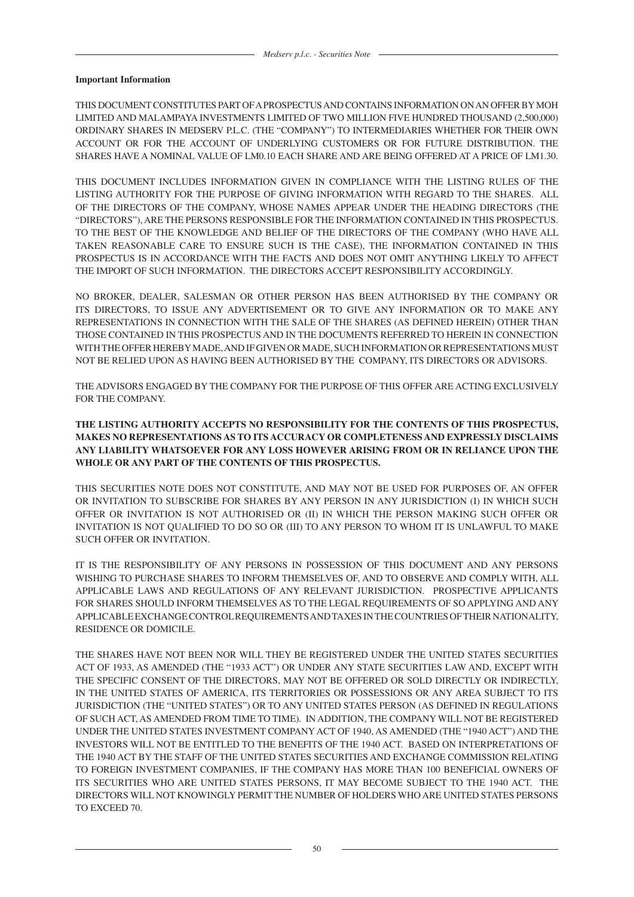### **Important Information**

THIS DOCUMENT CONSTITUTES PART OF A PROSPECTUS AND CONTAINS INFORMATION ON AN OFFER BY MOH LIMITED AND MALAMPAYA INVESTMENTS LIMITED OF TWO MILLION FIVE HUNDRED THOUSAND (2,500,000) ORDINARY SHARES IN MEDSERV P.L.C. (THE "COMPANY") TO INTERMEDIARIES WHETHER FOR THEIR OWN ACCOUNT OR FOR THE ACCOUNT OF UNDERLYING CUSTOMERS OR FOR FUTURE DISTRIBUTION. THE SHARES HAVE A NOMINAL VALUE OF LM0.10 EACH SHARE AND ARE BEING OFFERED AT A PRICE OF LM1.30.

THIS DOCUMENT INCLUDES INFORMATION GIVEN IN COMPLIANCE WITH THE LISTING RULES OF THE LISTING AUTHORITY FOR THE PURPOSE OF GIVING INFORMATION WITH REGARD TO THE SHARES. ALL OF THE DIRECTORS OF THE COMPANY, WHOSE NAMES APPEAR UNDER THE HEADING DIRECTORS (THE "DIRECTORS"), ARE THE PERSONS RESPONSIBLE FOR THE INFORMATION CONTAINED IN THIS PROSPECTUS. TO THE BEST OF THE KNOWLEDGE AND BELIEF OF THE DIRECTORS OF THE COMPANY (WHO HAVE ALL TAKEN REASONABLE CARE TO ENSURE SUCH IS THE CASE), THE INFORMATION CONTAINED IN THIS PROSPECTUS IS IN ACCORDANCE WITH THE FACTS AND DOES NOT OMIT ANYTHING LIKELY TO AFFECT THE IMPORT OF SUCH INFORMATION. THE DIRECTORS ACCEPT RESPONSIBILITY ACCORDINGLY.

NO BROKER, DEALER, SALESMAN OR OTHER PERSON HAS BEEN AUTHORISED BY THE COMPANY OR ITS DIRECTORS, TO ISSUE ANY ADVERTISEMENT OR TO GIVE ANY INFORMATION OR TO MAKE ANY REPRESENTATIONS IN CONNECTION WITH THE SALE OF THE SHARES (AS DEFINED HEREIN) OTHER THAN THOSE CONTAINED IN THIS PROSPECTUS AND IN THE DOCUMENTS REFERRED TO HEREIN IN CONNECTION WITH THE OFFER HEREBY MADE, AND IF GIVEN OR MADE, SUCH INFORMATION OR REPRESENTATIONS MUST NOT BE RELIED UPON AS HAVING BEEN AUTHORISED BY THE COMPANY, ITS DIRECTORS OR ADVISORS.

THE ADVISORS ENGAGED BY THE COMPANY FOR THE PURPOSE OF THIS OFFER ARE ACTING EXCLUSIVELY FOR THE COMPANY.

# **THE LISTING AUTHORITY ACCEPTS NO RESPONSIBILITY FOR THE CONTENTS OF THIS PROSPECTUS, MAKES NO REPRESENTATIONS AS TO ITS ACCURACY OR COMPLETENESS AND EXPRESSLY DISCLAIMS ANY LIABILITY WHATSOEVER FOR ANY LOSS HOWEVER ARISING FROM OR IN RELIANCE UPON THE WHOLE OR ANY PART OF THE CONTENTS OF THIS PROSPECTUS.**

THIS SECURITIES NOTE DOES NOT CONSTITUTE, AND MAY NOT BE USED FOR PURPOSES OF, AN OFFER OR INVITATION TO SUBSCRIBE FOR SHARES BY ANY PERSON IN ANY JURISDICTION (I) IN WHICH SUCH OFFER OR INVITATION IS NOT AUTHORISED OR (II) IN WHICH THE PERSON MAKING SUCH OFFER OR INVITATION IS NOT QUALIFIED TO DO SO OR (III) TO ANY PERSON TO WHOM IT IS UNLAWFUL TO MAKE SUCH OFFER OR INVITATION.

IT IS THE RESPONSIBILITY OF ANY PERSONS IN POSSESSION OF THIS DOCUMENT AND ANY PERSONS WISHING TO PURCHASE SHARES TO INFORM THEMSELVES OF, AND TO OBSERVE AND COMPLY WITH, ALL APPLICABLE LAWS AND REGULATIONS OF ANY RELEVANT JURISDICTION. PROSPECTIVE APPLICANTS FOR SHARES SHOULD INFORM THEMSELVES AS TO THE LEGAL REQUIREMENTS OF SO APPLYING AND ANY APPLICABLE EXCHANGE CONTROL REQUIREMENTS AND TAXES IN THE COUNTRIES OF THEIR NATIONALITY, RESIDENCE OR DOMICILE.

THE SHARES HAVE NOT BEEN NOR WILL THEY BE REGISTERED UNDER THE UNITED STATES SECURITIES ACT OF 1933, AS AMENDED (THE "1933 ACT") OR UNDER ANY STATE SECURITIES LAW AND, EXCEPT WITH THE SPECIFIC CONSENT OF THE DIRECTORS, MAY NOT BE OFFERED OR SOLD DIRECTLY OR INDIRECTLY, IN THE UNITED STATES OF AMERICA, ITS TERRITORIES OR POSSESSIONS OR ANY AREA SUBJECT TO ITS JURISDICTION (THE "UNITED STATES") OR TO ANY UNITED STATES PERSON (AS DEFINED IN REGULATIONS OF SUCH ACT, AS AMENDED FROM TIME TO TIME). IN ADDITION, THE COMPANY WILL NOT BE REGISTERED UNDER THE UNITED STATES INVESTMENT COMPANY ACT OF 1940, AS AMENDED (THE "1940 ACT") AND THE INVESTORS WILL NOT BE ENTITLED TO THE BENEFITS OF THE 1940 ACT. BASED ON INTERPRETATIONS OF THE 1940 ACT BY THE STAFF OF THE UNITED STATES SECURITIES AND EXCHANGE COMMISSION RELATING TO FOREIGN INVESTMENT COMPANIES, IF THE COMPANY HAS MORE THAN 100 BENEFICIAL OWNERS OF ITS SECURITIES WHO ARE UNITED STATES PERSONS, IT MAY BECOME SUBJECT TO THE 1940 ACT. THE DIRECTORS WILL NOT KNOWINGLY PERMIT THE NUMBER OF HOLDERS WHO ARE UNITED STATES PERSONS TO EXCEED 70.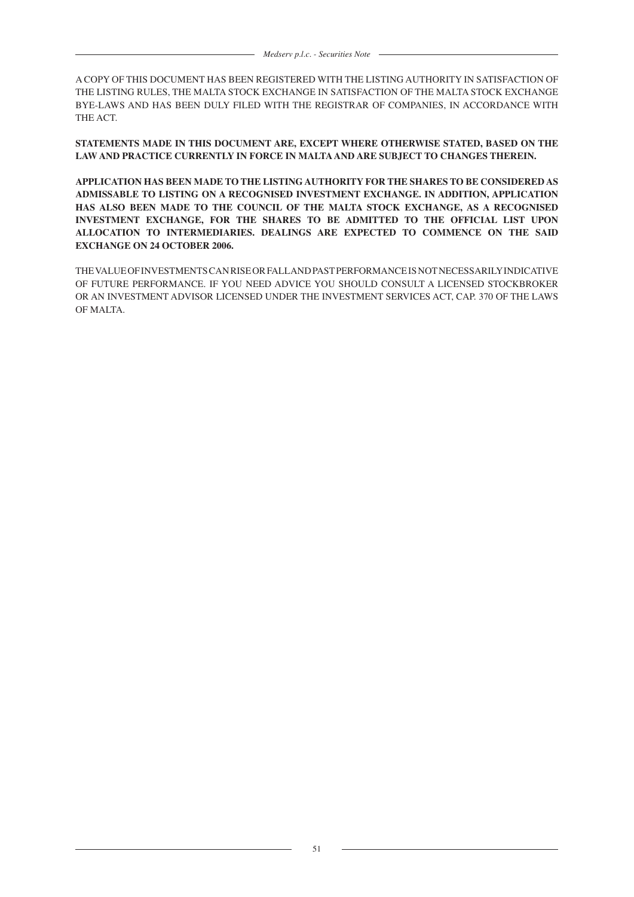A COPY OF THIS DOCUMENT HAS BEEN REGISTERED WITH THE LISTING AUTHORITY IN SATISFACTION OF THE LISTING RULES, THE MALTA STOCK EXCHANGE IN SATISFACTION OF THE MALTA STOCK EXCHANGE BYE-LAWS AND HAS BEEN DULY FILED WITH THE REGISTRAR OF COMPANIES, IN ACCORDANCE WITH THE ACT.

**STATEMENTS MADE IN THIS DOCUMENT ARE, EXCEPT WHERE OTHERWISE STATED, BASED ON THE LAW AND PRACTICE CURRENTLY IN FORCE IN MALTA AND ARE SUBJECT TO CHANGES THEREIN.**

**APPLICATION HAS BEEN MADE TO THE LISTING AUTHORITY FOR THE SHARES TO BE CONSIDERED AS ADMISSABLE TO LISTING ON A RECOGNISED INVESTMENT EXCHANGE. IN ADDITION, APPLICATION HAS ALSO BEEN MADE TO THE COUNCIL OF THE MALTA STOCK EXCHANGE, AS A RECOGNISED INVESTMENT EXCHANGE, FOR THE SHARES TO BE ADMITTED TO THE OFFICIAL LIST UPON ALLOCATION TO INTERMEDIARIES. DEALINGS ARE EXPECTED TO COMMENCE ON THE SAID EXCHANGE ON 24 OCTOBER 2006.**

THE VALUE OF INVESTMENTS CAN RISE OR FALL AND PAST PERFORMANCE IS NOT NECESSARILY INDICATIVE OF FUTURE PERFORMANCE. IF YOU NEED ADVICE YOU SHOULD CONSULT A LICENSED STOCKBROKER OR AN INVESTMENT ADVISOR LICENSED UNDER THE INVESTMENT SERVICES ACT, CAP. 370 OF THE LAWS OF MALTA.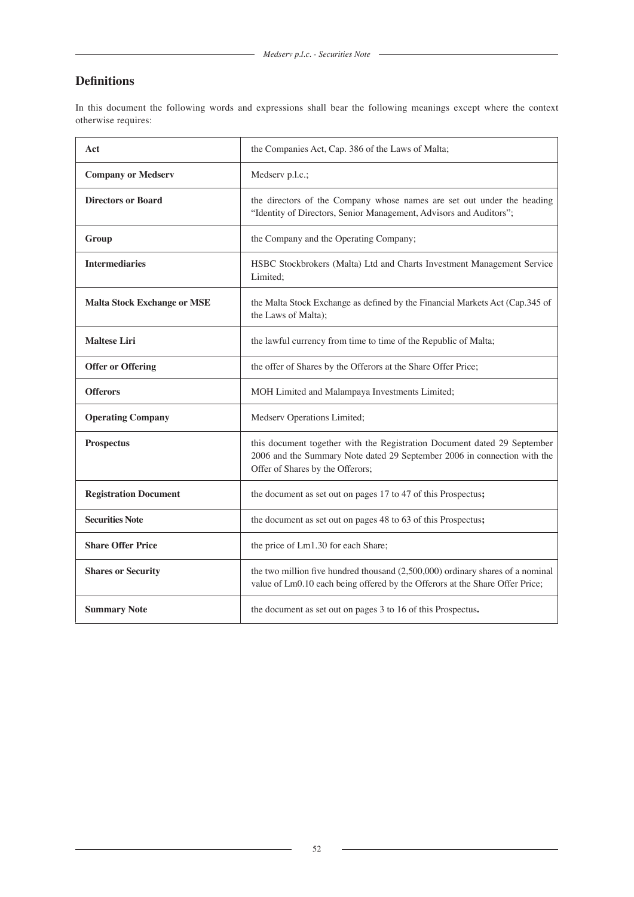# **Definitions**

In this document the following words and expressions shall bear the following meanings except where the context otherwise requires:

| Act                                | the Companies Act, Cap. 386 of the Laws of Malta;                                                                                                                                        |  |
|------------------------------------|------------------------------------------------------------------------------------------------------------------------------------------------------------------------------------------|--|
| <b>Company or Medserv</b>          | Medserv p.l.c.;                                                                                                                                                                          |  |
| <b>Directors or Board</b>          | the directors of the Company whose names are set out under the heading<br>"Identity of Directors, Senior Management, Advisors and Auditors";                                             |  |
| Group                              | the Company and the Operating Company;                                                                                                                                                   |  |
| <b>Intermediaries</b>              | HSBC Stockbrokers (Malta) Ltd and Charts Investment Management Service<br>Limited:                                                                                                       |  |
| <b>Malta Stock Exchange or MSE</b> | the Malta Stock Exchange as defined by the Financial Markets Act (Cap.345 of<br>the Laws of Malta);                                                                                      |  |
| <b>Maltese Liri</b>                | the lawful currency from time to time of the Republic of Malta;                                                                                                                          |  |
| <b>Offer or Offering</b>           | the offer of Shares by the Offerors at the Share Offer Price;                                                                                                                            |  |
| <b>Offerors</b>                    | MOH Limited and Malampaya Investments Limited;                                                                                                                                           |  |
| <b>Operating Company</b>           | Medserv Operations Limited;                                                                                                                                                              |  |
| <b>Prospectus</b>                  | this document together with the Registration Document dated 29 September<br>2006 and the Summary Note dated 29 September 2006 in connection with the<br>Offer of Shares by the Offerors; |  |
| <b>Registration Document</b>       | the document as set out on pages 17 to 47 of this Prospectus;                                                                                                                            |  |
| <b>Securities Note</b>             | the document as set out on pages 48 to 63 of this Prospectus;                                                                                                                            |  |
| <b>Share Offer Price</b>           | the price of Lm1.30 for each Share;                                                                                                                                                      |  |
| <b>Shares or Security</b>          | the two million five hundred thousand $(2,500,000)$ ordinary shares of a nominal<br>value of Lm0.10 each being offered by the Offerors at the Share Offer Price;                         |  |
| <b>Summary Note</b>                | the document as set out on pages 3 to 16 of this Prospectus.                                                                                                                             |  |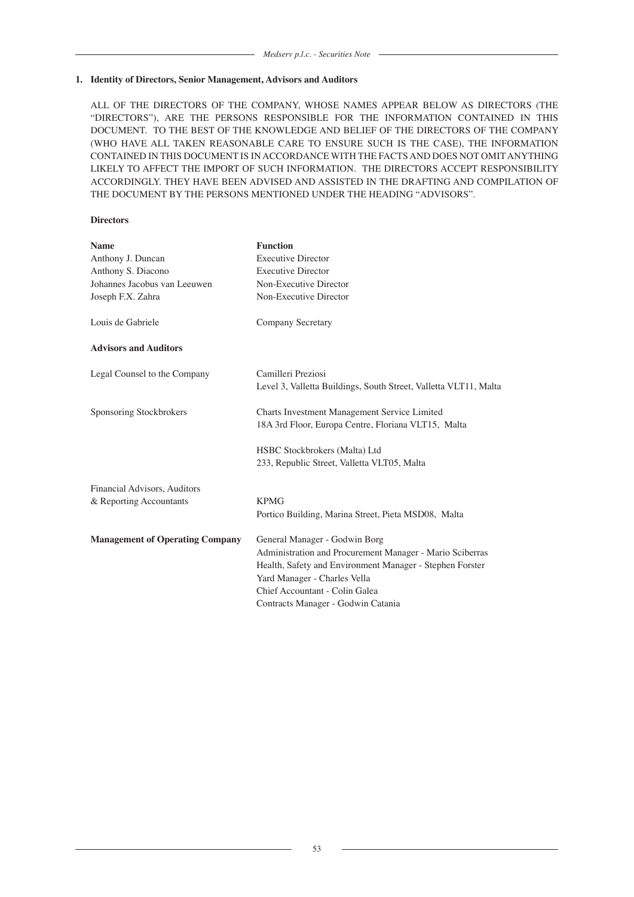#### **1. Identity of Directors, Senior Management, Advisors and Auditors**

ALL OF THE DIRECTORS OF THE COMPANY, WHOSE NAMES APPEAR BELOW AS DIRECTORS (THE "DIRECTORS"), ARE THE PERSONS RESPONSIBLE FOR THE INFORMATION CONTAINED IN THIS DOCUMENT. TO THE BEST OF THE KNOWLEDGE AND BELIEF OF THE DIRECTORS OF THE COMPANY (WHO HAVE ALL TAKEN REASONABLE CARE TO ENSURE SUCH IS THE CASE), THE INFORMATION CONTAINED IN THIS DOCUMENT IS IN ACCORDANCE WITH THE FACTS AND DOES NOT OMIT ANYTHING LIKELY TO AFFECT THE IMPORT OF SUCH INFORMATION. THE DIRECTORS ACCEPT RESPONSIBILITY ACCORDINGLY. THEY HAVE BEEN ADVISED AND ASSISTED IN THE DRAFTING AND COMPILATION OF THE DOCUMENT BY THE PERSONS MENTIONED UNDER THE HEADING "ADVISORS".

#### **Directors**

| <b>Name</b>                            | <b>Function</b>                                                                                     |
|----------------------------------------|-----------------------------------------------------------------------------------------------------|
| Anthony J. Duncan                      | <b>Executive Director</b>                                                                           |
| Anthony S. Diacono                     | <b>Executive Director</b>                                                                           |
| Johannes Jacobus van Leeuwen           | Non-Executive Director                                                                              |
| Joseph F.X. Zahra                      | Non-Executive Director                                                                              |
| Louis de Gabriele                      | <b>Company Secretary</b>                                                                            |
| <b>Advisors and Auditors</b>           |                                                                                                     |
| Legal Counsel to the Company           | Camilleri Preziosi<br>Level 3, Valletta Buildings, South Street, Valletta VLT11, Malta              |
| Sponsoring Stockbrokers                | Charts Investment Management Service Limited<br>18A 3rd Floor, Europa Centre, Floriana VLT15, Malta |
|                                        | HSBC Stockbrokers (Malta) Ltd                                                                       |
|                                        | 233, Republic Street, Valletta VLT05, Malta                                                         |
| Financial Advisors, Auditors           |                                                                                                     |
| & Reporting Accountants                | <b>KPMG</b>                                                                                         |
|                                        | Portico Building, Marina Street, Pieta MSD08, Malta                                                 |
| <b>Management of Operating Company</b> | General Manager - Godwin Borg                                                                       |
|                                        | Administration and Procurement Manager - Mario Sciberras                                            |
|                                        | Health, Safety and Environment Manager - Stephen Forster                                            |
|                                        | Yard Manager - Charles Vella                                                                        |
|                                        | Chief Accountant - Colin Galea                                                                      |
|                                        | Contracts Manager - Godwin Catania                                                                  |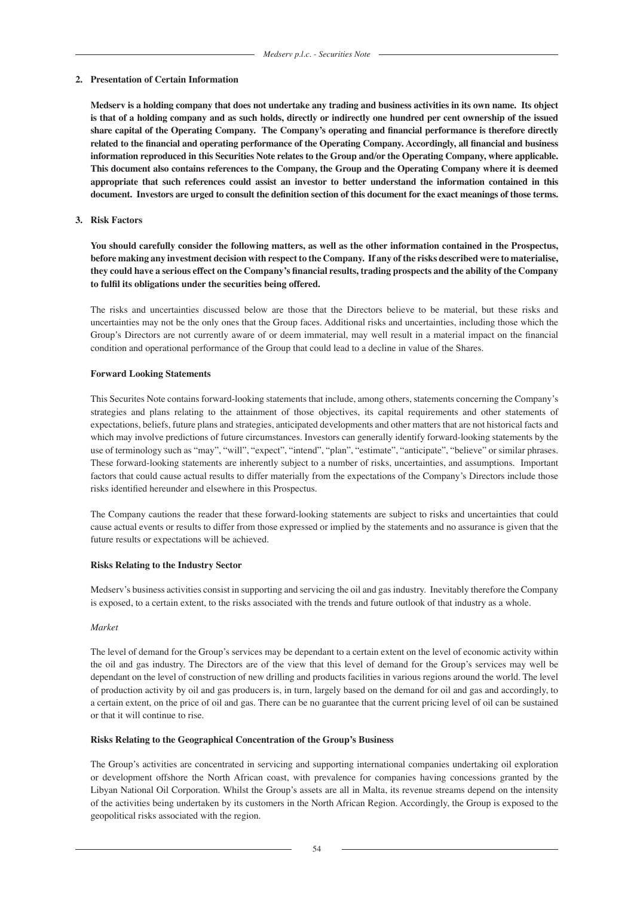#### **2. Presentation of Certain Information**

**Medserv is a holding company that does not undertake any trading and business activities in its own name. Its object is that of a holding company and as such holds, directly or indirectly one hundred per cent ownership of the issued share capital of the Operating Company. The Company's operating and financial performance is therefore directly related to the financial and operating performance of the Operating Company. Accordingly, all financial and business information reproduced in this Securities Note relates to the Group and/or the Operating Company, where applicable. This document also contains references to the Company, the Group and the Operating Company where it is deemed appropriate that such references could assist an investor to better understand the information contained in this document. Investors are urged to consult the definition section of this document for the exact meanings of those terms.**

#### **3. Risk Factors**

**You should carefully consider the following matters, as well as the other information contained in the Prospectus, before making any investment decision with respect to the Company. If any of the risks described were to materialise, they could have a serious effect on the Company's financial results, trading prospects and the ability of the Company to fulfil its obligations under the securities being offered.**

The risks and uncertainties discussed below are those that the Directors believe to be material, but these risks and uncertainties may not be the only ones that the Group faces. Additional risks and uncertainties, including those which the Group's Directors are not currently aware of or deem immaterial, may well result in a material impact on the financial condition and operational performance of the Group that could lead to a decline in value of the Shares.

#### **Forward Looking Statements**

This Securites Note contains forward-looking statements that include, among others, statements concerning the Company's strategies and plans relating to the attainment of those objectives, its capital requirements and other statements of expectations, beliefs, future plans and strategies, anticipated developments and other matters that are not historical facts and which may involve predictions of future circumstances. Investors can generally identify forward-looking statements by the use of terminology such as "may", "will", "expect", "intend", "plan", "estimate", "anticipate", "believe" or similar phrases. These forward-looking statements are inherently subject to a number of risks, uncertainties, and assumptions. Important factors that could cause actual results to differ materially from the expectations of the Company's Directors include those risks identified hereunder and elsewhere in this Prospectus.

The Company cautions the reader that these forward-looking statements are subject to risks and uncertainties that could cause actual events or results to differ from those expressed or implied by the statements and no assurance is given that the future results or expectations will be achieved.

#### **Risks Relating to the Industry Sector**

Medserv's business activities consist in supporting and servicing the oil and gas industry. Inevitably therefore the Company is exposed, to a certain extent, to the risks associated with the trends and future outlook of that industry as a whole.

#### *Market*

The level of demand for the Group's services may be dependant to a certain extent on the level of economic activity within the oil and gas industry. The Directors are of the view that this level of demand for the Group's services may well be dependant on the level of construction of new drilling and products facilities in various regions around the world. The level of production activity by oil and gas producers is, in turn, largely based on the demand for oil and gas and accordingly, to a certain extent, on the price of oil and gas. There can be no guarantee that the current pricing level of oil can be sustained or that it will continue to rise.

#### **Risks Relating to the Geographical Concentration of the Group's Business**

The Group's activities are concentrated in servicing and supporting international companies undertaking oil exploration or development offshore the North African coast, with prevalence for companies having concessions granted by the Libyan National Oil Corporation. Whilst the Group's assets are all in Malta, its revenue streams depend on the intensity of the activities being undertaken by its customers in the North African Region. Accordingly, the Group is exposed to the geopolitical risks associated with the region.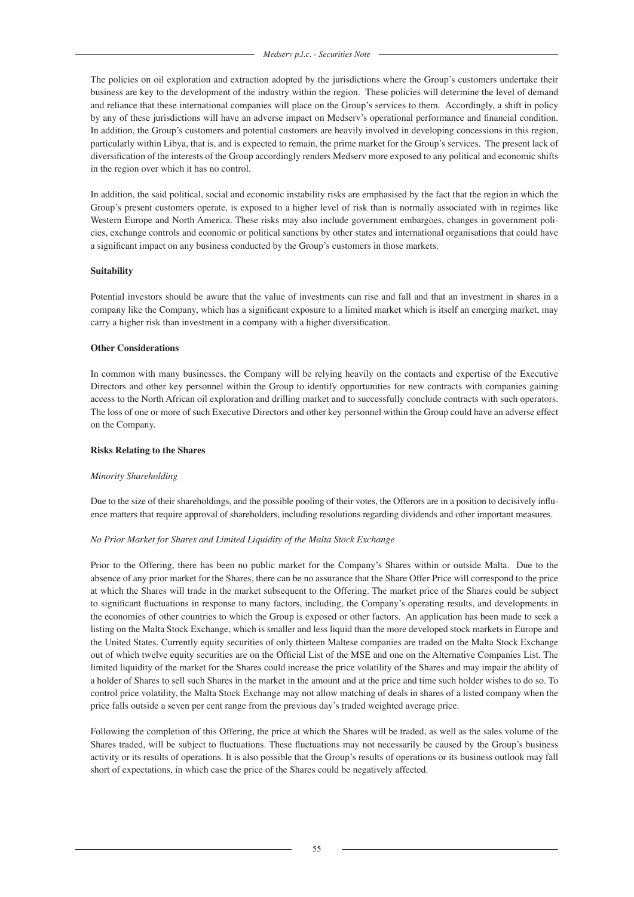The policies on oil exploration and extraction adopted by the jurisdictions where the Group's customers undertake their business are key to the development of the industry within the region. These policies will determine the level of demand and reliance that these international companies will place on the Group's services to them. Accordingly, a shift in policy by any of these jurisdictions will have an adverse impact on Medserv's operational performance and financial condition. In addition, the Group's customers and potential customers are heavily involved in developing concessions in this region, particularly within Libya, that is, and is expected to remain, the prime market for the Group's services. The present lack of diversification of the interests of the Group accordingly renders Medserv more exposed to any political and economic shifts in the region over which it has no control.

In addition, the said political, social and economic instability risks are emphasised by the fact that the region in which the Group's present customers operate, is exposed to a higher level of risk than is normally associated with in regimes like Western Europe and North America. These risks may also include government embargoes, changes in government policies, exchange controls and economic or political sanctions by other states and international organisations that could have a significant impact on any business conducted by the Group's customers in those markets.

# **Suitability**

Potential investors should be aware that the value of investments can rise and fall and that an investment in shares in a company like the Company, which has a significant exposure to a limited market which is itself an emerging market, may carry a higher risk than investment in a company with a higher diversification.

# **Other Considerations**

In common with many businesses, the Company will be relying heavily on the contacts and expertise of the Executive Directors and other key personnel within the Group to identify opportunities for new contracts with companies gaining access to the North African oil exploration and drilling market and to successfully conclude contracts with such operators. The loss of one or more of such Executive Directors and other key personnel within the Group could have an adverse effect on the Company.

### **Risks Relating to the Shares**

### *Minority Shareholding*

Due to the size of their shareholdings, and the possible pooling of their votes, the Offerors are in a position to decisively influence matters that require approval of shareholders, including resolutions regarding dividends and other important measures.

# *No Prior Market for Shares and Limited Liquidity of the Malta Stock Exchange*

Prior to the Offering, there has been no public market for the Company's Shares within or outside Malta. Due to the absence of any prior market for the Shares, there can be no assurance that the Share Offer Price will correspond to the price at which the Shares will trade in the market subsequent to the Offering. The market price of the Shares could be subject to significant fluctuations in response to many factors, including, the Company's operating results, and developments in the economies of other countries to which the Group is exposed or other factors. An application has been made to seek a listing on the Malta Stock Exchange, which is smaller and less liquid than the more developed stock markets in Europe and the United States. Currently equity securities of only thirteen Maltese companies are traded on the Malta Stock Exchange out of which twelve equity securities are on the Official List of the MSE and one on the Alternative Companies List. The limited liquidity of the market for the Shares could increase the price volatility of the Shares and may impair the ability of a holder of Shares to sell such Shares in the market in the amount and at the price and time such holder wishes to do so. To control price volatility, the Malta Stock Exchange may not allow matching of deals in shares of a listed company when the price falls outside a seven per cent range from the previous day's traded weighted average price.

Following the completion of this Offering, the price at which the Shares will be traded, as well as the sales volume of the Shares traded, will be subject to fluctuations. These fluctuations may not necessarily be caused by the Group's business activity or its results of operations. It is also possible that the Group's results of operations or its business outlook may fall short of expectations, in which case the price of the Shares could be negatively affected.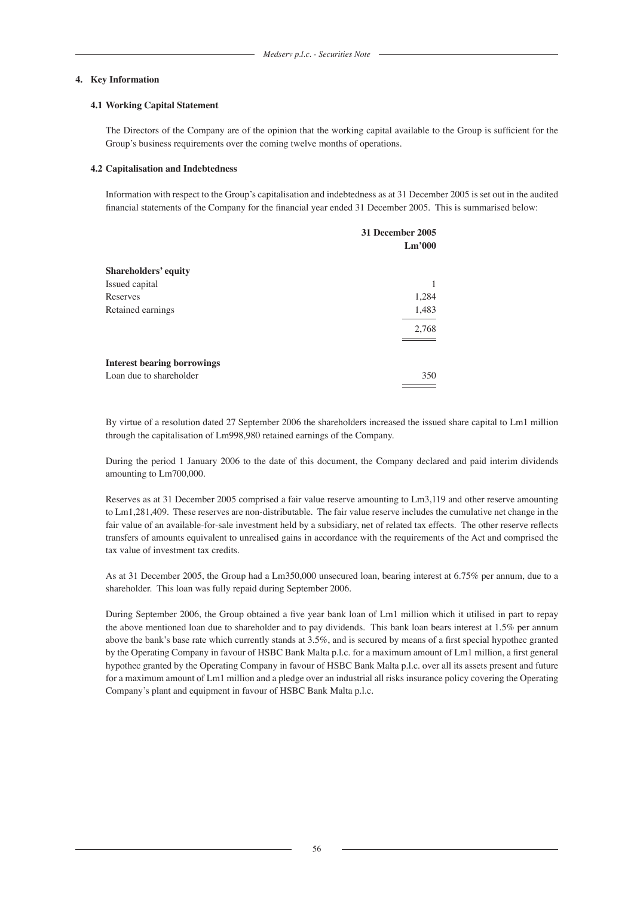#### **4. Key Information**

#### **4.1 Working Capital Statement**

The Directors of the Company are of the opinion that the working capital available to the Group is sufficient for the Group's business requirements over the coming twelve months of operations.

#### **4.2 Capitalisation and Indebtedness**

Information with respect to the Group's capitalisation and indebtedness as at 31 December 2005 is set out in the audited financial statements of the Company for the financial year ended 31 December 2005. This is summarised below:

|                                    | 31 December 2005<br>Lm'000 |
|------------------------------------|----------------------------|
| <b>Shareholders' equity</b>        |                            |
| Issued capital                     |                            |
| Reserves                           | 1,284                      |
| Retained earnings                  | 1,483                      |
|                                    | 2,768                      |
|                                    |                            |
| <b>Interest bearing borrowings</b> |                            |
| Loan due to shareholder            | 350                        |
|                                    |                            |

By virtue of a resolution dated 27 September 2006 the shareholders increased the issued share capital to Lm1 million through the capitalisation of Lm998,980 retained earnings of the Company.

During the period 1 January 2006 to the date of this document, the Company declared and paid interim dividends amounting to Lm700,000.

Reserves as at 31 December 2005 comprised a fair value reserve amounting to Lm3,119 and other reserve amounting to Lm1,281,409. These reserves are non-distributable. The fair value reserve includes the cumulative net change in the fair value of an available-for-sale investment held by a subsidiary, net of related tax effects. The other reserve reflects transfers of amounts equivalent to unrealised gains in accordance with the requirements of the Act and comprised the tax value of investment tax credits.

As at 31 December 2005, the Group had a Lm350,000 unsecured loan, bearing interest at 6.75% per annum, due to a shareholder. This loan was fully repaid during September 2006.

During September 2006, the Group obtained a five year bank loan of Lm1 million which it utilised in part to repay the above mentioned loan due to shareholder and to pay dividends. This bank loan bears interest at 1.5% per annum above the bank's base rate which currently stands at 3.5%, and is secured by means of a first special hypothec granted by the Operating Company in favour of HSBC Bank Malta p.l.c. for a maximum amount of Lm1 million, a first general hypothec granted by the Operating Company in favour of HSBC Bank Malta p.l.c. over all its assets present and future for a maximum amount of Lm1 million and a pledge over an industrial all risks insurance policy covering the Operating Company's plant and equipment in favour of HSBC Bank Malta p.l.c.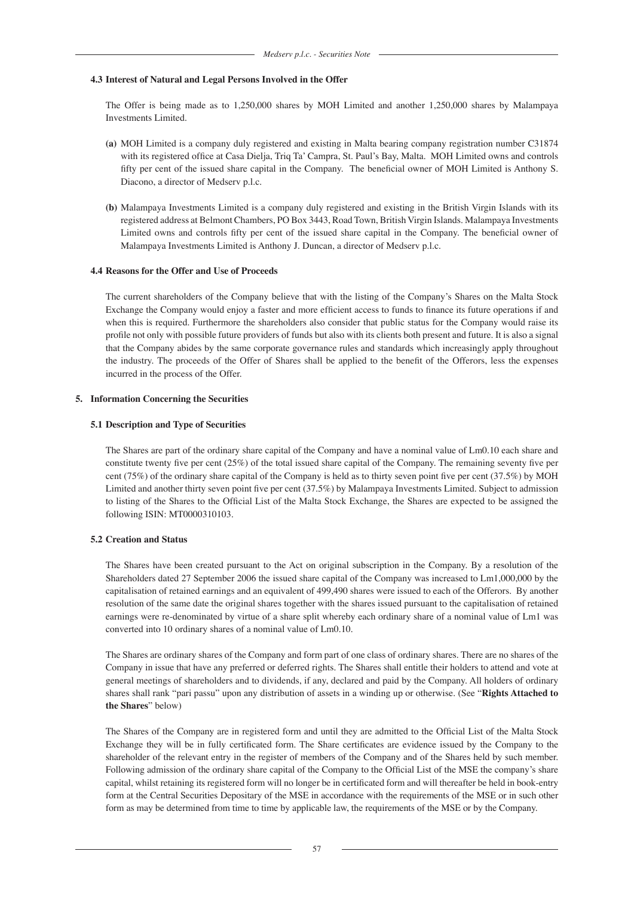#### **4.3 Interest of Natural and Legal Persons Involved in the Offer**

The Offer is being made as to 1,250,000 shares by MOH Limited and another 1,250,000 shares by Malampaya Investments Limited.

- **(a)** MOH Limited is a company duly registered and existing in Malta bearing company registration number C31874 with its registered office at Casa Dielja, Triq Ta' Campra, St. Paul's Bay, Malta. MOH Limited owns and controls fifty per cent of the issued share capital in the Company. The beneficial owner of MOH Limited is Anthony S. Diacono, a director of Medserv p.l.c.
- **(b)** Malampaya Investments Limited is a company duly registered and existing in the British Virgin Islands with its registered address at Belmont Chambers, PO Box 3443, Road Town, British Virgin Islands. Malampaya Investments Limited owns and controls fifty per cent of the issued share capital in the Company. The beneficial owner of Malampaya Investments Limited is Anthony J. Duncan, a director of Medserv p.l.c.

#### **4.4 Reasons for the Offer and Use of Proceeds**

The current shareholders of the Company believe that with the listing of the Company's Shares on the Malta Stock Exchange the Company would enjoy a faster and more efficient access to funds to finance its future operations if and when this is required. Furthermore the shareholders also consider that public status for the Company would raise its profile not only with possible future providers of funds but also with its clients both present and future. It is also a signal that the Company abides by the same corporate governance rules and standards which increasingly apply throughout the industry. The proceeds of the Offer of Shares shall be applied to the benefit of the Offerors, less the expenses incurred in the process of the Offer.

#### **5. Information Concerning the Securities**

#### **5.1 Description and Type of Securities**

The Shares are part of the ordinary share capital of the Company and have a nominal value of Lm0.10 each share and constitute twenty five per cent (25%) of the total issued share capital of the Company. The remaining seventy five per cent (75%) of the ordinary share capital of the Company is held as to thirty seven point five per cent (37.5%) by MOH Limited and another thirty seven point five per cent (37.5%) by Malampaya Investments Limited. Subject to admission to listing of the Shares to the Official List of the Malta Stock Exchange, the Shares are expected to be assigned the following ISIN: MT0000310103.

#### **5.2 Creation and Status**

The Shares have been created pursuant to the Act on original subscription in the Company. By a resolution of the Shareholders dated 27 September 2006 the issued share capital of the Company was increased to Lm1,000,000 by the capitalisation of retained earnings and an equivalent of 499,490 shares were issued to each of the Offerors. By another resolution of the same date the original shares together with the shares issued pursuant to the capitalisation of retained earnings were re-denominated by virtue of a share split whereby each ordinary share of a nominal value of Lm1 was converted into 10 ordinary shares of a nominal value of Lm0.10.

The Shares are ordinary shares of the Company and form part of one class of ordinary shares. There are no shares of the Company in issue that have any preferred or deferred rights. The Shares shall entitle their holders to attend and vote at general meetings of shareholders and to dividends, if any, declared and paid by the Company. All holders of ordinary shares shall rank "pari passu" upon any distribution of assets in a winding up or otherwise. (See "**Rights Attached to the Shares**" below)

The Shares of the Company are in registered form and until they are admitted to the Official List of the Malta Stock Exchange they will be in fully certificated form. The Share certificates are evidence issued by the Company to the shareholder of the relevant entry in the register of members of the Company and of the Shares held by such member. Following admission of the ordinary share capital of the Company to the Official List of the MSE the company's share capital, whilst retaining its registered form will no longer be in certificated form and will thereafter be held in book-entry form at the Central Securities Depositary of the MSE in accordance with the requirements of the MSE or in such other form as may be determined from time to time by applicable law, the requirements of the MSE or by the Company.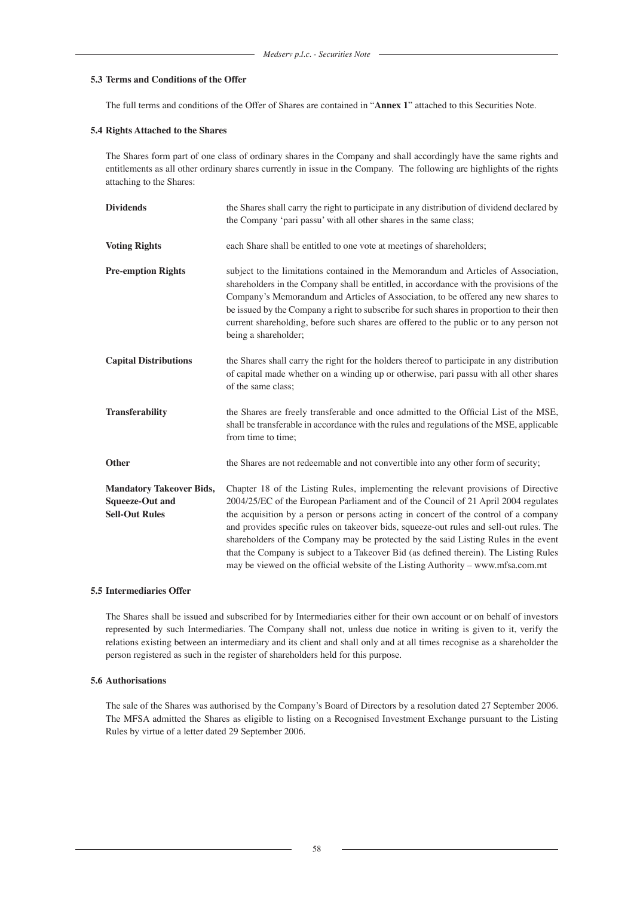# **5.3 Terms and Conditions of the Offer**

The full terms and conditions of the Offer of Shares are contained in "**Annex 1**" attached to this Securities Note.

#### **5.4 Rights Attached to the Shares**

The Shares form part of one class of ordinary shares in the Company and shall accordingly have the same rights and entitlements as all other ordinary shares currently in issue in the Company. The following are highlights of the rights attaching to the Shares:

| <b>Dividends</b>                                                                   | the Shares shall carry the right to participate in any distribution of dividend declared by                                                                                                                                                                                                                                                                                                                                                                                                                                                                                                                                      |  |
|------------------------------------------------------------------------------------|----------------------------------------------------------------------------------------------------------------------------------------------------------------------------------------------------------------------------------------------------------------------------------------------------------------------------------------------------------------------------------------------------------------------------------------------------------------------------------------------------------------------------------------------------------------------------------------------------------------------------------|--|
|                                                                                    | the Company 'pari passu' with all other shares in the same class;                                                                                                                                                                                                                                                                                                                                                                                                                                                                                                                                                                |  |
| <b>Voting Rights</b>                                                               | each Share shall be entitled to one vote at meetings of shareholders;                                                                                                                                                                                                                                                                                                                                                                                                                                                                                                                                                            |  |
| <b>Pre-emption Rights</b>                                                          | subject to the limitations contained in the Memorandum and Articles of Association,<br>shareholders in the Company shall be entitled, in accordance with the provisions of the<br>Company's Memorandum and Articles of Association, to be offered any new shares to<br>be issued by the Company a right to subscribe for such shares in proportion to their then<br>current shareholding, before such shares are offered to the public or to any person not<br>being a shareholder;                                                                                                                                              |  |
| <b>Capital Distributions</b>                                                       | the Shares shall carry the right for the holders thereof to participate in any distribution<br>of capital made whether on a winding up or otherwise, pari passu with all other shares<br>of the same class;                                                                                                                                                                                                                                                                                                                                                                                                                      |  |
| <b>Transferability</b>                                                             | the Shares are freely transferable and once admitted to the Official List of the MSE,<br>shall be transferable in accordance with the rules and regulations of the MSE, applicable<br>from time to time;                                                                                                                                                                                                                                                                                                                                                                                                                         |  |
| <b>Other</b>                                                                       | the Shares are not redeemable and not convertible into any other form of security;                                                                                                                                                                                                                                                                                                                                                                                                                                                                                                                                               |  |
| <b>Mandatory Takeover Bids,</b><br><b>Squeeze-Out and</b><br><b>Sell-Out Rules</b> | Chapter 18 of the Listing Rules, implementing the relevant provisions of Directive<br>2004/25/EC of the European Parliament and of the Council of 21 April 2004 regulates<br>the acquisition by a person or persons acting in concert of the control of a company<br>and provides specific rules on takeover bids, squeeze-out rules and sell-out rules. The<br>shareholders of the Company may be protected by the said Listing Rules in the event<br>that the Company is subject to a Takeover Bid (as defined therein). The Listing Rules<br>may be viewed on the official website of the Listing Authority - www.mfsa.com.mt |  |

### **5.5 Intermediaries Offer**

The Shares shall be issued and subscribed for by Intermediaries either for their own account or on behalf of investors represented by such Intermediaries. The Company shall not, unless due notice in writing is given to it, verify the relations existing between an intermediary and its client and shall only and at all times recognise as a shareholder the person registered as such in the register of shareholders held for this purpose.

# **5.6 Authorisations**

The sale of the Shares was authorised by the Company's Board of Directors by a resolution dated 27 September 2006. The MFSA admitted the Shares as eligible to listing on a Recognised Investment Exchange pursuant to the Listing Rules by virtue of a letter dated 29 September 2006.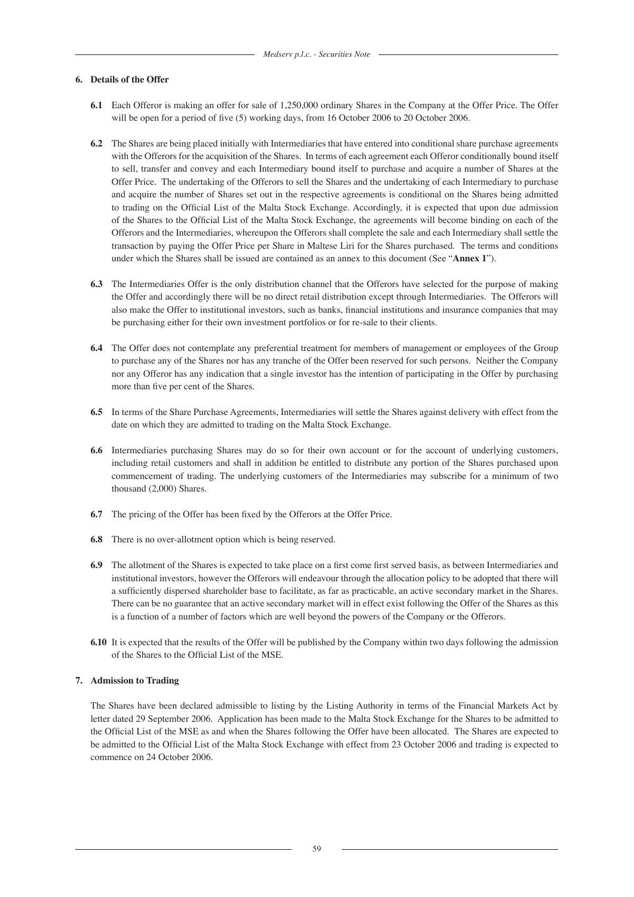### **6. Details of the Offer**

- **6.1** Each Offeror is making an offer for sale of 1,250,000 ordinary Shares in the Company at the Offer Price. The Offer will be open for a period of five (5) working days, from 16 October 2006 to 20 October 2006.
- **6.2** The Shares are being placed initially with Intermediaries that have entered into conditional share purchase agreements with the Offerors for the acquisition of the Shares. In terms of each agreement each Offeror conditionally bound itself to sell, transfer and convey and each Intermediary bound itself to purchase and acquire a number of Shares at the Offer Price. The undertaking of the Offerors to sell the Shares and the undertaking of each Intermediary to purchase and acquire the number of Shares set out in the respective agreements is conditional on the Shares being admitted to trading on the Official List of the Malta Stock Exchange. Accordingly, it is expected that upon due admission of the Shares to the Official List of the Malta Stock Exchange, the agreements will become binding on each of the Offerors and the Intermediaries, whereupon the Offerors shall complete the sale and each Intermediary shall settle the transaction by paying the Offer Price per Share in Maltese Liri for the Shares purchased. The terms and conditions under which the Shares shall be issued are contained as an annex to this document (See "**Annex 1**").
- **6.3** The Intermediaries Offer is the only distribution channel that the Offerors have selected for the purpose of making the Offer and accordingly there will be no direct retail distribution except through Intermediaries. The Offerors will also make the Offer to institutional investors, such as banks, financial institutions and insurance companies that may be purchasing either for their own investment portfolios or for re-sale to their clients.
- **6.4** The Offer does not contemplate any preferential treatment for members of management or employees of the Group to purchase any of the Shares nor has any tranche of the Offer been reserved for such persons. Neither the Company nor any Offeror has any indication that a single investor has the intention of participating in the Offer by purchasing more than five per cent of the Shares.
- **6.5** In terms of the Share Purchase Agreements, Intermediaries will settle the Shares against delivery with effect from the date on which they are admitted to trading on the Malta Stock Exchange.
- **6.6** Intermediaries purchasing Shares may do so for their own account or for the account of underlying customers, including retail customers and shall in addition be entitled to distribute any portion of the Shares purchased upon commencement of trading. The underlying customers of the Intermediaries may subscribe for a minimum of two thousand (2,000) Shares.
- **6.7** The pricing of the Offer has been fixed by the Offerors at the Offer Price.
- **6.8** There is no over-allotment option which is being reserved.
- **6.9** The allotment of the Shares is expected to take place on a first come first served basis, as between Intermediaries and institutional investors, however the Offerors will endeavour through the allocation policy to be adopted that there will a sufficiently dispersed shareholder base to facilitate, as far as practicable, an active secondary market in the Shares. There can be no guarantee that an active secondary market will in effect exist following the Offer of the Shares as this is a function of a number of factors which are well beyond the powers of the Company or the Offerors.
- **6.10** It is expected that the results of the Offer will be published by the Company within two days following the admission of the Shares to the Official List of the MSE.

### **7. Admission to Trading**

The Shares have been declared admissible to listing by the Listing Authority in terms of the Financial Markets Act by letter dated 29 September 2006. Application has been made to the Malta Stock Exchange for the Shares to be admitted to the Official List of the MSE as and when the Shares following the Offer have been allocated. The Shares are expected to be admitted to the Official List of the Malta Stock Exchange with effect from 23 October 2006 and trading is expected to commence on 24 October 2006.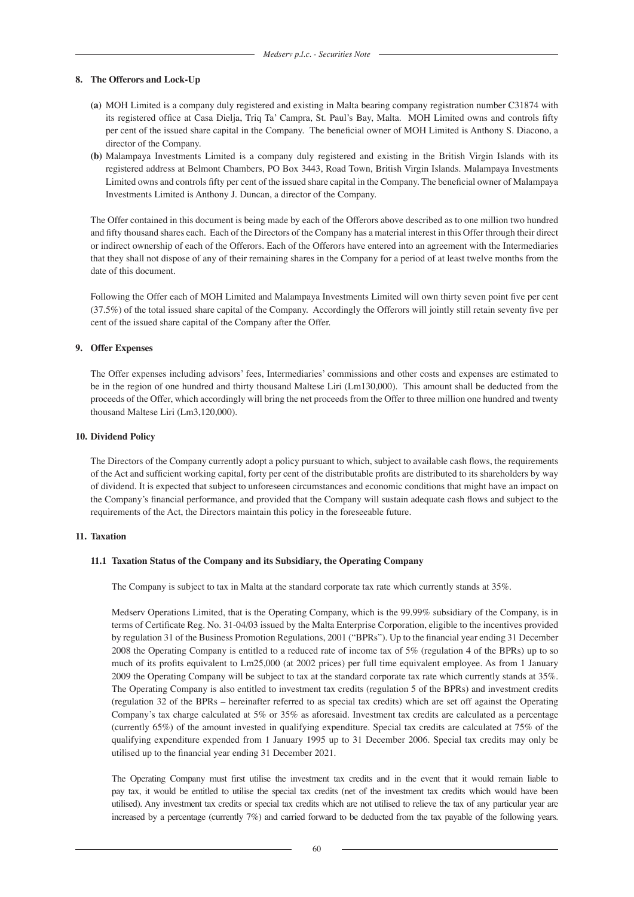#### **8. The Offerors and Lock-Up**

- **(a)** MOH Limited is a company duly registered and existing in Malta bearing company registration number C31874 with its registered office at Casa Dielja, Triq Ta' Campra, St. Paul's Bay, Malta. MOH Limited owns and controls fifty per cent of the issued share capital in the Company. The beneficial owner of MOH Limited is Anthony S. Diacono, a director of the Company.
- **(b)** Malampaya Investments Limited is a company duly registered and existing in the British Virgin Islands with its registered address at Belmont Chambers, PO Box 3443, Road Town, British Virgin Islands. Malampaya Investments Limited owns and controls fifty per cent of the issued share capital in the Company. The beneficial owner of Malampaya Investments Limited is Anthony J. Duncan, a director of the Company.

The Offer contained in this document is being made by each of the Offerors above described as to one million two hundred and fifty thousand shares each. Each of the Directors of the Company has a material interest in this Offer through their direct or indirect ownership of each of the Offerors. Each of the Offerors have entered into an agreement with the Intermediaries that they shall not dispose of any of their remaining shares in the Company for a period of at least twelve months from the date of this document.

Following the Offer each of MOH Limited and Malampaya Investments Limited will own thirty seven point five per cent (37.5%) of the total issued share capital of the Company. Accordingly the Offerors will jointly still retain seventy five per cent of the issued share capital of the Company after the Offer.

# **9. Offer Expenses**

The Offer expenses including advisors' fees, Intermediaries' commissions and other costs and expenses are estimated to be in the region of one hundred and thirty thousand Maltese Liri (Lm130,000). This amount shall be deducted from the proceeds of the Offer, which accordingly will bring the net proceeds from the Offer to three million one hundred and twenty thousand Maltese Liri (Lm3,120,000).

#### **10. Dividend Policy**

The Directors of the Company currently adopt a policy pursuant to which, subject to available cash flows, the requirements of the Act and sufficient working capital, forty per cent of the distributable profits are distributed to its shareholders by way of dividend. It is expected that subject to unforeseen circumstances and economic conditions that might have an impact on the Company's financial performance, and provided that the Company will sustain adequate cash flows and subject to the requirements of the Act, the Directors maintain this policy in the foreseeable future.

#### **11. Taxation**

#### **11.1 Taxation Status of the Company and its Subsidiary, the Operating Company**

The Company is subject to tax in Malta at the standard corporate tax rate which currently stands at 35%.

 Medserv Operations Limited, that is the Operating Company, which is the 99.99% subsidiary of the Company, is in terms of Certificate Reg. No. 31-04/03 issued by the Malta Enterprise Corporation, eligible to the incentives provided by regulation 31 of the Business Promotion Regulations, 2001 ("BPRs"). Up to the financial year ending 31 December 2008 the Operating Company is entitled to a reduced rate of income tax of 5% (regulation 4 of the BPRs) up to so much of its profits equivalent to Lm25,000 (at 2002 prices) per full time equivalent employee. As from 1 January 2009 the Operating Company will be subject to tax at the standard corporate tax rate which currently stands at 35%. The Operating Company is also entitled to investment tax credits (regulation 5 of the BPRs) and investment credits (regulation 32 of the BPRs – hereinafter referred to as special tax credits) which are set off against the Operating Company's tax charge calculated at 5% or 35% as aforesaid. Investment tax credits are calculated as a percentage (currently 65%) of the amount invested in qualifying expenditure. Special tax credits are calculated at 75% of the qualifying expenditure expended from 1 January 1995 up to 31 December 2006. Special tax credits may only be utilised up to the financial year ending 31 December 2021.

 The Operating Company must first utilise the investment tax credits and in the event that it would remain liable to pay tax, it would be entitled to utilise the special tax credits (net of the investment tax credits which would have been utilised). Any investment tax credits or special tax credits which are not utilised to relieve the tax of any particular year are increased by a percentage (currently 7%) and carried forward to be deducted from the tax payable of the following years.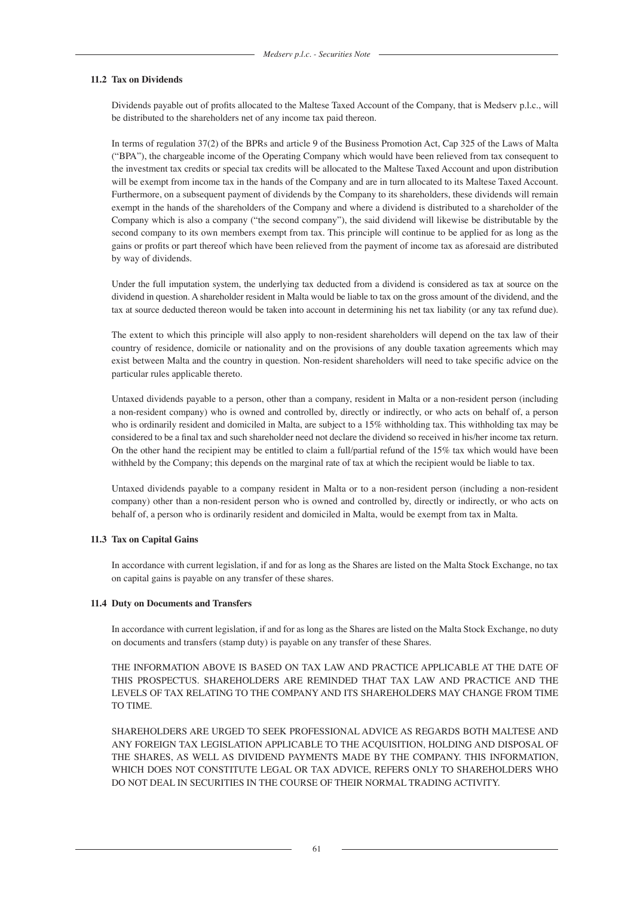### **11.2 Tax on Dividends**

 Dividends payable out of profits allocated to the Maltese Taxed Account of the Company, that is Medserv p.l.c., will be distributed to the shareholders net of any income tax paid thereon.

 In terms of regulation 37(2) of the BPRs and article 9 of the Business Promotion Act, Cap 325 of the Laws of Malta ("BPA"), the chargeable income of the Operating Company which would have been relieved from tax consequent to the investment tax credits or special tax credits will be allocated to the Maltese Taxed Account and upon distribution will be exempt from income tax in the hands of the Company and are in turn allocated to its Maltese Taxed Account. Furthermore, on a subsequent payment of dividends by the Company to its shareholders, these dividends will remain exempt in the hands of the shareholders of the Company and where a dividend is distributed to a shareholder of the Company which is also a company ("the second company"), the said dividend will likewise be distributable by the second company to its own members exempt from tax. This principle will continue to be applied for as long as the gains or profits or part thereof which have been relieved from the payment of income tax as aforesaid are distributed by way of dividends.

Under the full imputation system, the underlying tax deducted from a dividend is considered as tax at source on the dividend in question. A shareholder resident in Malta would be liable to tax on the gross amount of the dividend, and the tax at source deducted thereon would be taken into account in determining his net tax liability (or any tax refund due).

 The extent to which this principle will also apply to non-resident shareholders will depend on the tax law of their country of residence, domicile or nationality and on the provisions of any double taxation agreements which may exist between Malta and the country in question. Non-resident shareholders will need to take specific advice on the particular rules applicable thereto.

 Untaxed dividends payable to a person, other than a company, resident in Malta or a non-resident person (including a non-resident company) who is owned and controlled by, directly or indirectly, or who acts on behalf of, a person who is ordinarily resident and domiciled in Malta, are subject to a 15% withholding tax. This withholding tax may be considered to be a final tax and such shareholder need not declare the dividend so received in his/her income tax return. On the other hand the recipient may be entitled to claim a full/partial refund of the 15% tax which would have been withheld by the Company; this depends on the marginal rate of tax at which the recipient would be liable to tax.

 Untaxed dividends payable to a company resident in Malta or to a non-resident person (including a non-resident company) other than a non-resident person who is owned and controlled by, directly or indirectly, or who acts on behalf of, a person who is ordinarily resident and domiciled in Malta, would be exempt from tax in Malta.

### **11.3 Tax on Capital Gains**

 In accordance with current legislation, if and for as long as the Shares are listed on the Malta Stock Exchange, no tax on capital gains is payable on any transfer of these shares.

### **11.4 Duty on Documents and Transfers**

 In accordance with current legislation, if and for as long as the Shares are listed on the Malta Stock Exchange, no duty on documents and transfers (stamp duty) is payable on any transfer of these Shares.

 THE INFORMATION ABOVE IS BASED ON TAX LAW AND PRACTICE APPLICABLE AT THE DATE OF THIS PROSPECTUS. SHAREHOLDERS ARE REMINDED THAT TAX LAW AND PRACTICE AND THE LEVELS OF TAX RELATING TO THE COMPANY AND ITS SHAREHOLDERS MAY CHANGE FROM TIME TO TIME.

 SHAREHOLDERS ARE URGED TO SEEK PROFESSIONAL ADVICE AS REGARDS BOTH MALTESE AND ANY FOREIGN TAX LEGISLATION APPLICABLE TO THE ACQUISITION, HOLDING AND DISPOSAL OF THE SHARES, AS WELL AS DIVIDEND PAYMENTS MADE BY THE COMPANY. THIS INFORMATION, WHICH DOES NOT CONSTITUTE LEGAL OR TAX ADVICE, REFERS ONLY TO SHAREHOLDERS WHO DO NOT DEAL IN SECURITIES IN THE COURSE OF THEIR NORMAL TRADING ACTIVITY.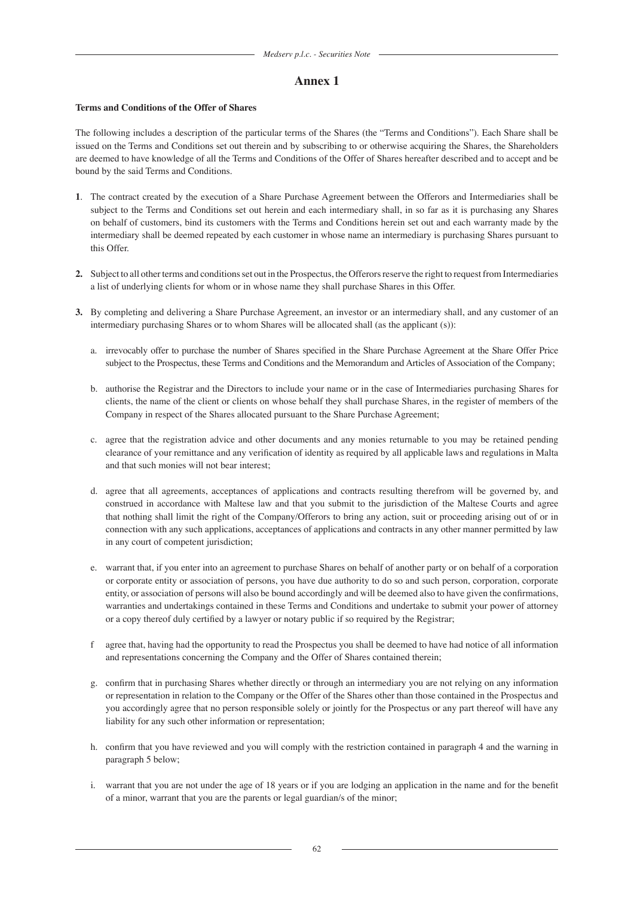# **Annex 1**

# **Terms and Conditions of the Offer of Shares**

The following includes a description of the particular terms of the Shares (the "Terms and Conditions"). Each Share shall be issued on the Terms and Conditions set out therein and by subscribing to or otherwise acquiring the Shares, the Shareholders are deemed to have knowledge of all the Terms and Conditions of the Offer of Shares hereafter described and to accept and be bound by the said Terms and Conditions.

- **1**. The contract created by the execution of a Share Purchase Agreement between the Offerors and Intermediaries shall be subject to the Terms and Conditions set out herein and each intermediary shall, in so far as it is purchasing any Shares on behalf of customers, bind its customers with the Terms and Conditions herein set out and each warranty made by the intermediary shall be deemed repeated by each customer in whose name an intermediary is purchasing Shares pursuant to this Offer.
- **2.** Subject to all other terms and conditions set out in the Prospectus, the Offerors reserve the right to request from Intermediaries a list of underlying clients for whom or in whose name they shall purchase Shares in this Offer.
- **3.** By completing and delivering a Share Purchase Agreement, an investor or an intermediary shall, and any customer of an intermediary purchasing Shares or to whom Shares will be allocated shall (as the applicant (s)):
	- a. irrevocably offer to purchase the number of Shares specified in the Share Purchase Agreement at the Share Offer Price subject to the Prospectus, these Terms and Conditions and the Memorandum and Articles of Association of the Company;
	- b. authorise the Registrar and the Directors to include your name or in the case of Intermediaries purchasing Shares for clients, the name of the client or clients on whose behalf they shall purchase Shares, in the register of members of the Company in respect of the Shares allocated pursuant to the Share Purchase Agreement;
	- c. agree that the registration advice and other documents and any monies returnable to you may be retained pending clearance of your remittance and any verification of identity as required by all applicable laws and regulations in Malta and that such monies will not bear interest;
	- d. agree that all agreements, acceptances of applications and contracts resulting therefrom will be governed by, and construed in accordance with Maltese law and that you submit to the jurisdiction of the Maltese Courts and agree that nothing shall limit the right of the Company/Offerors to bring any action, suit or proceeding arising out of or in connection with any such applications, acceptances of applications and contracts in any other manner permitted by law in any court of competent jurisdiction;
	- e. warrant that, if you enter into an agreement to purchase Shares on behalf of another party or on behalf of a corporation or corporate entity or association of persons, you have due authority to do so and such person, corporation, corporate entity, or association of persons will also be bound accordingly and will be deemed also to have given the confirmations, warranties and undertakings contained in these Terms and Conditions and undertake to submit your power of attorney or a copy thereof duly certified by a lawyer or notary public if so required by the Registrar;
	- f agree that, having had the opportunity to read the Prospectus you shall be deemed to have had notice of all information and representations concerning the Company and the Offer of Shares contained therein;
	- g. confirm that in purchasing Shares whether directly or through an intermediary you are not relying on any information or representation in relation to the Company or the Offer of the Shares other than those contained in the Prospectus and you accordingly agree that no person responsible solely or jointly for the Prospectus or any part thereof will have any liability for any such other information or representation;
	- h. confirm that you have reviewed and you will comply with the restriction contained in paragraph 4 and the warning in paragraph 5 below;
	- i. warrant that you are not under the age of 18 years or if you are lodging an application in the name and for the benefit of a minor, warrant that you are the parents or legal guardian/s of the minor;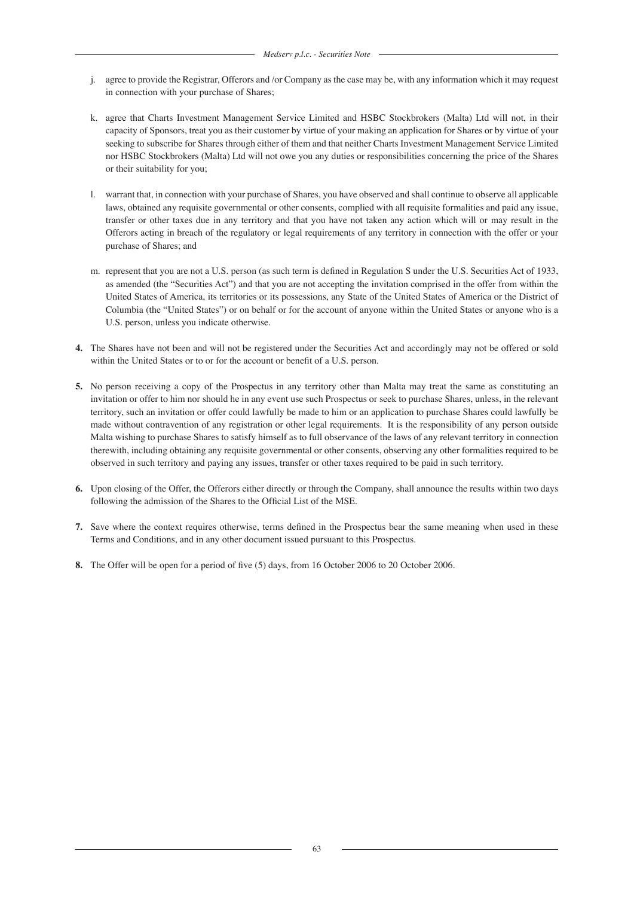- j. agree to provide the Registrar, Offerors and /or Company as the case may be, with any information which it may request in connection with your purchase of Shares;
- k. agree that Charts Investment Management Service Limited and HSBC Stockbrokers (Malta) Ltd will not, in their capacity of Sponsors, treat you as their customer by virtue of your making an application for Shares or by virtue of your seeking to subscribe for Shares through either of them and that neither Charts Investment Management Service Limited nor HSBC Stockbrokers (Malta) Ltd will not owe you any duties or responsibilities concerning the price of the Shares or their suitability for you;
- l. warrant that, in connection with your purchase of Shares, you have observed and shall continue to observe all applicable laws, obtained any requisite governmental or other consents, complied with all requisite formalities and paid any issue, transfer or other taxes due in any territory and that you have not taken any action which will or may result in the Offerors acting in breach of the regulatory or legal requirements of any territory in connection with the offer or your purchase of Shares; and
- m. represent that you are not a U.S. person (as such term is defined in Regulation S under the U.S. Securities Act of 1933, as amended (the "Securities Act") and that you are not accepting the invitation comprised in the offer from within the United States of America, its territories or its possessions, any State of the United States of America or the District of Columbia (the "United States") or on behalf or for the account of anyone within the United States or anyone who is a U.S. person, unless you indicate otherwise.
- **4.** The Shares have not been and will not be registered under the Securities Act and accordingly may not be offered or sold within the United States or to or for the account or benefit of a U.S. person.
- **5.** No person receiving a copy of the Prospectus in any territory other than Malta may treat the same as constituting an invitation or offer to him nor should he in any event use such Prospectus or seek to purchase Shares, unless, in the relevant territory, such an invitation or offer could lawfully be made to him or an application to purchase Shares could lawfully be made without contravention of any registration or other legal requirements. It is the responsibility of any person outside Malta wishing to purchase Shares to satisfy himself as to full observance of the laws of any relevant territory in connection therewith, including obtaining any requisite governmental or other consents, observing any other formalities required to be observed in such territory and paying any issues, transfer or other taxes required to be paid in such territory.
- **6.** Upon closing of the Offer, the Offerors either directly or through the Company, shall announce the results within two days following the admission of the Shares to the Official List of the MSE.
- **7.** Save where the context requires otherwise, terms defined in the Prospectus bear the same meaning when used in these Terms and Conditions, and in any other document issued pursuant to this Prospectus.
- **8.** The Offer will be open for a period of five (5) days, from 16 October 2006 to 20 October 2006.